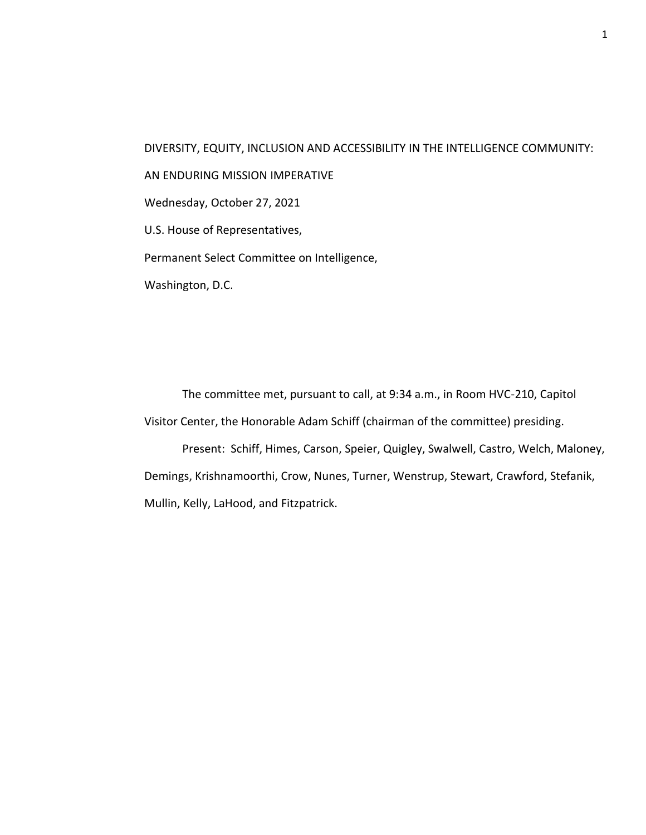DIVERSITY, EQUITY, INCLUSION AND ACCESSIBILITY IN THE INTELLIGENCE COMMUNITY: AN ENDURING MISSION IMPERATIVE Wednesday, October 27, 2021 U.S. House of Representatives, Permanent Select Committee on Intelligence, Washington, D.C.

The committee met, pursuant to call, at 9:34 a.m., in Room HVC-210, Capitol Visitor Center, the Honorable Adam Schiff (chairman of the committee) presiding.

Present: Schiff, Himes, Carson, Speier, Quigley, Swalwell, Castro, Welch, Maloney, Demings, Krishnamoorthi, Crow, Nunes, Turner, Wenstrup, Stewart, Crawford, Stefanik, Mullin, Kelly, LaHood, and Fitzpatrick.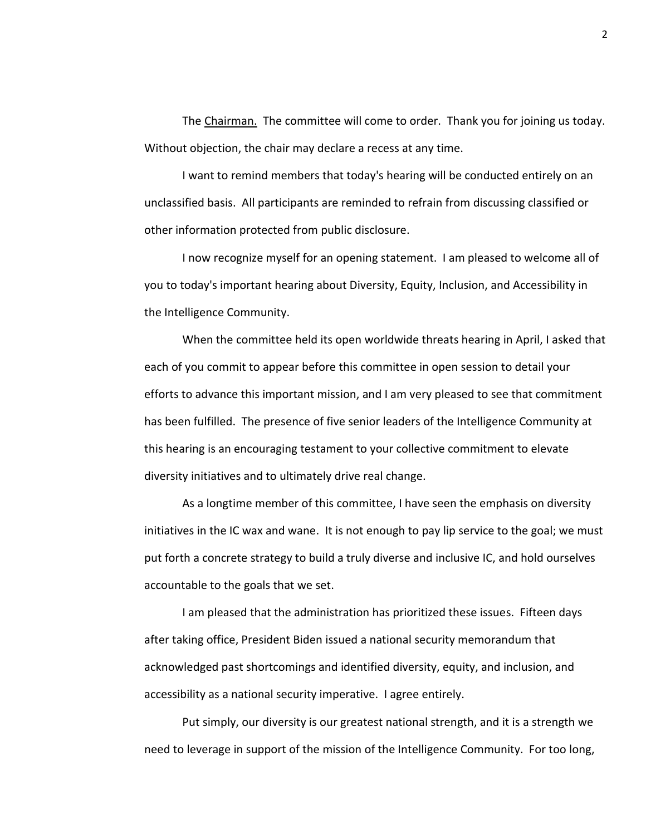The Chairman. The committee will come to order. Thank you for joining us today. Without objection, the chair may declare a recess at any time.

I want to remind members that today's hearing will be conducted entirely on an unclassified basis. All participants are reminded to refrain from discussing classified or other information protected from public disclosure.

I now recognize myself for an opening statement. I am pleased to welcome all of you to today's important hearing about Diversity, Equity, Inclusion, and Accessibility in the Intelligence Community.

When the committee held its open worldwide threats hearing in April, I asked that each of you commit to appear before this committee in open session to detail your efforts to advance this important mission, and I am very pleased to see that commitment has been fulfilled. The presence of five senior leaders of the Intelligence Community at this hearing is an encouraging testament to your collective commitment to elevate diversity initiatives and to ultimately drive real change.

As a longtime member of this committee, I have seen the emphasis on diversity initiatives in the IC wax and wane. It is not enough to pay lip service to the goal; we must put forth a concrete strategy to build a truly diverse and inclusive IC, and hold ourselves accountable to the goals that we set.

I am pleased that the administration has prioritized these issues. Fifteen days after taking office, President Biden issued a national security memorandum that acknowledged past shortcomings and identified diversity, equity, and inclusion, and accessibility as a national security imperative. I agree entirely.

Put simply, our diversity is our greatest national strength, and it is a strength we need to leverage in support of the mission of the Intelligence Community. For too long,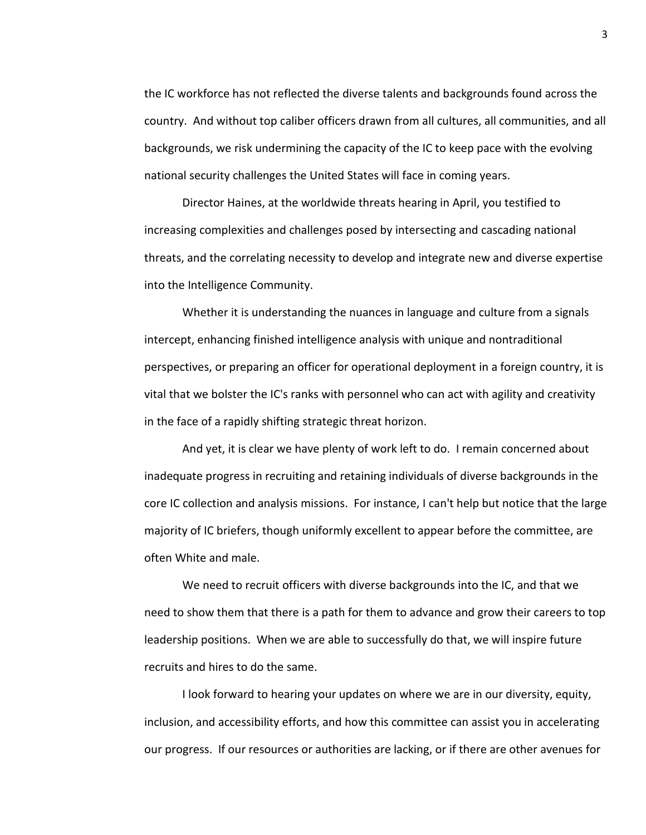the IC workforce has not reflected the diverse talents and backgrounds found across the country. And without top caliber officers drawn from all cultures, all communities, and all backgrounds, we risk undermining the capacity of the IC to keep pace with the evolving national security challenges the United States will face in coming years.

Director Haines, at the worldwide threats hearing in April, you testified to increasing complexities and challenges posed by intersecting and cascading national threats, and the correlating necessity to develop and integrate new and diverse expertise into the Intelligence Community.

Whether it is understanding the nuances in language and culture from a signals intercept, enhancing finished intelligence analysis with unique and nontraditional perspectives, or preparing an officer for operational deployment in a foreign country, it is vital that we bolster the IC's ranks with personnel who can act with agility and creativity in the face of a rapidly shifting strategic threat horizon.

And yet, it is clear we have plenty of work left to do. I remain concerned about inadequate progress in recruiting and retaining individuals of diverse backgrounds in the core IC collection and analysis missions. For instance, I can't help but notice that the large majority of IC briefers, though uniformly excellent to appear before the committee, are often White and male.

We need to recruit officers with diverse backgrounds into the IC, and that we need to show them that there is a path for them to advance and grow their careers to top leadership positions. When we are able to successfully do that, we will inspire future recruits and hires to do the same.

I look forward to hearing your updates on where we are in our diversity, equity, inclusion, and accessibility efforts, and how this committee can assist you in accelerating our progress. If our resources or authorities are lacking, or if there are other avenues for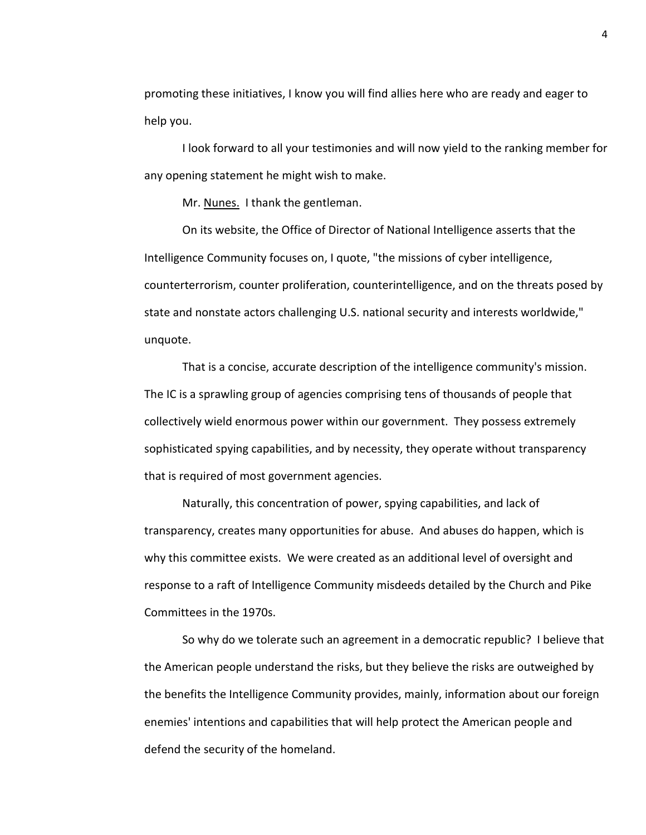promoting these initiatives, I know you will find allies here who are ready and eager to help you.

I look forward to all your testimonies and will now yield to the ranking member for any opening statement he might wish to make.

Mr. Nunes. I thank the gentleman.

On its website, the Office of Director of National Intelligence asserts that the Intelligence Community focuses on, I quote, "the missions of cyber intelligence, counterterrorism, counter proliferation, counterintelligence, and on the threats posed by state and nonstate actors challenging U.S. national security and interests worldwide," unquote.

That is a concise, accurate description of the intelligence community's mission. The IC is a sprawling group of agencies comprising tens of thousands of people that collectively wield enormous power within our government. They possess extremely sophisticated spying capabilities, and by necessity, they operate without transparency that is required of most government agencies.

Naturally, this concentration of power, spying capabilities, and lack of transparency, creates many opportunities for abuse. And abuses do happen, which is why this committee exists. We were created as an additional level of oversight and response to a raft of Intelligence Community misdeeds detailed by the Church and Pike Committees in the 1970s.

So why do we tolerate such an agreement in a democratic republic? I believe that the American people understand the risks, but they believe the risks are outweighed by the benefits the Intelligence Community provides, mainly, information about our foreign enemies' intentions and capabilities that will help protect the American people and defend the security of the homeland.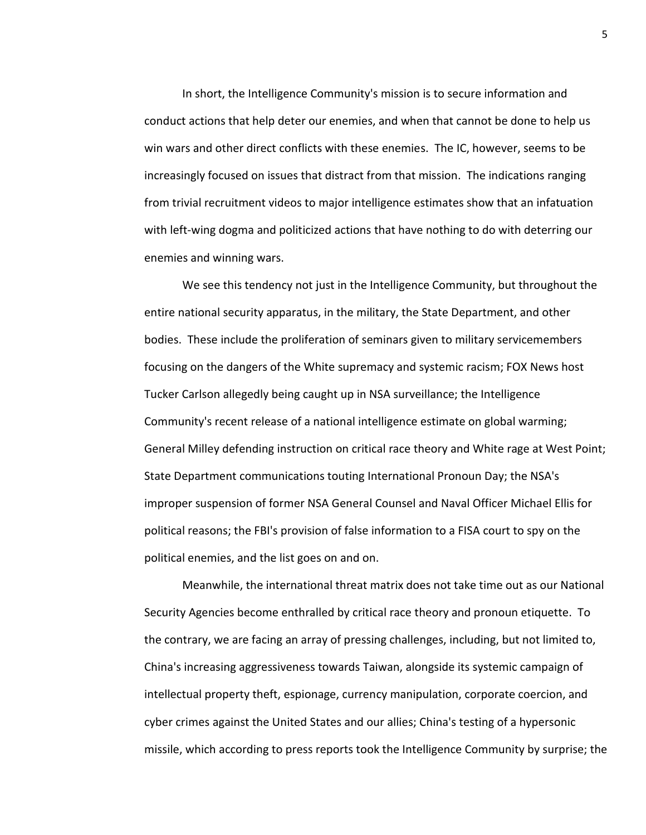In short, the Intelligence Community's mission is to secure information and conduct actions that help deter our enemies, and when that cannot be done to help us win wars and other direct conflicts with these enemies. The IC, however, seems to be increasingly focused on issues that distract from that mission. The indications ranging from trivial recruitment videos to major intelligence estimates show that an infatuation with left-wing dogma and politicized actions that have nothing to do with deterring our enemies and winning wars.

We see this tendency not just in the Intelligence Community, but throughout the entire national security apparatus, in the military, the State Department, and other bodies. These include the proliferation of seminars given to military servicemembers focusing on the dangers of the White supremacy and systemic racism; FOX News host Tucker Carlson allegedly being caught up in NSA surveillance; the Intelligence Community's recent release of a national intelligence estimate on global warming; General Milley defending instruction on critical race theory and White rage at West Point; State Department communications touting International Pronoun Day; the NSA's improper suspension of former NSA General Counsel and Naval Officer Michael Ellis for political reasons; the FBI's provision of false information to a FISA court to spy on the political enemies, and the list goes on and on.

Meanwhile, the international threat matrix does not take time out as our National Security Agencies become enthralled by critical race theory and pronoun etiquette. To the contrary, we are facing an array of pressing challenges, including, but not limited to, China's increasing aggressiveness towards Taiwan, alongside its systemic campaign of intellectual property theft, espionage, currency manipulation, corporate coercion, and cyber crimes against the United States and our allies; China's testing of a hypersonic missile, which according to press reports took the Intelligence Community by surprise; the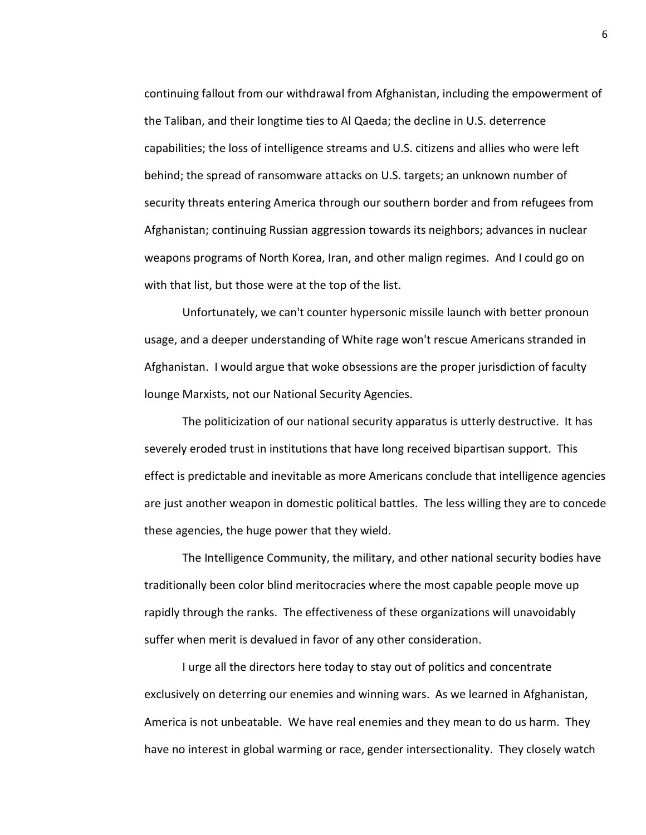continuing fallout from our withdrawal from Afghanistan, including the empowerment of the Taliban, and their longtime ties to Al Qaeda; the decline in U.S. deterrence capabilities; the loss of intelligence streams and U.S. citizens and allies who were left behind; the spread of ransomware attacks on U.S. targets; an unknown number of security threats entering America through our southern border and from refugees from Afghanistan; continuing Russian aggression towards its neighbors; advances in nuclear weapons programs of North Korea, Iran, and other malign regimes. And I could go on with that list, but those were at the top of the list.

Unfortunately, we can't counter hypersonic missile launch with better pronoun usage, and a deeper understanding of White rage won't rescue Americans stranded in Afghanistan. I would argue that woke obsessions are the proper jurisdiction of faculty lounge Marxists, not our National Security Agencies.

The politicization of our national security apparatus is utterly destructive. It has severely eroded trust in institutions that have long received bipartisan support. This effect is predictable and inevitable as more Americans conclude that intelligence agencies are just another weapon in domestic political battles. The less willing they are to concede these agencies, the huge power that they wield.

The Intelligence Community, the military, and other national security bodies have traditionally been color blind meritocracies where the most capable people move up rapidly through the ranks. The effectiveness of these organizations will unavoidably suffer when merit is devalued in favor of any other consideration.

I urge all the directors here today to stay out of politics and concentrate exclusively on deterring our enemies and winning wars. As we learned in Afghanistan, America is not unbeatable. We have real enemies and they mean to do us harm. They have no interest in global warming or race, gender intersectionality. They closely watch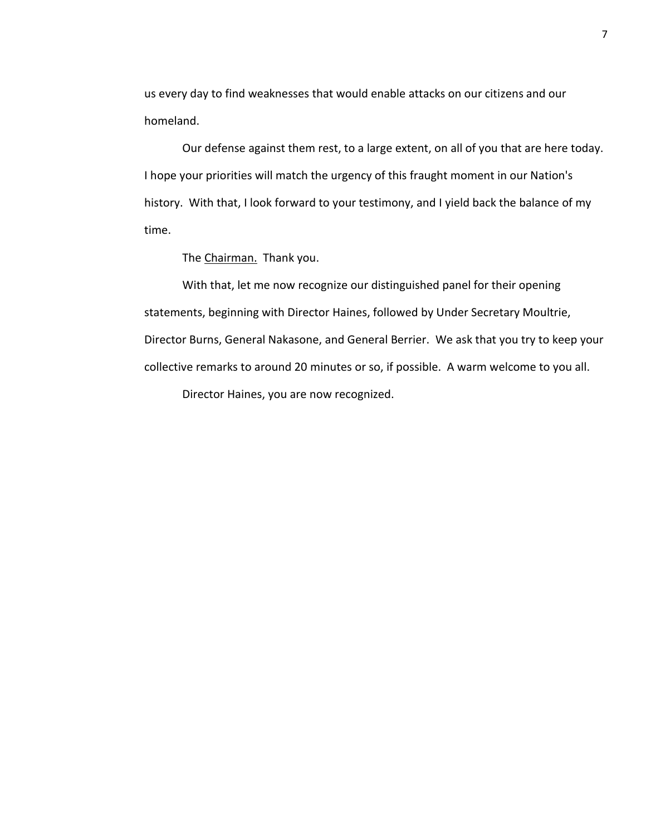us every day to find weaknesses that would enable attacks on our citizens and our homeland.

Our defense against them rest, to a large extent, on all of you that are here today. I hope your priorities will match the urgency of this fraught moment in our Nation's history. With that, I look forward to your testimony, and I yield back the balance of my time.

The Chairman. Thank you.

With that, let me now recognize our distinguished panel for their opening statements, beginning with Director Haines, followed by Under Secretary Moultrie, Director Burns, General Nakasone, and General Berrier. We ask that you try to keep your collective remarks to around 20 minutes or so, if possible. A warm welcome to you all. Director Haines, you are now recognized.

7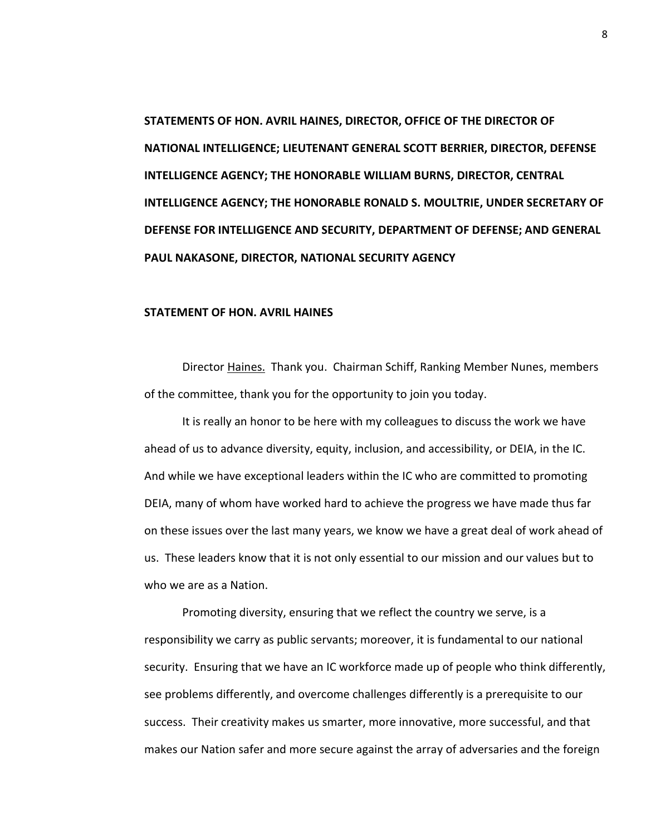**STATEMENTS OF HON. AVRIL HAINES, DIRECTOR, OFFICE OF THE DIRECTOR OF NATIONAL INTELLIGENCE; LIEUTENANT GENERAL SCOTT BERRIER, DIRECTOR, DEFENSE INTELLIGENCE AGENCY; THE HONORABLE WILLIAM BURNS, DIRECTOR, CENTRAL INTELLIGENCE AGENCY; THE HONORABLE RONALD S. MOULTRIE, UNDER SECRETARY OF DEFENSE FOR INTELLIGENCE AND SECURITY, DEPARTMENT OF DEFENSE; AND GENERAL PAUL NAKASONE, DIRECTOR, NATIONAL SECURITY AGENCY**

## **STATEMENT OF HON. AVRIL HAINES**

Director Haines. Thank you. Chairman Schiff, Ranking Member Nunes, members of the committee, thank you for the opportunity to join you today.

It is really an honor to be here with my colleagues to discuss the work we have ahead of us to advance diversity, equity, inclusion, and accessibility, or DEIA, in the IC. And while we have exceptional leaders within the IC who are committed to promoting DEIA, many of whom have worked hard to achieve the progress we have made thus far on these issues over the last many years, we know we have a great deal of work ahead of us. These leaders know that it is not only essential to our mission and our values but to who we are as a Nation.

Promoting diversity, ensuring that we reflect the country we serve, is a responsibility we carry as public servants; moreover, it is fundamental to our national security. Ensuring that we have an IC workforce made up of people who think differently, see problems differently, and overcome challenges differently is a prerequisite to our success. Their creativity makes us smarter, more innovative, more successful, and that makes our Nation safer and more secure against the array of adversaries and the foreign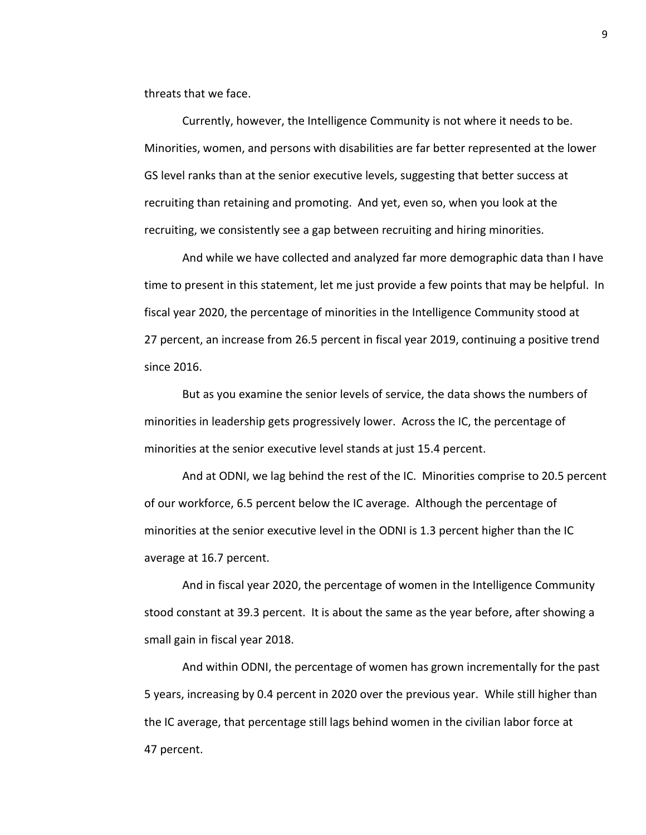threats that we face.

Currently, however, the Intelligence Community is not where it needs to be. Minorities, women, and persons with disabilities are far better represented at the lower GS level ranks than at the senior executive levels, suggesting that better success at recruiting than retaining and promoting. And yet, even so, when you look at the recruiting, we consistently see a gap between recruiting and hiring minorities.

And while we have collected and analyzed far more demographic data than I have time to present in this statement, let me just provide a few points that may be helpful. In fiscal year 2020, the percentage of minorities in the Intelligence Community stood at 27 percent, an increase from 26.5 percent in fiscal year 2019, continuing a positive trend since 2016.

But as you examine the senior levels of service, the data shows the numbers of minorities in leadership gets progressively lower. Across the IC, the percentage of minorities at the senior executive level stands at just 15.4 percent.

And at ODNI, we lag behind the rest of the IC. Minorities comprise to 20.5 percent of our workforce, 6.5 percent below the IC average. Although the percentage of minorities at the senior executive level in the ODNI is 1.3 percent higher than the IC average at 16.7 percent.

And in fiscal year 2020, the percentage of women in the Intelligence Community stood constant at 39.3 percent. It is about the same as the year before, after showing a small gain in fiscal year 2018.

And within ODNI, the percentage of women has grown incrementally for the past 5 years, increasing by 0.4 percent in 2020 over the previous year. While still higher than the IC average, that percentage still lags behind women in the civilian labor force at 47 percent.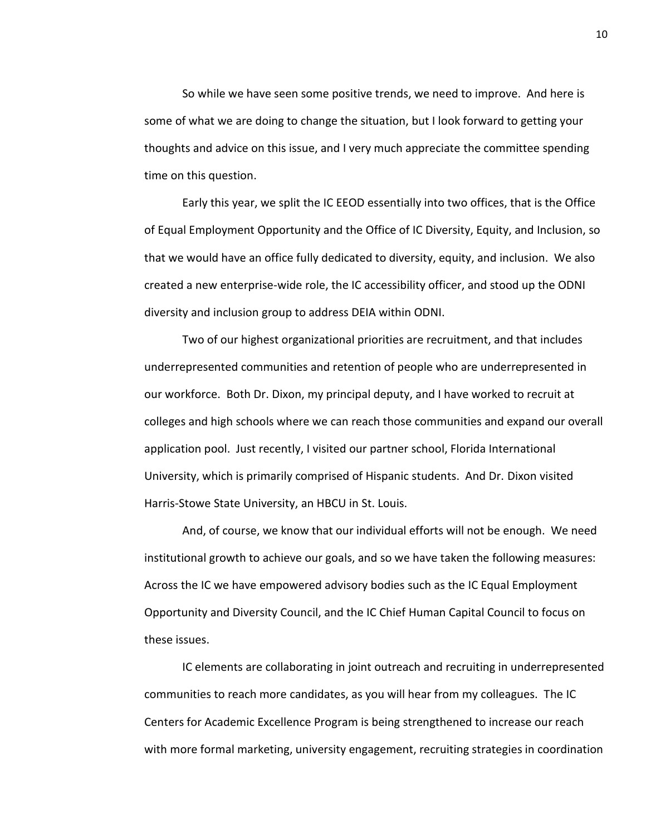So while we have seen some positive trends, we need to improve. And here is some of what we are doing to change the situation, but I look forward to getting your thoughts and advice on this issue, and I very much appreciate the committee spending time on this question.

Early this year, we split the IC EEOD essentially into two offices, that is the Office of Equal Employment Opportunity and the Office of IC Diversity, Equity, and Inclusion, so that we would have an office fully dedicated to diversity, equity, and inclusion. We also created a new enterprise-wide role, the IC accessibility officer, and stood up the ODNI diversity and inclusion group to address DEIA within ODNI.

Two of our highest organizational priorities are recruitment, and that includes underrepresented communities and retention of people who are underrepresented in our workforce. Both Dr. Dixon, my principal deputy, and I have worked to recruit at colleges and high schools where we can reach those communities and expand our overall application pool. Just recently, I visited our partner school, Florida International University, which is primarily comprised of Hispanic students. And Dr. Dixon visited Harris-Stowe State University, an HBCU in St. Louis.

And, of course, we know that our individual efforts will not be enough. We need institutional growth to achieve our goals, and so we have taken the following measures: Across the IC we have empowered advisory bodies such as the IC Equal Employment Opportunity and Diversity Council, and the IC Chief Human Capital Council to focus on these issues.

IC elements are collaborating in joint outreach and recruiting in underrepresented communities to reach more candidates, as you will hear from my colleagues. The IC Centers for Academic Excellence Program is being strengthened to increase our reach with more formal marketing, university engagement, recruiting strategies in coordination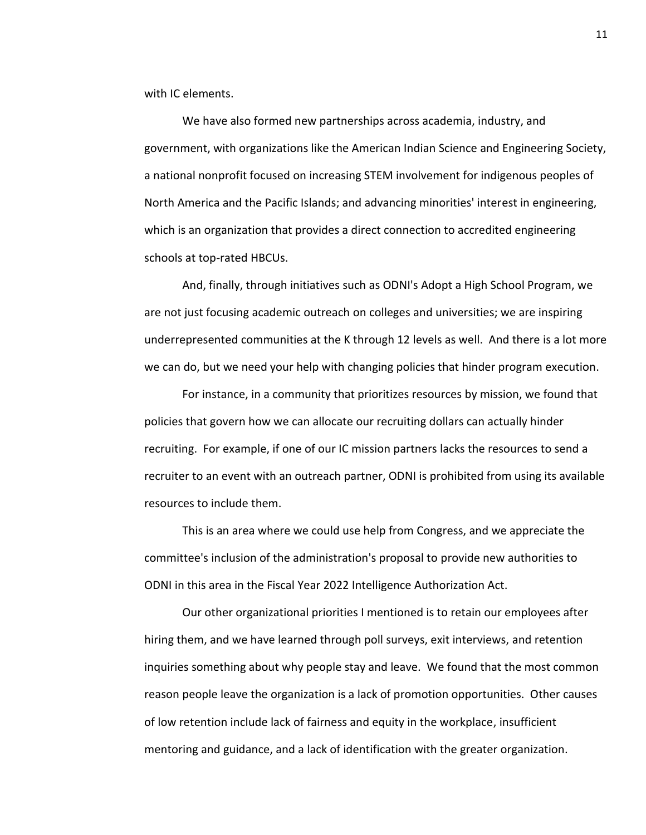with IC elements.

We have also formed new partnerships across academia, industry, and government, with organizations like the American Indian Science and Engineering Society, a national nonprofit focused on increasing STEM involvement for indigenous peoples of North America and the Pacific Islands; and advancing minorities' interest in engineering, which is an organization that provides a direct connection to accredited engineering schools at top-rated HBCUs.

And, finally, through initiatives such as ODNI's Adopt a High School Program, we are not just focusing academic outreach on colleges and universities; we are inspiring underrepresented communities at the K through 12 levels as well. And there is a lot more we can do, but we need your help with changing policies that hinder program execution.

For instance, in a community that prioritizes resources by mission, we found that policies that govern how we can allocate our recruiting dollars can actually hinder recruiting. For example, if one of our IC mission partners lacks the resources to send a recruiter to an event with an outreach partner, ODNI is prohibited from using its available resources to include them.

This is an area where we could use help from Congress, and we appreciate the committee's inclusion of the administration's proposal to provide new authorities to ODNI in this area in the Fiscal Year 2022 Intelligence Authorization Act.

Our other organizational priorities I mentioned is to retain our employees after hiring them, and we have learned through poll surveys, exit interviews, and retention inquiries something about why people stay and leave. We found that the most common reason people leave the organization is a lack of promotion opportunities. Other causes of low retention include lack of fairness and equity in the workplace, insufficient mentoring and guidance, and a lack of identification with the greater organization.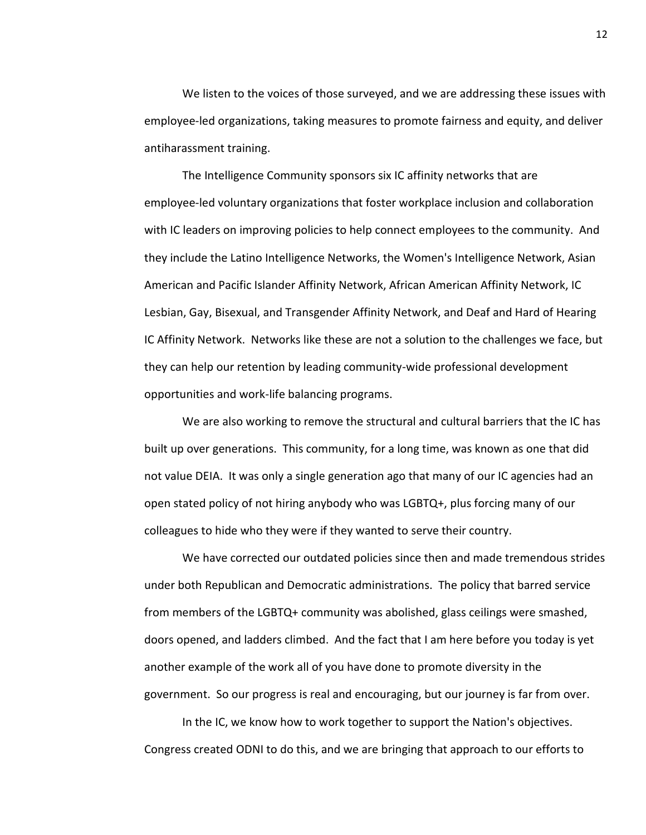We listen to the voices of those surveyed, and we are addressing these issues with employee-led organizations, taking measures to promote fairness and equity, and deliver antiharassment training.

The Intelligence Community sponsors six IC affinity networks that are employee-led voluntary organizations that foster workplace inclusion and collaboration with IC leaders on improving policies to help connect employees to the community. And they include the Latino Intelligence Networks, the Women's Intelligence Network, Asian American and Pacific Islander Affinity Network, African American Affinity Network, IC Lesbian, Gay, Bisexual, and Transgender Affinity Network, and Deaf and Hard of Hearing IC Affinity Network. Networks like these are not a solution to the challenges we face, but they can help our retention by leading community-wide professional development opportunities and work-life balancing programs.

We are also working to remove the structural and cultural barriers that the IC has built up over generations. This community, for a long time, was known as one that did not value DEIA. It was only a single generation ago that many of our IC agencies had an open stated policy of not hiring anybody who was LGBTQ+, plus forcing many of our colleagues to hide who they were if they wanted to serve their country.

We have corrected our outdated policies since then and made tremendous strides under both Republican and Democratic administrations. The policy that barred service from members of the LGBTQ+ community was abolished, glass ceilings were smashed, doors opened, and ladders climbed. And the fact that I am here before you today is yet another example of the work all of you have done to promote diversity in the government. So our progress is real and encouraging, but our journey is far from over.

In the IC, we know how to work together to support the Nation's objectives. Congress created ODNI to do this, and we are bringing that approach to our efforts to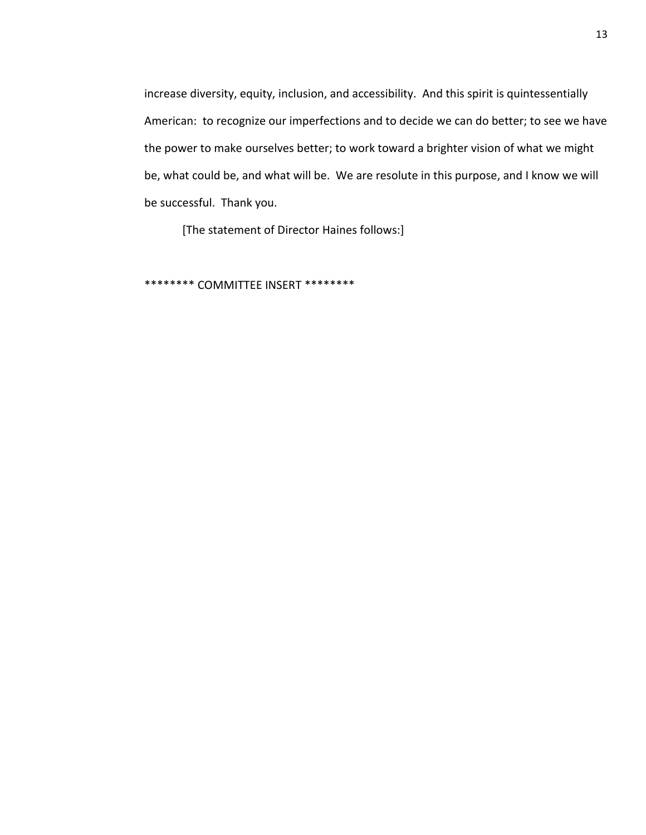increase diversity, equity, inclusion, and accessibility. And this spirit is quintessentially American: to recognize our imperfections and to decide we can do better; to see we have the power to make ourselves better; to work toward a brighter vision of what we might be, what could be, and what will be. We are resolute in this purpose, and I know we will be successful. Thank you.

[The statement of Director Haines follows:]

\*\*\*\*\*\*\*\* COMMITTEE INSERT \*\*\*\*\*\*\*\*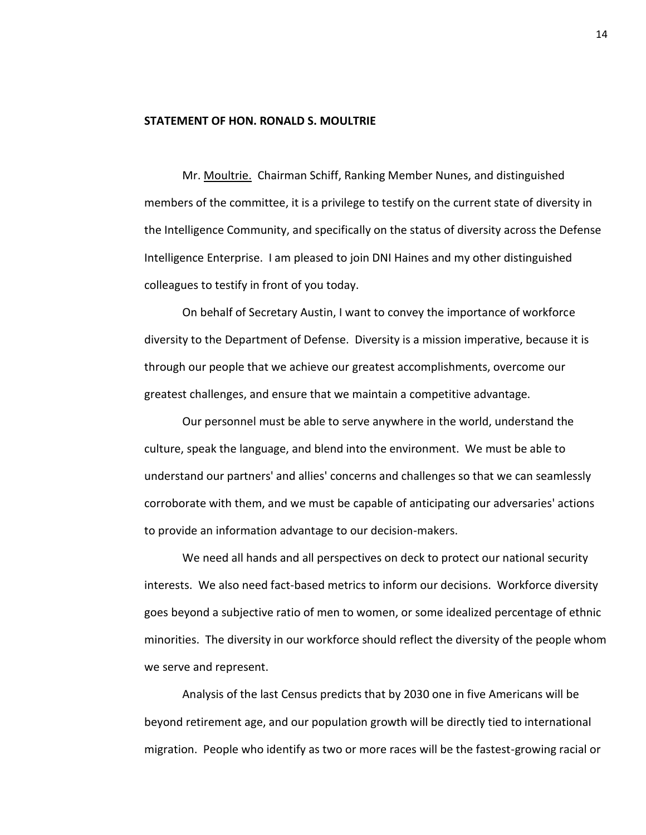# **STATEMENT OF HON. RONALD S. MOULTRIE**

Mr. Moultrie. Chairman Schiff, Ranking Member Nunes, and distinguished members of the committee, it is a privilege to testify on the current state of diversity in the Intelligence Community, and specifically on the status of diversity across the Defense Intelligence Enterprise. I am pleased to join DNI Haines and my other distinguished colleagues to testify in front of you today.

On behalf of Secretary Austin, I want to convey the importance of workforce diversity to the Department of Defense. Diversity is a mission imperative, because it is through our people that we achieve our greatest accomplishments, overcome our greatest challenges, and ensure that we maintain a competitive advantage.

Our personnel must be able to serve anywhere in the world, understand the culture, speak the language, and blend into the environment. We must be able to understand our partners' and allies' concerns and challenges so that we can seamlessly corroborate with them, and we must be capable of anticipating our adversaries' actions to provide an information advantage to our decision-makers.

We need all hands and all perspectives on deck to protect our national security interests. We also need fact-based metrics to inform our decisions. Workforce diversity goes beyond a subjective ratio of men to women, or some idealized percentage of ethnic minorities. The diversity in our workforce should reflect the diversity of the people whom we serve and represent.

Analysis of the last Census predicts that by 2030 one in five Americans will be beyond retirement age, and our population growth will be directly tied to international migration. People who identify as two or more races will be the fastest-growing racial or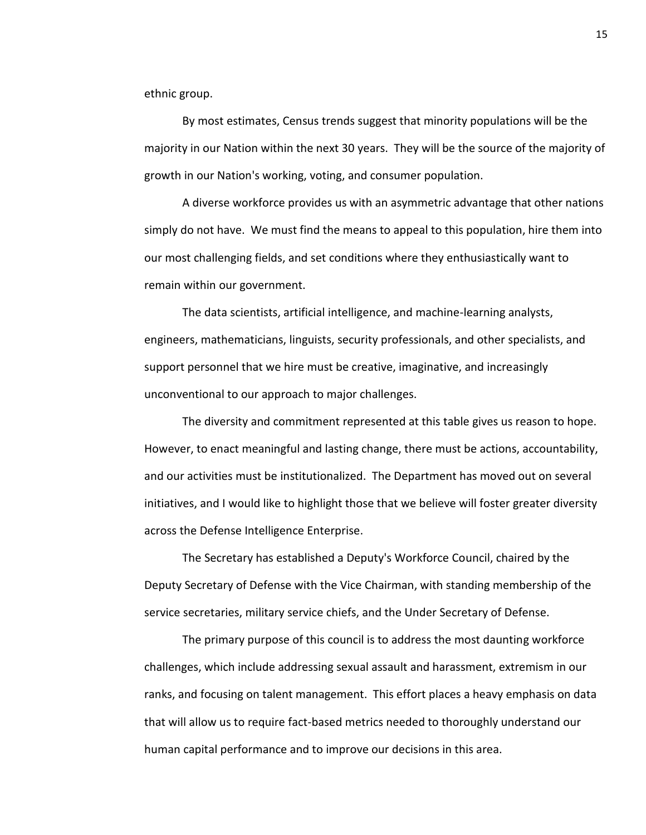ethnic group.

By most estimates, Census trends suggest that minority populations will be the majority in our Nation within the next 30 years. They will be the source of the majority of growth in our Nation's working, voting, and consumer population.

A diverse workforce provides us with an asymmetric advantage that other nations simply do not have. We must find the means to appeal to this population, hire them into our most challenging fields, and set conditions where they enthusiastically want to remain within our government.

The data scientists, artificial intelligence, and machine-learning analysts, engineers, mathematicians, linguists, security professionals, and other specialists, and support personnel that we hire must be creative, imaginative, and increasingly unconventional to our approach to major challenges.

The diversity and commitment represented at this table gives us reason to hope. However, to enact meaningful and lasting change, there must be actions, accountability, and our activities must be institutionalized. The Department has moved out on several initiatives, and I would like to highlight those that we believe will foster greater diversity across the Defense Intelligence Enterprise.

The Secretary has established a Deputy's Workforce Council, chaired by the Deputy Secretary of Defense with the Vice Chairman, with standing membership of the service secretaries, military service chiefs, and the Under Secretary of Defense.

The primary purpose of this council is to address the most daunting workforce challenges, which include addressing sexual assault and harassment, extremism in our ranks, and focusing on talent management. This effort places a heavy emphasis on data that will allow us to require fact-based metrics needed to thoroughly understand our human capital performance and to improve our decisions in this area.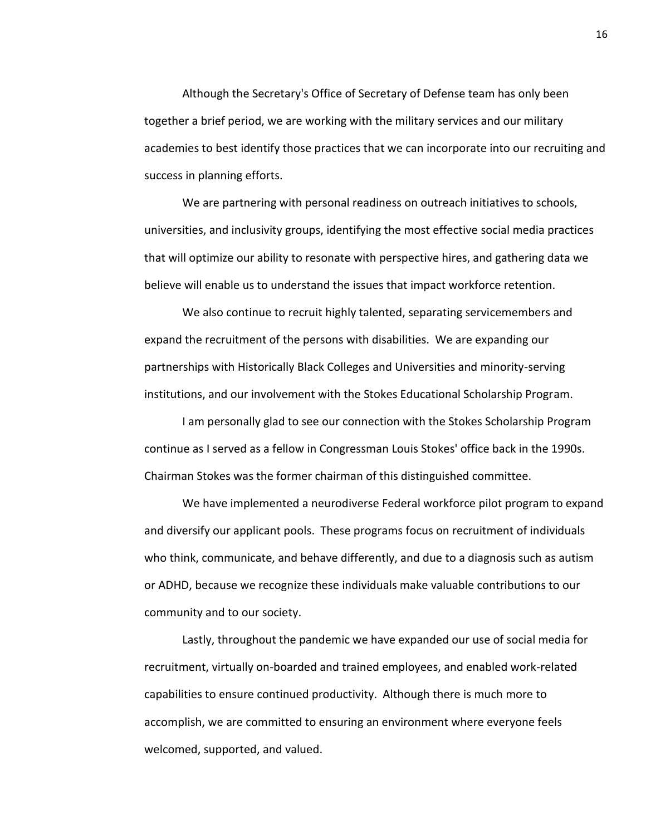Although the Secretary's Office of Secretary of Defense team has only been together a brief period, we are working with the military services and our military academies to best identify those practices that we can incorporate into our recruiting and success in planning efforts.

We are partnering with personal readiness on outreach initiatives to schools, universities, and inclusivity groups, identifying the most effective social media practices that will optimize our ability to resonate with perspective hires, and gathering data we believe will enable us to understand the issues that impact workforce retention.

We also continue to recruit highly talented, separating servicemembers and expand the recruitment of the persons with disabilities. We are expanding our partnerships with Historically Black Colleges and Universities and minority-serving institutions, and our involvement with the Stokes Educational Scholarship Program.

I am personally glad to see our connection with the Stokes Scholarship Program continue as I served as a fellow in Congressman Louis Stokes' office back in the 1990s. Chairman Stokes was the former chairman of this distinguished committee.

We have implemented a neurodiverse Federal workforce pilot program to expand and diversify our applicant pools. These programs focus on recruitment of individuals who think, communicate, and behave differently, and due to a diagnosis such as autism or ADHD, because we recognize these individuals make valuable contributions to our community and to our society.

Lastly, throughout the pandemic we have expanded our use of social media for recruitment, virtually on-boarded and trained employees, and enabled work-related capabilities to ensure continued productivity. Although there is much more to accomplish, we are committed to ensuring an environment where everyone feels welcomed, supported, and valued.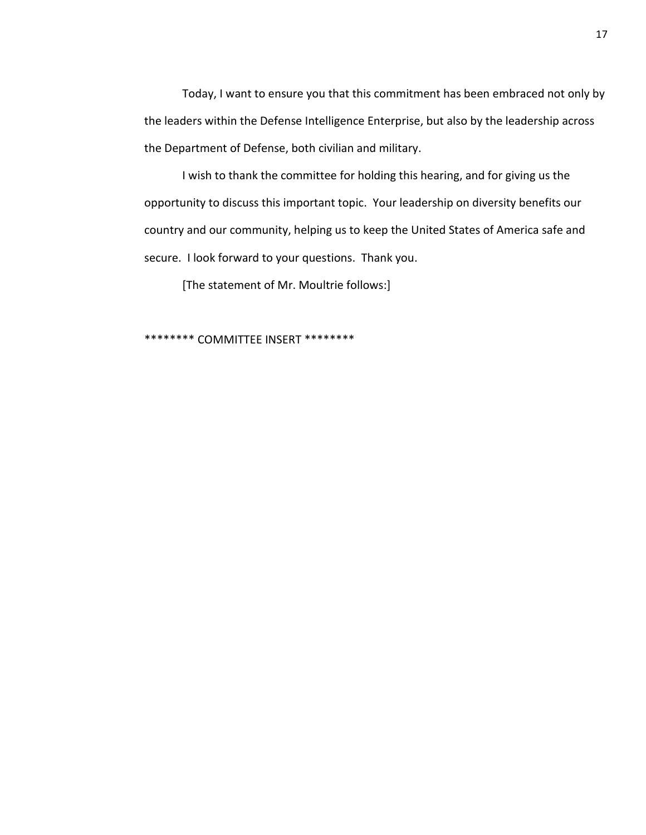Today, I want to ensure you that this commitment has been embraced not only by the leaders within the Defense Intelligence Enterprise, but also by the leadership across the Department of Defense, both civilian and military.

I wish to thank the committee for holding this hearing, and for giving us the opportunity to discuss this important topic. Your leadership on diversity benefits our country and our community, helping us to keep the United States of America safe and secure. I look forward to your questions. Thank you.

[The statement of Mr. Moultrie follows:]

\*\*\*\*\*\*\*\* COMMITTEE INSERT \*\*\*\*\*\*\*\*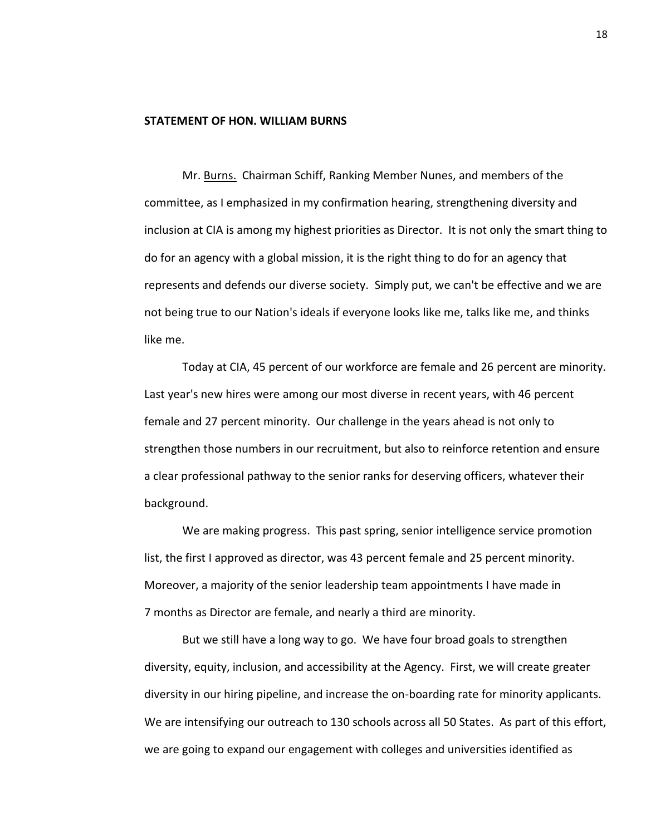## **STATEMENT OF HON. WILLIAM BURNS**

Mr. Burns. Chairman Schiff, Ranking Member Nunes, and members of the committee, as I emphasized in my confirmation hearing, strengthening diversity and inclusion at CIA is among my highest priorities as Director. It is not only the smart thing to do for an agency with a global mission, it is the right thing to do for an agency that represents and defends our diverse society. Simply put, we can't be effective and we are not being true to our Nation's ideals if everyone looks like me, talks like me, and thinks like me.

Today at CIA, 45 percent of our workforce are female and 26 percent are minority. Last year's new hires were among our most diverse in recent years, with 46 percent female and 27 percent minority. Our challenge in the years ahead is not only to strengthen those numbers in our recruitment, but also to reinforce retention and ensure a clear professional pathway to the senior ranks for deserving officers, whatever their background.

We are making progress. This past spring, senior intelligence service promotion list, the first I approved as director, was 43 percent female and 25 percent minority. Moreover, a majority of the senior leadership team appointments I have made in 7 months as Director are female, and nearly a third are minority.

But we still have a long way to go. We have four broad goals to strengthen diversity, equity, inclusion, and accessibility at the Agency. First, we will create greater diversity in our hiring pipeline, and increase the on-boarding rate for minority applicants. We are intensifying our outreach to 130 schools across all 50 States. As part of this effort, we are going to expand our engagement with colleges and universities identified as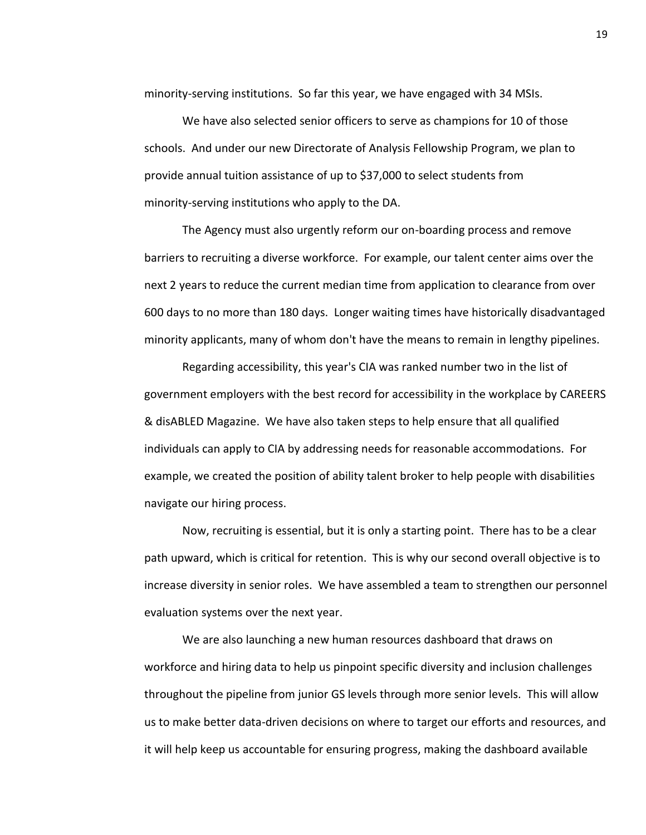minority-serving institutions. So far this year, we have engaged with 34 MSIs.

We have also selected senior officers to serve as champions for 10 of those schools. And under our new Directorate of Analysis Fellowship Program, we plan to provide annual tuition assistance of up to \$37,000 to select students from minority-serving institutions who apply to the DA.

The Agency must also urgently reform our on-boarding process and remove barriers to recruiting a diverse workforce. For example, our talent center aims over the next 2 years to reduce the current median time from application to clearance from over 600 days to no more than 180 days. Longer waiting times have historically disadvantaged minority applicants, many of whom don't have the means to remain in lengthy pipelines.

Regarding accessibility, this year's CIA was ranked number two in the list of government employers with the best record for accessibility in the workplace by CAREERS & disABLED Magazine. We have also taken steps to help ensure that all qualified individuals can apply to CIA by addressing needs for reasonable accommodations. For example, we created the position of ability talent broker to help people with disabilities navigate our hiring process.

Now, recruiting is essential, but it is only a starting point. There has to be a clear path upward, which is critical for retention. This is why our second overall objective is to increase diversity in senior roles. We have assembled a team to strengthen our personnel evaluation systems over the next year.

We are also launching a new human resources dashboard that draws on workforce and hiring data to help us pinpoint specific diversity and inclusion challenges throughout the pipeline from junior GS levels through more senior levels. This will allow us to make better data-driven decisions on where to target our efforts and resources, and it will help keep us accountable for ensuring progress, making the dashboard available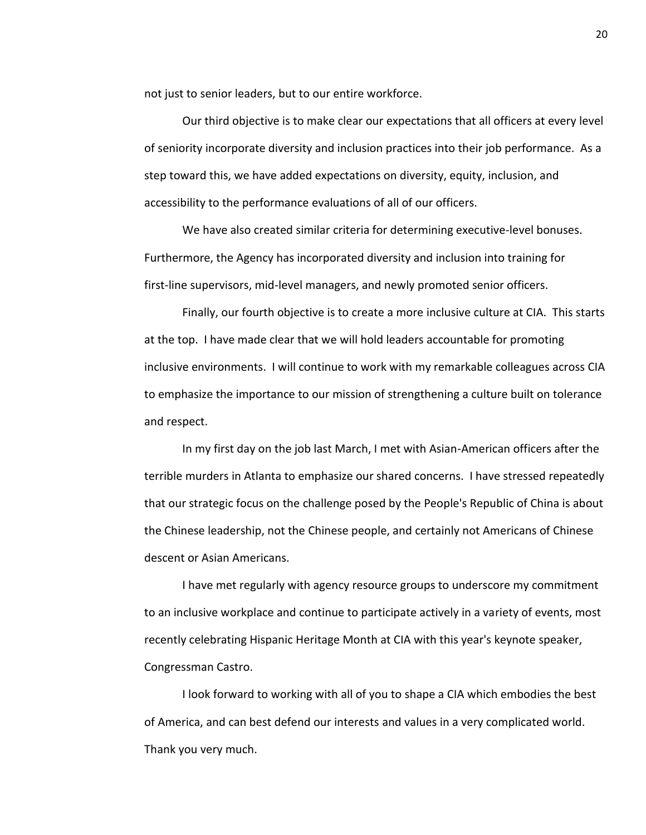not just to senior leaders, but to our entire workforce.

Our third objective is to make clear our expectations that all officers at every level of seniority incorporate diversity and inclusion practices into their job performance. As a step toward this, we have added expectations on diversity, equity, inclusion, and accessibility to the performance evaluations of all of our officers.

We have also created similar criteria for determining executive-level bonuses. Furthermore, the Agency has incorporated diversity and inclusion into training for first-line supervisors, mid-level managers, and newly promoted senior officers.

Finally, our fourth objective is to create a more inclusive culture at CIA. This starts at the top. I have made clear that we will hold leaders accountable for promoting inclusive environments. I will continue to work with my remarkable colleagues across CIA to emphasize the importance to our mission of strengthening a culture built on tolerance and respect.

In my first day on the job last March, I met with Asian-American officers after the terrible murders in Atlanta to emphasize our shared concerns. I have stressed repeatedly that our strategic focus on the challenge posed by the People's Republic of China is about the Chinese leadership, not the Chinese people, and certainly not Americans of Chinese descent or Asian Americans.

I have met regularly with agency resource groups to underscore my commitment to an inclusive workplace and continue to participate actively in a variety of events, most recently celebrating Hispanic Heritage Month at CIA with this year's keynote speaker, Congressman Castro.

I look forward to working with all of you to shape a CIA which embodies the best of America, and can best defend our interests and values in a very complicated world. Thank you very much.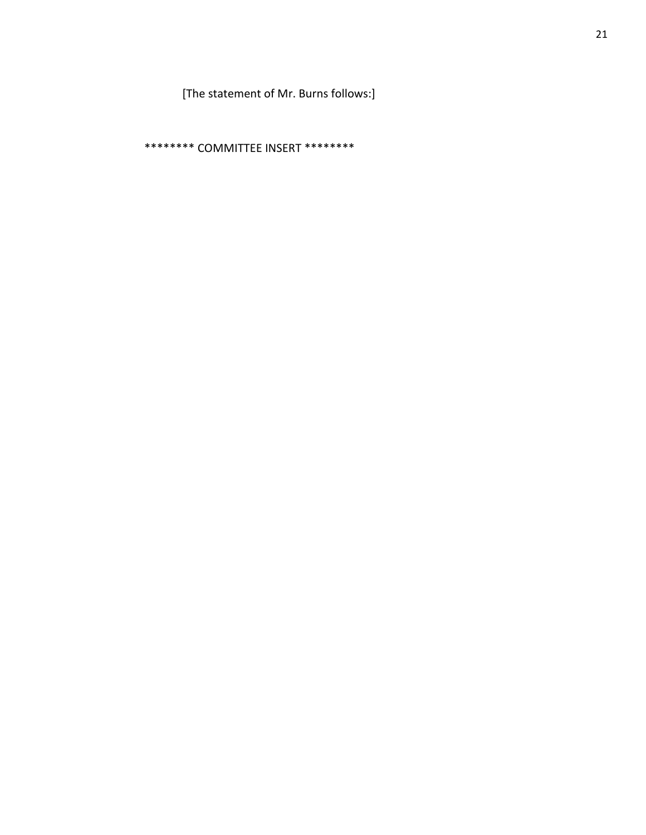[The statement of Mr. Burns follows:]

\*\*\*\*\*\*\*\* COMMITTEE INSERT \*\*\*\*\*\*\*\*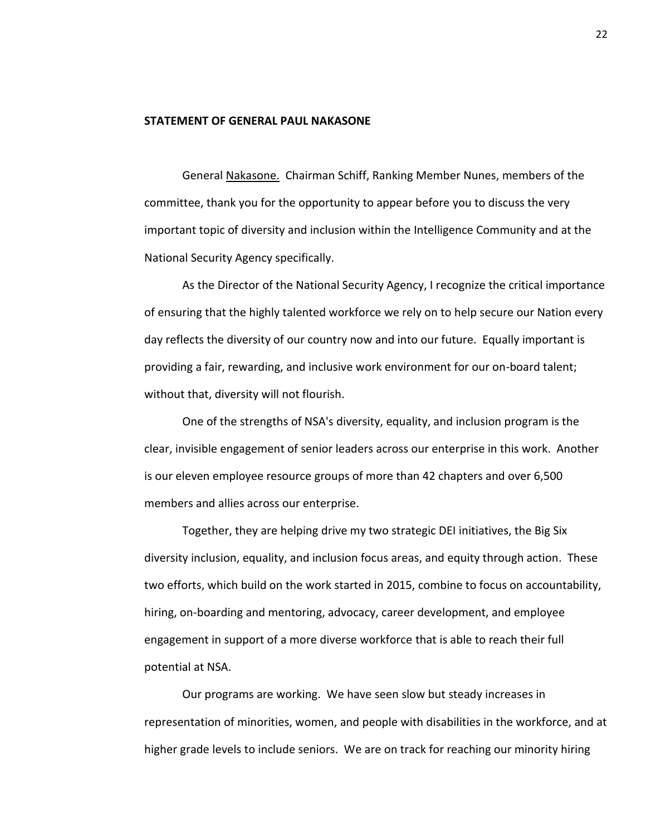# **STATEMENT OF GENERAL PAUL NAKASONE**

General Nakasone. Chairman Schiff, Ranking Member Nunes, members of the committee, thank you for the opportunity to appear before you to discuss the very important topic of diversity and inclusion within the Intelligence Community and at the National Security Agency specifically.

As the Director of the National Security Agency, I recognize the critical importance of ensuring that the highly talented workforce we rely on to help secure our Nation every day reflects the diversity of our country now and into our future. Equally important is providing a fair, rewarding, and inclusive work environment for our on-board talent; without that, diversity will not flourish.

One of the strengths of NSA's diversity, equality, and inclusion program is the clear, invisible engagement of senior leaders across our enterprise in this work. Another is our eleven employee resource groups of more than 42 chapters and over 6,500 members and allies across our enterprise.

Together, they are helping drive my two strategic DEI initiatives, the Big Six diversity inclusion, equality, and inclusion focus areas, and equity through action. These two efforts, which build on the work started in 2015, combine to focus on accountability, hiring, on-boarding and mentoring, advocacy, career development, and employee engagement in support of a more diverse workforce that is able to reach their full potential at NSA.

Our programs are working. We have seen slow but steady increases in representation of minorities, women, and people with disabilities in the workforce, and at higher grade levels to include seniors. We are on track for reaching our minority hiring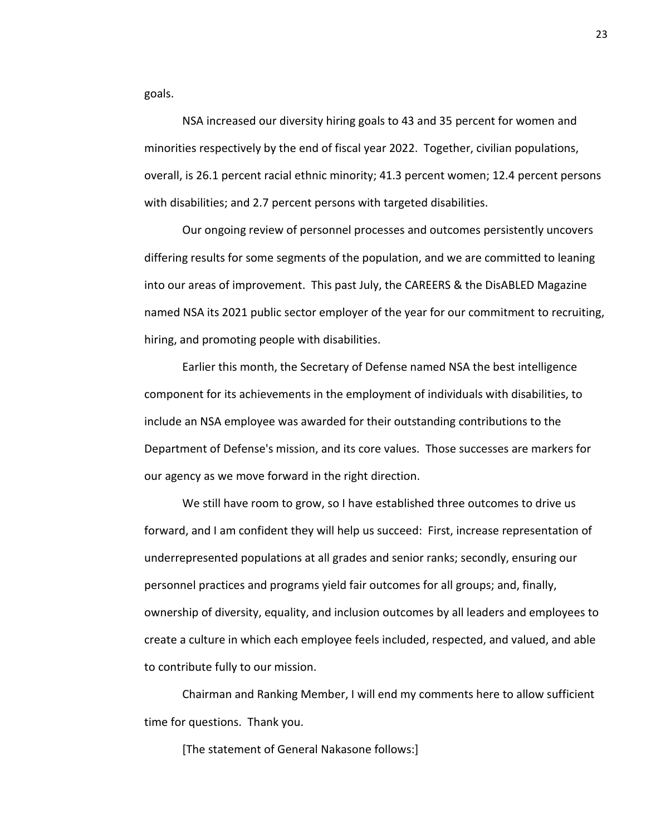goals.

NSA increased our diversity hiring goals to 43 and 35 percent for women and minorities respectively by the end of fiscal year 2022. Together, civilian populations, overall, is 26.1 percent racial ethnic minority; 41.3 percent women; 12.4 percent persons with disabilities; and 2.7 percent persons with targeted disabilities.

Our ongoing review of personnel processes and outcomes persistently uncovers differing results for some segments of the population, and we are committed to leaning into our areas of improvement. This past July, the CAREERS & the DisABLED Magazine named NSA its 2021 public sector employer of the year for our commitment to recruiting, hiring, and promoting people with disabilities.

Earlier this month, the Secretary of Defense named NSA the best intelligence component for its achievements in the employment of individuals with disabilities, to include an NSA employee was awarded for their outstanding contributions to the Department of Defense's mission, and its core values. Those successes are markers for our agency as we move forward in the right direction.

We still have room to grow, so I have established three outcomes to drive us forward, and I am confident they will help us succeed: First, increase representation of underrepresented populations at all grades and senior ranks; secondly, ensuring our personnel practices and programs yield fair outcomes for all groups; and, finally, ownership of diversity, equality, and inclusion outcomes by all leaders and employees to create a culture in which each employee feels included, respected, and valued, and able to contribute fully to our mission.

Chairman and Ranking Member, I will end my comments here to allow sufficient time for questions. Thank you.

[The statement of General Nakasone follows:]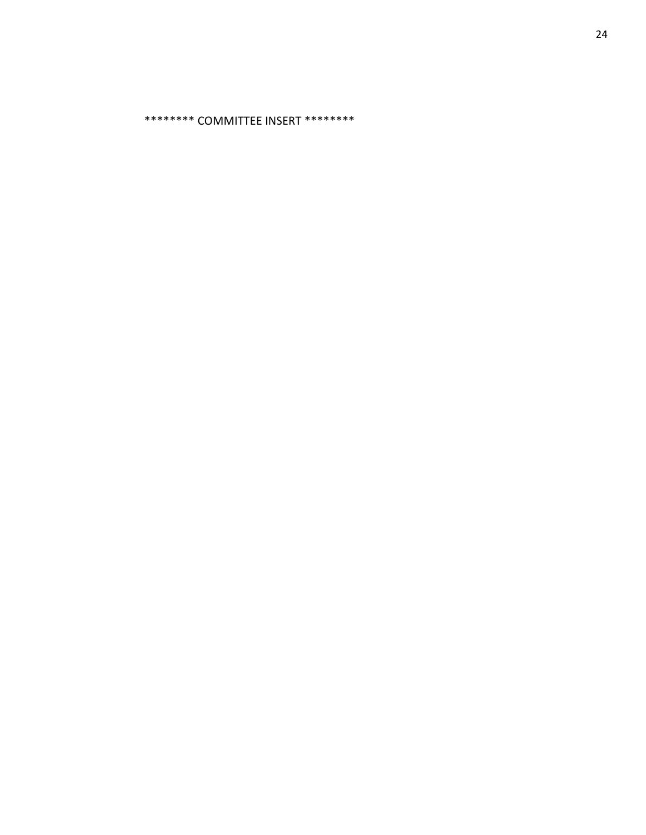\*\*\*\*\*\*\*\* COMMITTEE INSERT \*\*\*\*\*\*\*\*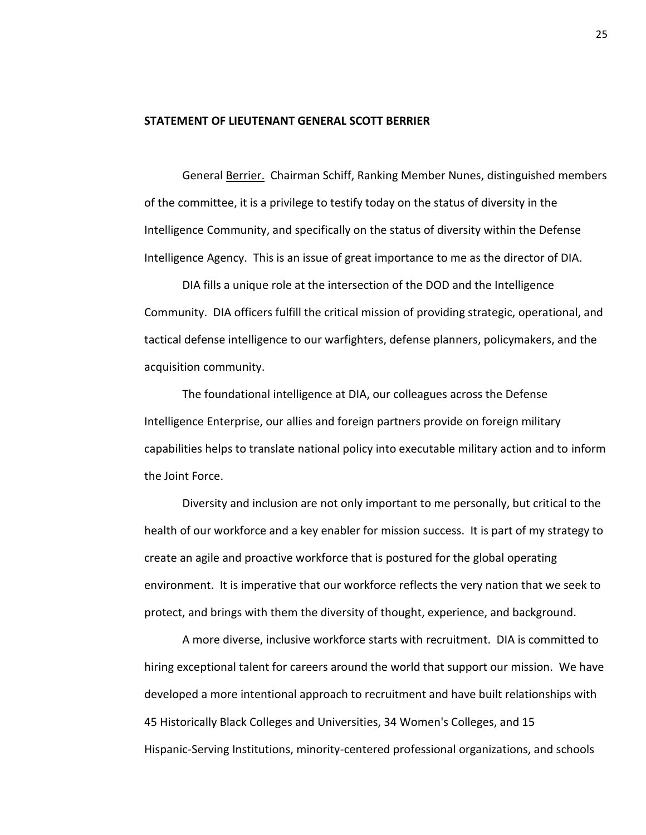# **STATEMENT OF LIEUTENANT GENERAL SCOTT BERRIER**

General Berrier. Chairman Schiff, Ranking Member Nunes, distinguished members of the committee, it is a privilege to testify today on the status of diversity in the Intelligence Community, and specifically on the status of diversity within the Defense Intelligence Agency. This is an issue of great importance to me as the director of DIA.

DIA fills a unique role at the intersection of the DOD and the Intelligence Community. DIA officers fulfill the critical mission of providing strategic, operational, and tactical defense intelligence to our warfighters, defense planners, policymakers, and the acquisition community.

The foundational intelligence at DIA, our colleagues across the Defense Intelligence Enterprise, our allies and foreign partners provide on foreign military capabilities helps to translate national policy into executable military action and to inform the Joint Force.

Diversity and inclusion are not only important to me personally, but critical to the health of our workforce and a key enabler for mission success. It is part of my strategy to create an agile and proactive workforce that is postured for the global operating environment. It is imperative that our workforce reflects the very nation that we seek to protect, and brings with them the diversity of thought, experience, and background.

A more diverse, inclusive workforce starts with recruitment. DIA is committed to hiring exceptional talent for careers around the world that support our mission. We have developed a more intentional approach to recruitment and have built relationships with 45 Historically Black Colleges and Universities, 34 Women's Colleges, and 15 Hispanic-Serving Institutions, minority-centered professional organizations, and schools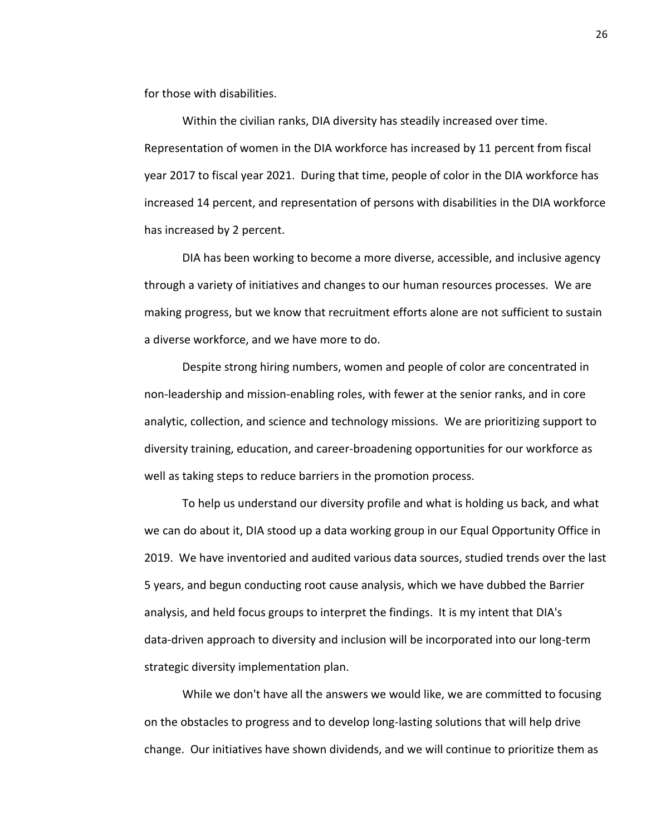for those with disabilities.

Within the civilian ranks, DIA diversity has steadily increased over time. Representation of women in the DIA workforce has increased by 11 percent from fiscal year 2017 to fiscal year 2021. During that time, people of color in the DIA workforce has increased 14 percent, and representation of persons with disabilities in the DIA workforce has increased by 2 percent.

DIA has been working to become a more diverse, accessible, and inclusive agency through a variety of initiatives and changes to our human resources processes. We are making progress, but we know that recruitment efforts alone are not sufficient to sustain a diverse workforce, and we have more to do.

Despite strong hiring numbers, women and people of color are concentrated in non-leadership and mission-enabling roles, with fewer at the senior ranks, and in core analytic, collection, and science and technology missions. We are prioritizing support to diversity training, education, and career-broadening opportunities for our workforce as well as taking steps to reduce barriers in the promotion process.

To help us understand our diversity profile and what is holding us back, and what we can do about it, DIA stood up a data working group in our Equal Opportunity Office in 2019. We have inventoried and audited various data sources, studied trends over the last 5 years, and begun conducting root cause analysis, which we have dubbed the Barrier analysis, and held focus groups to interpret the findings. It is my intent that DIA's data-driven approach to diversity and inclusion will be incorporated into our long-term strategic diversity implementation plan.

While we don't have all the answers we would like, we are committed to focusing on the obstacles to progress and to develop long-lasting solutions that will help drive change. Our initiatives have shown dividends, and we will continue to prioritize them as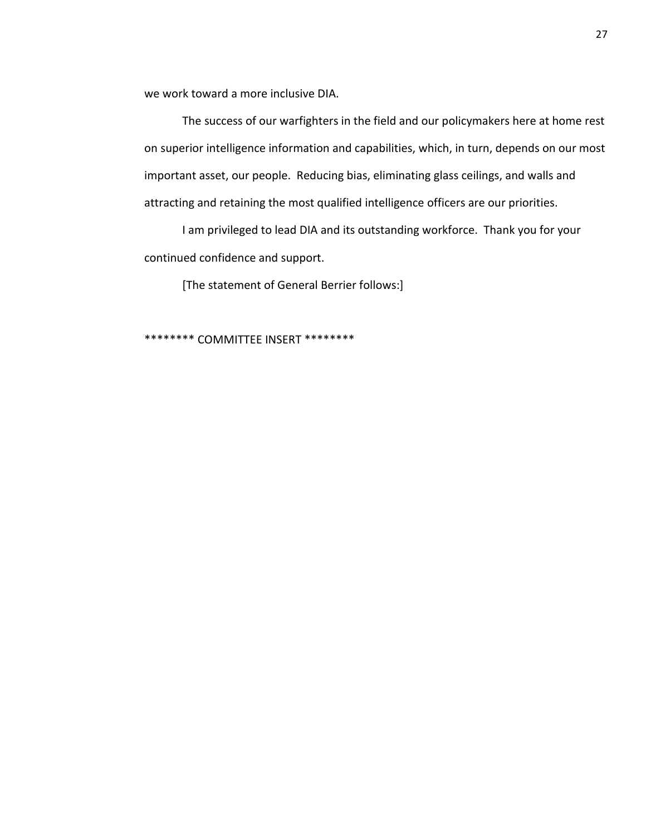we work toward a more inclusive DIA.

The success of our warfighters in the field and our policymakers here at home rest on superior intelligence information and capabilities, which, in turn, depends on our most important asset, our people. Reducing bias, eliminating glass ceilings, and walls and attracting and retaining the most qualified intelligence officers are our priorities.

I am privileged to lead DIA and its outstanding workforce. Thank you for your continued confidence and support.

[The statement of General Berrier follows:]

\*\*\*\*\*\*\*\* COMMITTEE INSERT \*\*\*\*\*\*\*\*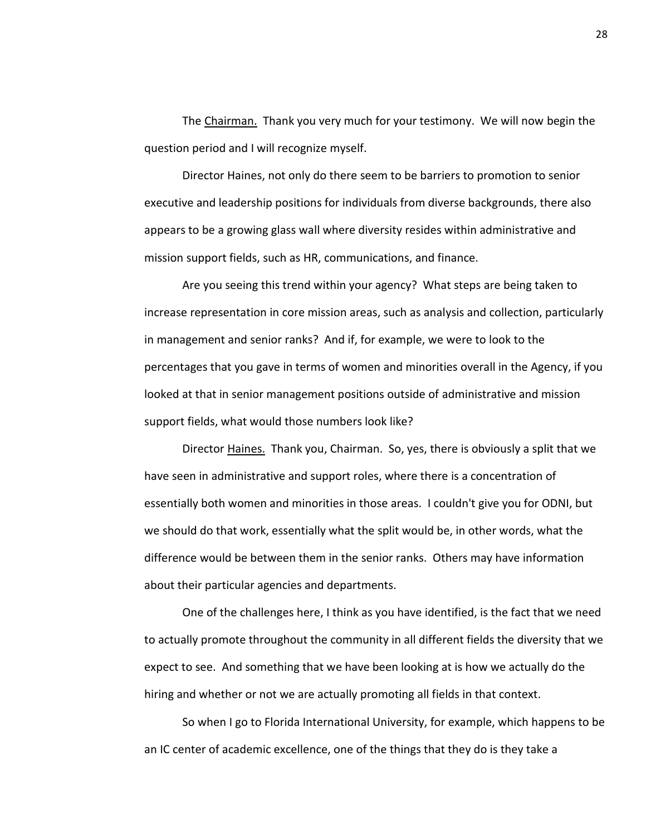The Chairman. Thank you very much for your testimony. We will now begin the question period and I will recognize myself.

Director Haines, not only do there seem to be barriers to promotion to senior executive and leadership positions for individuals from diverse backgrounds, there also appears to be a growing glass wall where diversity resides within administrative and mission support fields, such as HR, communications, and finance.

Are you seeing this trend within your agency? What steps are being taken to increase representation in core mission areas, such as analysis and collection, particularly in management and senior ranks? And if, for example, we were to look to the percentages that you gave in terms of women and minorities overall in the Agency, if you looked at that in senior management positions outside of administrative and mission support fields, what would those numbers look like?

Director Haines. Thank you, Chairman. So, yes, there is obviously a split that we have seen in administrative and support roles, where there is a concentration of essentially both women and minorities in those areas. I couldn't give you for ODNI, but we should do that work, essentially what the split would be, in other words, what the difference would be between them in the senior ranks. Others may have information about their particular agencies and departments.

One of the challenges here, I think as you have identified, is the fact that we need to actually promote throughout the community in all different fields the diversity that we expect to see. And something that we have been looking at is how we actually do the hiring and whether or not we are actually promoting all fields in that context.

So when I go to Florida International University, for example, which happens to be an IC center of academic excellence, one of the things that they do is they take a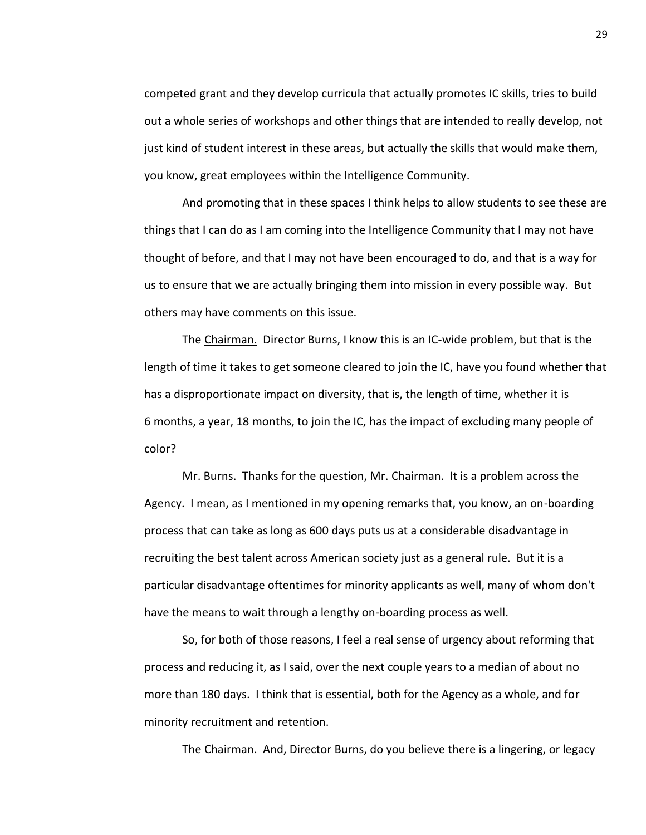competed grant and they develop curricula that actually promotes IC skills, tries to build out a whole series of workshops and other things that are intended to really develop, not just kind of student interest in these areas, but actually the skills that would make them, you know, great employees within the Intelligence Community.

And promoting that in these spaces I think helps to allow students to see these are things that I can do as I am coming into the Intelligence Community that I may not have thought of before, and that I may not have been encouraged to do, and that is a way for us to ensure that we are actually bringing them into mission in every possible way. But others may have comments on this issue.

The Chairman. Director Burns, I know this is an IC-wide problem, but that is the length of time it takes to get someone cleared to join the IC, have you found whether that has a disproportionate impact on diversity, that is, the length of time, whether it is 6 months, a year, 18 months, to join the IC, has the impact of excluding many people of color?

Mr. Burns. Thanks for the question, Mr. Chairman. It is a problem across the Agency. I mean, as I mentioned in my opening remarks that, you know, an on-boarding process that can take as long as 600 days puts us at a considerable disadvantage in recruiting the best talent across American society just as a general rule. But it is a particular disadvantage oftentimes for minority applicants as well, many of whom don't have the means to wait through a lengthy on-boarding process as well.

So, for both of those reasons, I feel a real sense of urgency about reforming that process and reducing it, as I said, over the next couple years to a median of about no more than 180 days. I think that is essential, both for the Agency as a whole, and for minority recruitment and retention.

The Chairman. And, Director Burns, do you believe there is a lingering, or legacy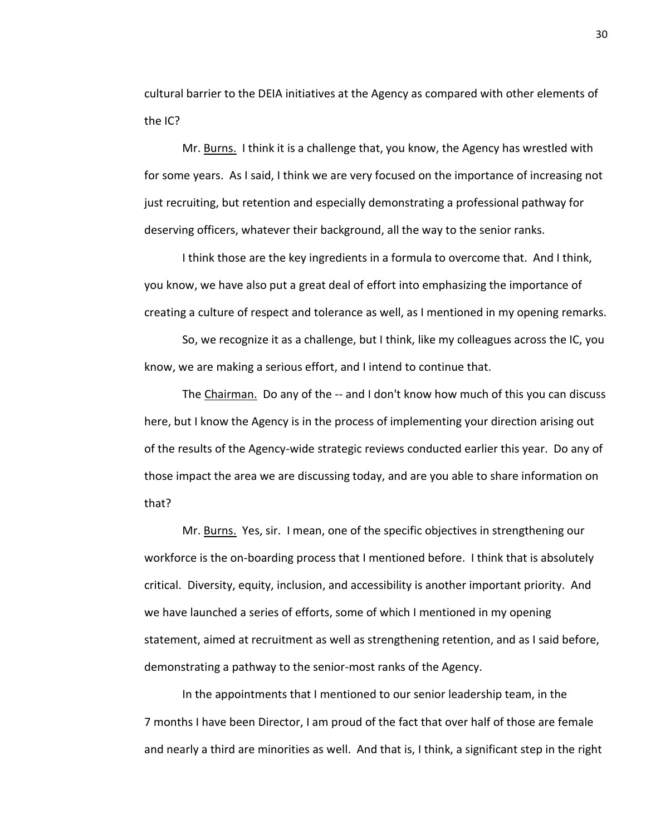cultural barrier to the DEIA initiatives at the Agency as compared with other elements of the IC?

Mr. Burns. I think it is a challenge that, you know, the Agency has wrestled with for some years. As I said, I think we are very focused on the importance of increasing not just recruiting, but retention and especially demonstrating a professional pathway for deserving officers, whatever their background, all the way to the senior ranks.

I think those are the key ingredients in a formula to overcome that. And I think, you know, we have also put a great deal of effort into emphasizing the importance of creating a culture of respect and tolerance as well, as I mentioned in my opening remarks.

So, we recognize it as a challenge, but I think, like my colleagues across the IC, you know, we are making a serious effort, and I intend to continue that.

The Chairman. Do any of the -- and I don't know how much of this you can discuss here, but I know the Agency is in the process of implementing your direction arising out of the results of the Agency-wide strategic reviews conducted earlier this year. Do any of those impact the area we are discussing today, and are you able to share information on that?

Mr. Burns. Yes, sir. I mean, one of the specific objectives in strengthening our workforce is the on-boarding process that I mentioned before. I think that is absolutely critical. Diversity, equity, inclusion, and accessibility is another important priority. And we have launched a series of efforts, some of which I mentioned in my opening statement, aimed at recruitment as well as strengthening retention, and as I said before, demonstrating a pathway to the senior-most ranks of the Agency.

In the appointments that I mentioned to our senior leadership team, in the 7 months I have been Director, I am proud of the fact that over half of those are female and nearly a third are minorities as well. And that is, I think, a significant step in the right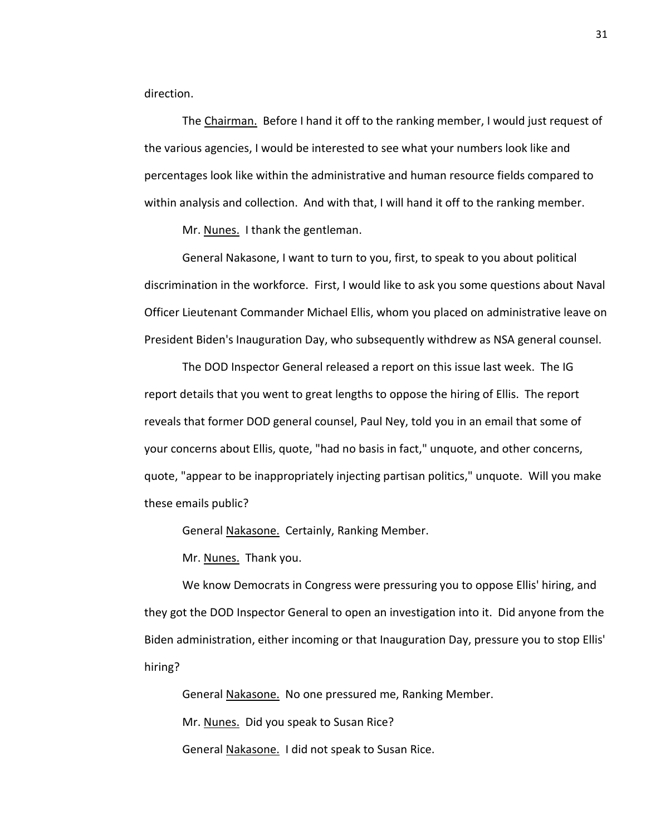direction.

The Chairman. Before I hand it off to the ranking member, I would just request of the various agencies, I would be interested to see what your numbers look like and percentages look like within the administrative and human resource fields compared to within analysis and collection. And with that, I will hand it off to the ranking member.

Mr. Nunes. I thank the gentleman.

General Nakasone, I want to turn to you, first, to speak to you about political discrimination in the workforce. First, I would like to ask you some questions about Naval Officer Lieutenant Commander Michael Ellis, whom you placed on administrative leave on President Biden's Inauguration Day, who subsequently withdrew as NSA general counsel.

The DOD Inspector General released a report on this issue last week. The IG report details that you went to great lengths to oppose the hiring of Ellis. The report reveals that former DOD general counsel, Paul Ney, told you in an email that some of your concerns about Ellis, quote, "had no basis in fact," unquote, and other concerns, quote, "appear to be inappropriately injecting partisan politics," unquote. Will you make these emails public?

General Nakasone. Certainly, Ranking Member.

Mr. Nunes. Thank you.

We know Democrats in Congress were pressuring you to oppose Ellis' hiring, and they got the DOD Inspector General to open an investigation into it. Did anyone from the Biden administration, either incoming or that Inauguration Day, pressure you to stop Ellis' hiring?

General Nakasone. No one pressured me, Ranking Member.

Mr. Nunes. Did you speak to Susan Rice?

General Nakasone. I did not speak to Susan Rice.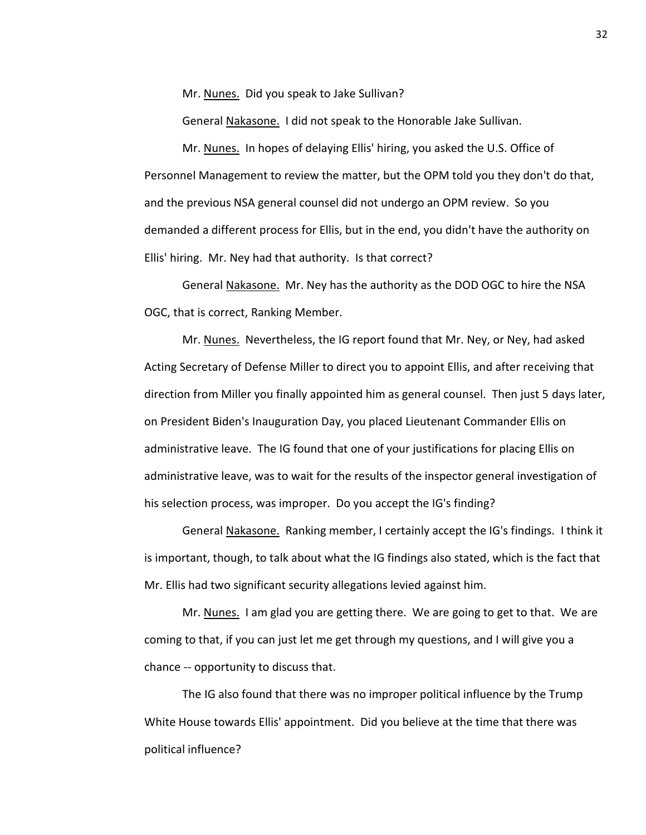Mr. Nunes. Did you speak to Jake Sullivan?

General Nakasone. I did not speak to the Honorable Jake Sullivan.

Mr. Nunes. In hopes of delaying Ellis' hiring, you asked the U.S. Office of Personnel Management to review the matter, but the OPM told you they don't do that, and the previous NSA general counsel did not undergo an OPM review. So you demanded a different process for Ellis, but in the end, you didn't have the authority on Ellis' hiring. Mr. Ney had that authority. Is that correct?

General Nakasone. Mr. Ney has the authority as the DOD OGC to hire the NSA OGC, that is correct, Ranking Member.

Mr. Nunes. Nevertheless, the IG report found that Mr. Ney, or Ney, had asked Acting Secretary of Defense Miller to direct you to appoint Ellis, and after receiving that direction from Miller you finally appointed him as general counsel. Then just 5 days later, on President Biden's Inauguration Day, you placed Lieutenant Commander Ellis on administrative leave. The IG found that one of your justifications for placing Ellis on administrative leave, was to wait for the results of the inspector general investigation of his selection process, was improper. Do you accept the IG's finding?

General Nakasone. Ranking member, I certainly accept the IG's findings. I think it is important, though, to talk about what the IG findings also stated, which is the fact that Mr. Ellis had two significant security allegations levied against him.

Mr. Nunes. I am glad you are getting there. We are going to get to that. We are coming to that, if you can just let me get through my questions, and I will give you a chance -- opportunity to discuss that.

The IG also found that there was no improper political influence by the Trump White House towards Ellis' appointment. Did you believe at the time that there was political influence?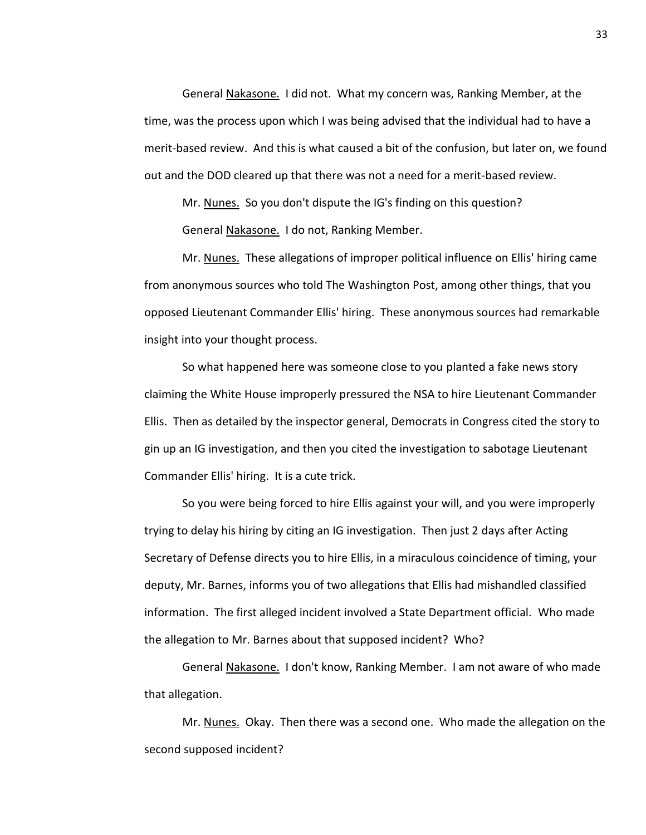General Nakasone. I did not. What my concern was, Ranking Member, at the time, was the process upon which I was being advised that the individual had to have a merit-based review. And this is what caused a bit of the confusion, but later on, we found out and the DOD cleared up that there was not a need for a merit-based review.

Mr. Nunes. So you don't dispute the IG's finding on this question? General Nakasone. I do not, Ranking Member.

Mr. Nunes. These allegations of improper political influence on Ellis' hiring came from anonymous sources who told The Washington Post, among other things, that you opposed Lieutenant Commander Ellis' hiring. These anonymous sources had remarkable insight into your thought process.

So what happened here was someone close to you planted a fake news story claiming the White House improperly pressured the NSA to hire Lieutenant Commander Ellis. Then as detailed by the inspector general, Democrats in Congress cited the story to gin up an IG investigation, and then you cited the investigation to sabotage Lieutenant Commander Ellis' hiring. It is a cute trick.

So you were being forced to hire Ellis against your will, and you were improperly trying to delay his hiring by citing an IG investigation. Then just 2 days after Acting Secretary of Defense directs you to hire Ellis, in a miraculous coincidence of timing, your deputy, Mr. Barnes, informs you of two allegations that Ellis had mishandled classified information. The first alleged incident involved a State Department official. Who made the allegation to Mr. Barnes about that supposed incident? Who?

General Nakasone. I don't know, Ranking Member. I am not aware of who made that allegation.

Mr. Nunes. Okay. Then there was a second one. Who made the allegation on the second supposed incident?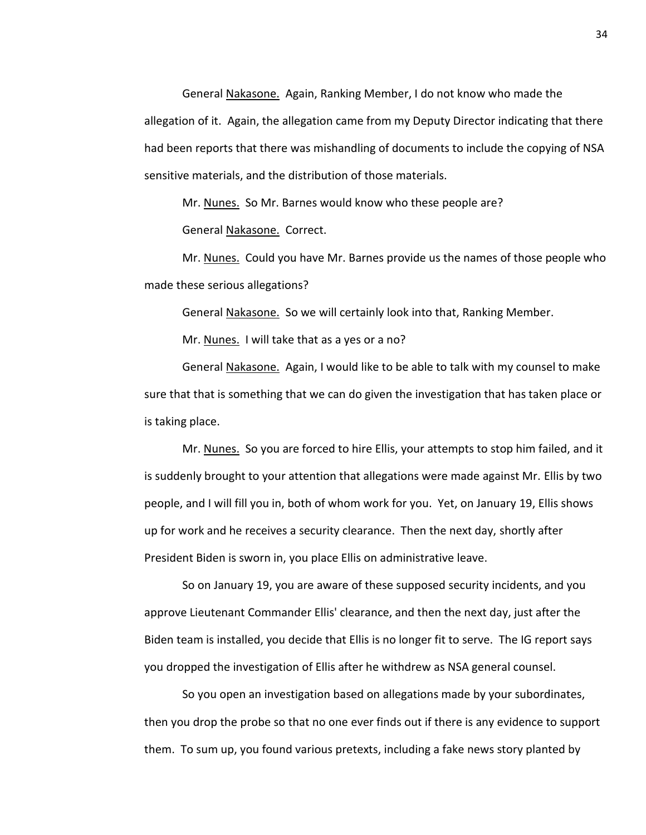General Nakasone. Again, Ranking Member, I do not know who made the allegation of it. Again, the allegation came from my Deputy Director indicating that there had been reports that there was mishandling of documents to include the copying of NSA sensitive materials, and the distribution of those materials.

Mr. Nunes. So Mr. Barnes would know who these people are?

General Nakasone. Correct.

Mr. Nunes. Could you have Mr. Barnes provide us the names of those people who made these serious allegations?

General Nakasone. So we will certainly look into that, Ranking Member.

Mr. Nunes. I will take that as a yes or a no?

General Nakasone. Again, I would like to be able to talk with my counsel to make sure that that is something that we can do given the investigation that has taken place or is taking place.

Mr. Nunes. So you are forced to hire Ellis, your attempts to stop him failed, and it is suddenly brought to your attention that allegations were made against Mr. Ellis by two people, and I will fill you in, both of whom work for you. Yet, on January 19, Ellis shows up for work and he receives a security clearance. Then the next day, shortly after President Biden is sworn in, you place Ellis on administrative leave.

So on January 19, you are aware of these supposed security incidents, and you approve Lieutenant Commander Ellis' clearance, and then the next day, just after the Biden team is installed, you decide that Ellis is no longer fit to serve. The IG report says you dropped the investigation of Ellis after he withdrew as NSA general counsel.

So you open an investigation based on allegations made by your subordinates, then you drop the probe so that no one ever finds out if there is any evidence to support them. To sum up, you found various pretexts, including a fake news story planted by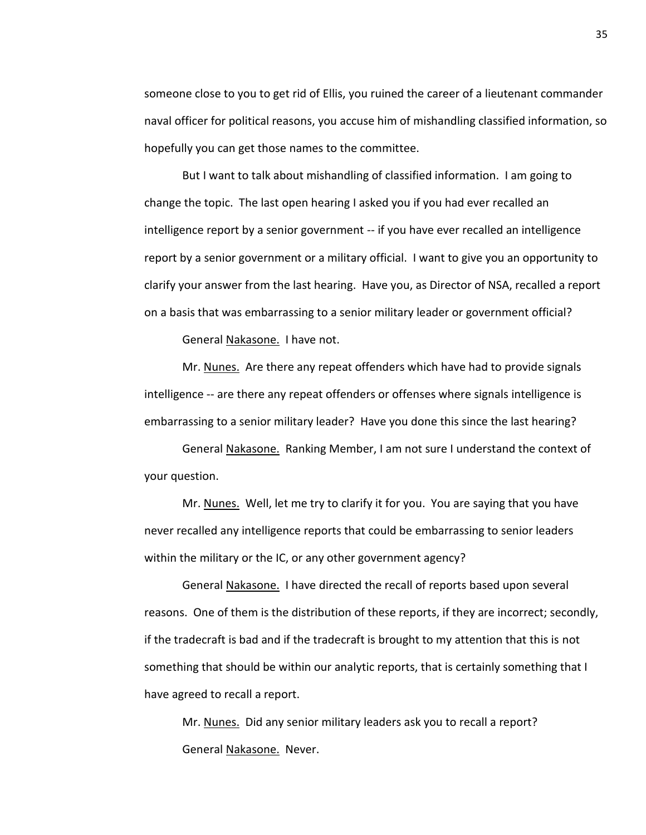someone close to you to get rid of Ellis, you ruined the career of a lieutenant commander naval officer for political reasons, you accuse him of mishandling classified information, so hopefully you can get those names to the committee.

But I want to talk about mishandling of classified information. I am going to change the topic. The last open hearing I asked you if you had ever recalled an intelligence report by a senior government -- if you have ever recalled an intelligence report by a senior government or a military official. I want to give you an opportunity to clarify your answer from the last hearing. Have you, as Director of NSA, recalled a report on a basis that was embarrassing to a senior military leader or government official?

General Nakasone. I have not.

Mr. Nunes. Are there any repeat offenders which have had to provide signals intelligence -- are there any repeat offenders or offenses where signals intelligence is embarrassing to a senior military leader? Have you done this since the last hearing?

General Nakasone. Ranking Member, I am not sure I understand the context of your question.

Mr. Nunes. Well, let me try to clarify it for you. You are saying that you have never recalled any intelligence reports that could be embarrassing to senior leaders within the military or the IC, or any other government agency?

General Nakasone. I have directed the recall of reports based upon several reasons. One of them is the distribution of these reports, if they are incorrect; secondly, if the tradecraft is bad and if the tradecraft is brought to my attention that this is not something that should be within our analytic reports, that is certainly something that I have agreed to recall a report.

Mr. Nunes. Did any senior military leaders ask you to recall a report? General Nakasone. Never.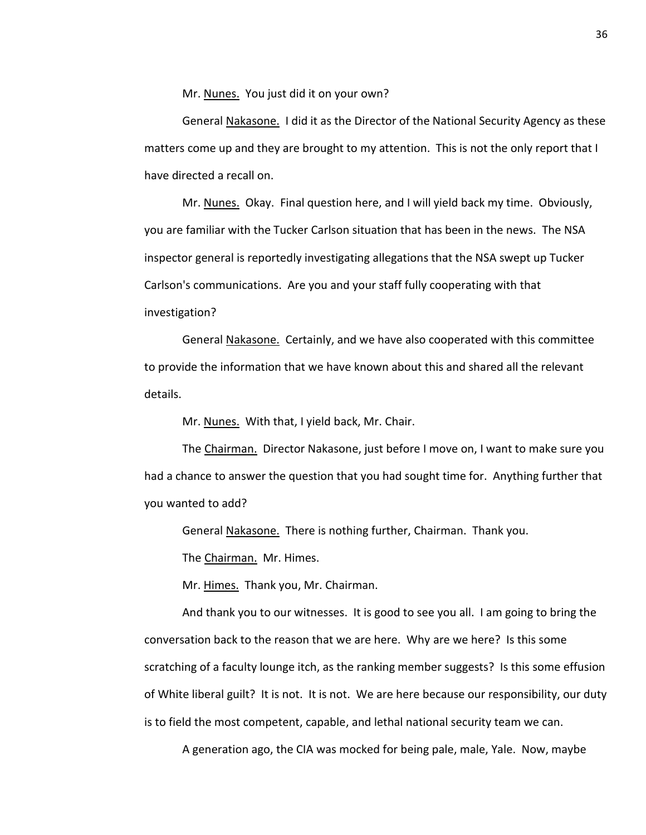Mr. Nunes. You just did it on your own?

General Nakasone. I did it as the Director of the National Security Agency as these matters come up and they are brought to my attention. This is not the only report that I have directed a recall on.

Mr. Nunes. Okay. Final question here, and I will yield back my time. Obviously, you are familiar with the Tucker Carlson situation that has been in the news. The NSA inspector general is reportedly investigating allegations that the NSA swept up Tucker Carlson's communications. Are you and your staff fully cooperating with that investigation?

General Nakasone. Certainly, and we have also cooperated with this committee to provide the information that we have known about this and shared all the relevant details.

Mr. Nunes. With that, I yield back, Mr. Chair.

The Chairman. Director Nakasone, just before I move on, I want to make sure you had a chance to answer the question that you had sought time for. Anything further that you wanted to add?

General Nakasone. There is nothing further, Chairman. Thank you.

The Chairman. Mr. Himes.

Mr. Himes. Thank you, Mr. Chairman.

And thank you to our witnesses. It is good to see you all. I am going to bring the conversation back to the reason that we are here. Why are we here? Is this some scratching of a faculty lounge itch, as the ranking member suggests? Is this some effusion of White liberal guilt? It is not. It is not. We are here because our responsibility, our duty is to field the most competent, capable, and lethal national security team we can.

A generation ago, the CIA was mocked for being pale, male, Yale. Now, maybe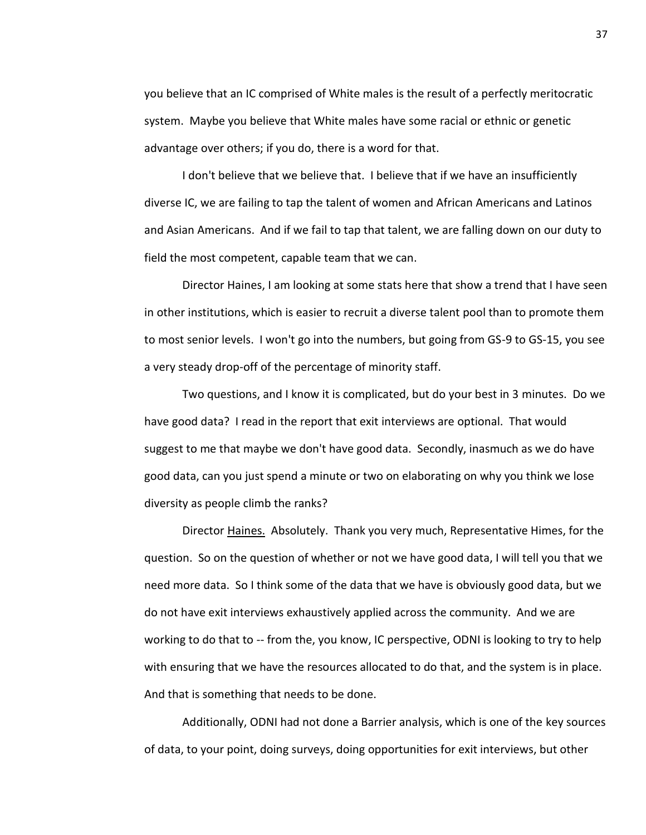you believe that an IC comprised of White males is the result of a perfectly meritocratic system. Maybe you believe that White males have some racial or ethnic or genetic advantage over others; if you do, there is a word for that.

I don't believe that we believe that. I believe that if we have an insufficiently diverse IC, we are failing to tap the talent of women and African Americans and Latinos and Asian Americans. And if we fail to tap that talent, we are falling down on our duty to field the most competent, capable team that we can.

Director Haines, I am looking at some stats here that show a trend that I have seen in other institutions, which is easier to recruit a diverse talent pool than to promote them to most senior levels. I won't go into the numbers, but going from GS-9 to GS-15, you see a very steady drop-off of the percentage of minority staff.

Two questions, and I know it is complicated, but do your best in 3 minutes. Do we have good data? I read in the report that exit interviews are optional. That would suggest to me that maybe we don't have good data. Secondly, inasmuch as we do have good data, can you just spend a minute or two on elaborating on why you think we lose diversity as people climb the ranks?

Director Haines. Absolutely. Thank you very much, Representative Himes, for the question. So on the question of whether or not we have good data, I will tell you that we need more data. So I think some of the data that we have is obviously good data, but we do not have exit interviews exhaustively applied across the community. And we are working to do that to -- from the, you know, IC perspective, ODNI is looking to try to help with ensuring that we have the resources allocated to do that, and the system is in place. And that is something that needs to be done.

Additionally, ODNI had not done a Barrier analysis, which is one of the key sources of data, to your point, doing surveys, doing opportunities for exit interviews, but other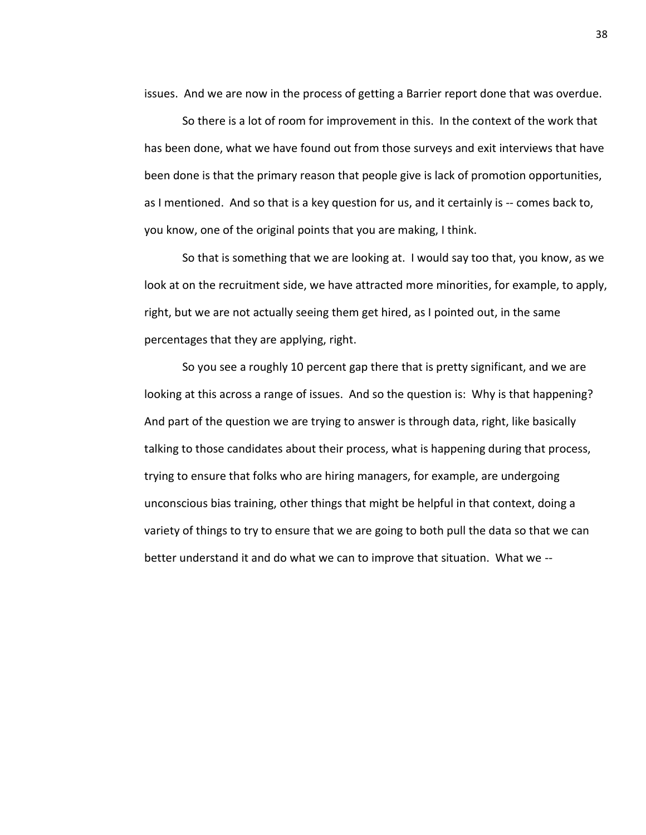issues. And we are now in the process of getting a Barrier report done that was overdue.

So there is a lot of room for improvement in this. In the context of the work that has been done, what we have found out from those surveys and exit interviews that have been done is that the primary reason that people give is lack of promotion opportunities, as I mentioned. And so that is a key question for us, and it certainly is -- comes back to, you know, one of the original points that you are making, I think.

So that is something that we are looking at. I would say too that, you know, as we look at on the recruitment side, we have attracted more minorities, for example, to apply, right, but we are not actually seeing them get hired, as I pointed out, in the same percentages that they are applying, right.

So you see a roughly 10 percent gap there that is pretty significant, and we are looking at this across a range of issues. And so the question is: Why is that happening? And part of the question we are trying to answer is through data, right, like basically talking to those candidates about their process, what is happening during that process, trying to ensure that folks who are hiring managers, for example, are undergoing unconscious bias training, other things that might be helpful in that context, doing a variety of things to try to ensure that we are going to both pull the data so that we can better understand it and do what we can to improve that situation. What we --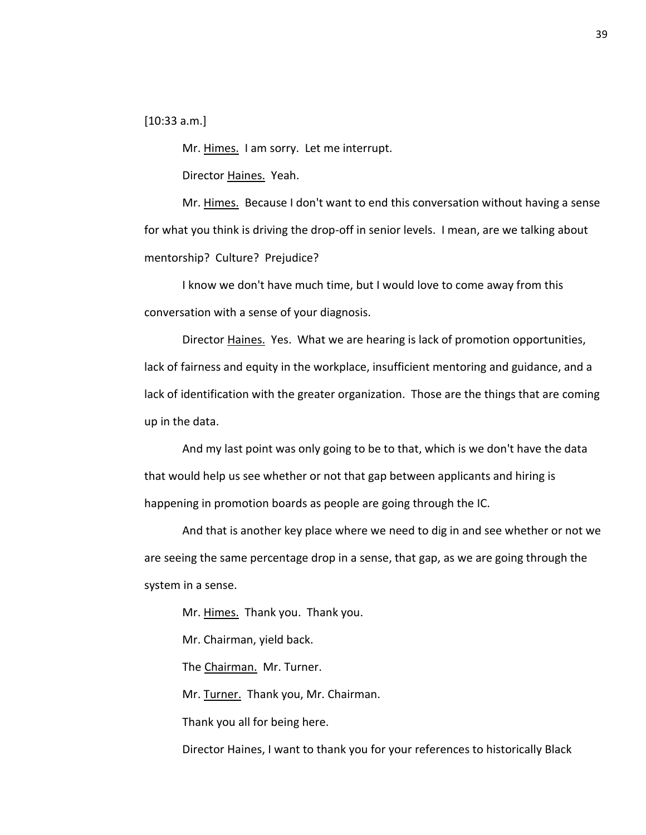[10:33 a.m.]

Mr. Himes. I am sorry. Let me interrupt.

Director Haines. Yeah.

Mr. Himes. Because I don't want to end this conversation without having a sense for what you think is driving the drop-off in senior levels. I mean, are we talking about mentorship? Culture? Prejudice?

I know we don't have much time, but I would love to come away from this conversation with a sense of your diagnosis.

Director Haines. Yes. What we are hearing is lack of promotion opportunities, lack of fairness and equity in the workplace, insufficient mentoring and guidance, and a lack of identification with the greater organization. Those are the things that are coming up in the data.

And my last point was only going to be to that, which is we don't have the data that would help us see whether or not that gap between applicants and hiring is happening in promotion boards as people are going through the IC.

And that is another key place where we need to dig in and see whether or not we are seeing the same percentage drop in a sense, that gap, as we are going through the system in a sense.

Mr. Himes. Thank you. Thank you.

Mr. Chairman, yield back.

The Chairman. Mr. Turner.

Mr. Turner. Thank you, Mr. Chairman.

Thank you all for being here.

Director Haines, I want to thank you for your references to historically Black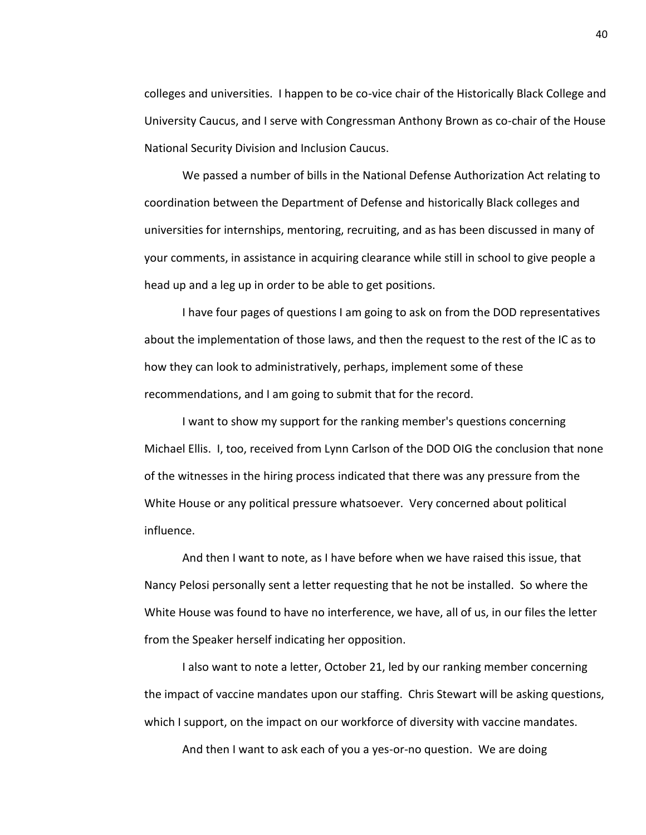colleges and universities. I happen to be co-vice chair of the Historically Black College and University Caucus, and I serve with Congressman Anthony Brown as co-chair of the House National Security Division and Inclusion Caucus.

We passed a number of bills in the National Defense Authorization Act relating to coordination between the Department of Defense and historically Black colleges and universities for internships, mentoring, recruiting, and as has been discussed in many of your comments, in assistance in acquiring clearance while still in school to give people a head up and a leg up in order to be able to get positions.

I have four pages of questions I am going to ask on from the DOD representatives about the implementation of those laws, and then the request to the rest of the IC as to how they can look to administratively, perhaps, implement some of these recommendations, and I am going to submit that for the record.

I want to show my support for the ranking member's questions concerning Michael Ellis. I, too, received from Lynn Carlson of the DOD OIG the conclusion that none of the witnesses in the hiring process indicated that there was any pressure from the White House or any political pressure whatsoever. Very concerned about political influence.

And then I want to note, as I have before when we have raised this issue, that Nancy Pelosi personally sent a letter requesting that he not be installed. So where the White House was found to have no interference, we have, all of us, in our files the letter from the Speaker herself indicating her opposition.

I also want to note a letter, October 21, led by our ranking member concerning the impact of vaccine mandates upon our staffing. Chris Stewart will be asking questions, which I support, on the impact on our workforce of diversity with vaccine mandates.

And then I want to ask each of you a yes-or-no question. We are doing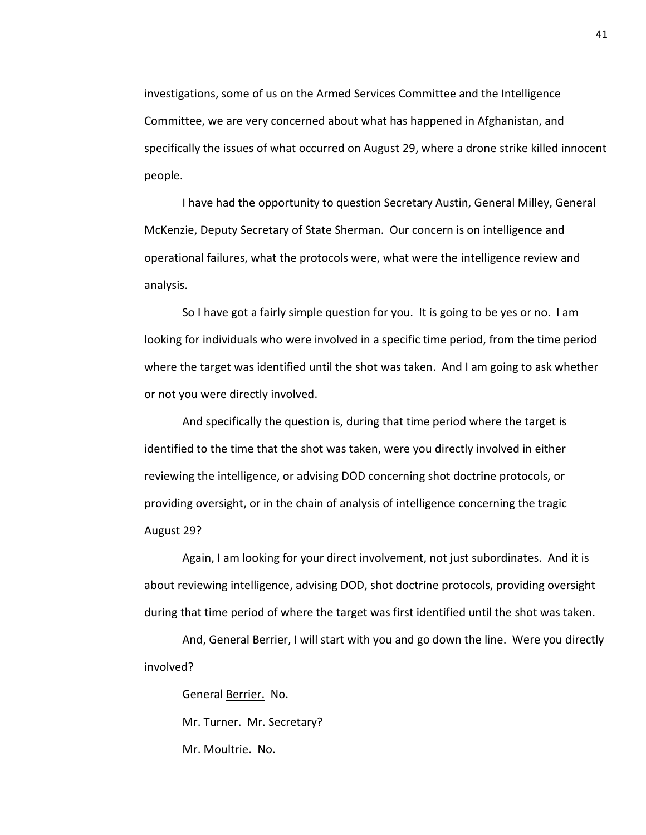investigations, some of us on the Armed Services Committee and the Intelligence Committee, we are very concerned about what has happened in Afghanistan, and specifically the issues of what occurred on August 29, where a drone strike killed innocent people.

I have had the opportunity to question Secretary Austin, General Milley, General McKenzie, Deputy Secretary of State Sherman. Our concern is on intelligence and operational failures, what the protocols were, what were the intelligence review and analysis.

So I have got a fairly simple question for you. It is going to be yes or no. I am looking for individuals who were involved in a specific time period, from the time period where the target was identified until the shot was taken. And I am going to ask whether or not you were directly involved.

And specifically the question is, during that time period where the target is identified to the time that the shot was taken, were you directly involved in either reviewing the intelligence, or advising DOD concerning shot doctrine protocols, or providing oversight, or in the chain of analysis of intelligence concerning the tragic August 29?

Again, I am looking for your direct involvement, not just subordinates. And it is about reviewing intelligence, advising DOD, shot doctrine protocols, providing oversight during that time period of where the target was first identified until the shot was taken.

And, General Berrier, I will start with you and go down the line. Were you directly involved?

General Berrier. No.

Mr. Turner. Mr. Secretary?

Mr. Moultrie. No.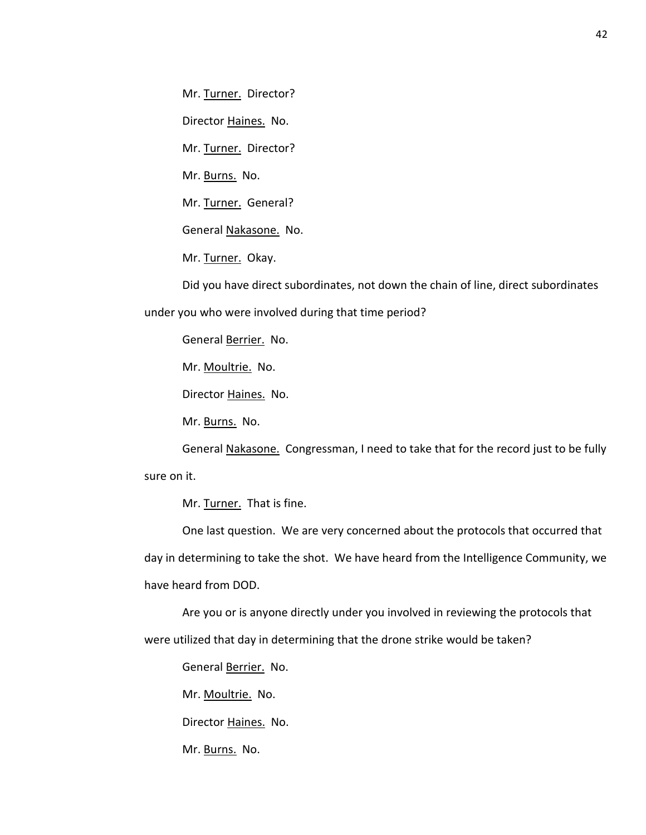Mr. Turner. Director?

Director Haines. No.

Mr. Turner. Director?

Mr. Burns. No.

Mr. Turner. General?

General Nakasone. No.

Mr. Turner. Okay.

Did you have direct subordinates, not down the chain of line, direct subordinates under you who were involved during that time period?

General Berrier. No.

Mr. Moultrie. No.

Director Haines. No.

Mr. Burns. No.

General Nakasone. Congressman, I need to take that for the record just to be fully sure on it.

Mr. Turner. That is fine.

One last question. We are very concerned about the protocols that occurred that day in determining to take the shot. We have heard from the Intelligence Community, we have heard from DOD.

Are you or is anyone directly under you involved in reviewing the protocols that were utilized that day in determining that the drone strike would be taken?

General Berrier. No.

Mr. Moultrie. No.

Director Haines. No.

Mr. Burns. No.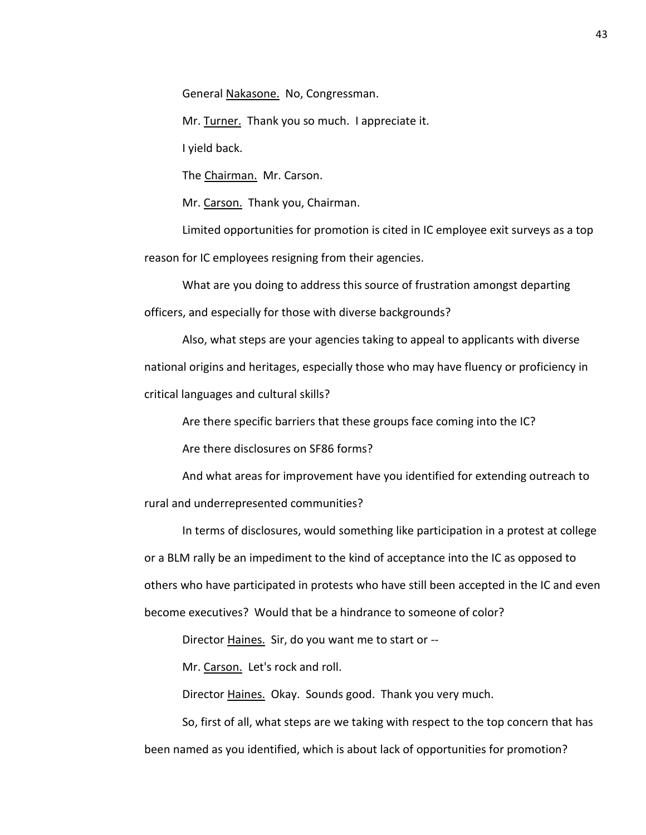General Nakasone. No, Congressman.

Mr. Turner. Thank you so much. I appreciate it.

I yield back.

The Chairman. Mr. Carson.

Mr. Carson. Thank you, Chairman.

Limited opportunities for promotion is cited in IC employee exit surveys as a top reason for IC employees resigning from their agencies.

What are you doing to address this source of frustration amongst departing officers, and especially for those with diverse backgrounds?

Also, what steps are your agencies taking to appeal to applicants with diverse national origins and heritages, especially those who may have fluency or proficiency in critical languages and cultural skills?

Are there specific barriers that these groups face coming into the IC?

Are there disclosures on SF86 forms?

And what areas for improvement have you identified for extending outreach to rural and underrepresented communities?

In terms of disclosures, would something like participation in a protest at college or a BLM rally be an impediment to the kind of acceptance into the IC as opposed to others who have participated in protests who have still been accepted in the IC and even become executives? Would that be a hindrance to someone of color?

Director Haines. Sir, do you want me to start or --

Mr. Carson. Let's rock and roll.

Director Haines. Okay. Sounds good. Thank you very much.

So, first of all, what steps are we taking with respect to the top concern that has been named as you identified, which is about lack of opportunities for promotion?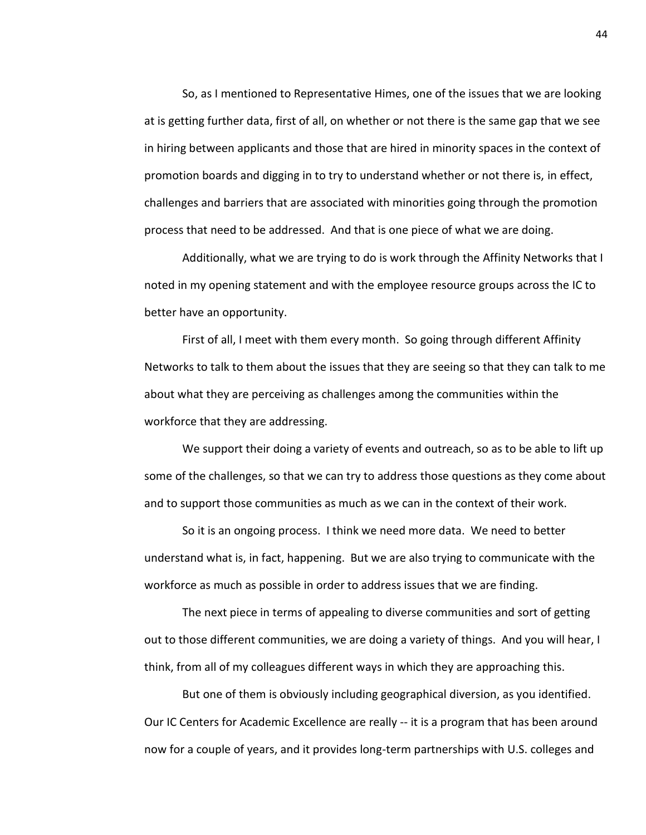So, as I mentioned to Representative Himes, one of the issues that we are looking at is getting further data, first of all, on whether or not there is the same gap that we see in hiring between applicants and those that are hired in minority spaces in the context of promotion boards and digging in to try to understand whether or not there is, in effect, challenges and barriers that are associated with minorities going through the promotion process that need to be addressed. And that is one piece of what we are doing.

Additionally, what we are trying to do is work through the Affinity Networks that I noted in my opening statement and with the employee resource groups across the IC to better have an opportunity.

First of all, I meet with them every month. So going through different Affinity Networks to talk to them about the issues that they are seeing so that they can talk to me about what they are perceiving as challenges among the communities within the workforce that they are addressing.

We support their doing a variety of events and outreach, so as to be able to lift up some of the challenges, so that we can try to address those questions as they come about and to support those communities as much as we can in the context of their work.

So it is an ongoing process. I think we need more data. We need to better understand what is, in fact, happening. But we are also trying to communicate with the workforce as much as possible in order to address issues that we are finding.

The next piece in terms of appealing to diverse communities and sort of getting out to those different communities, we are doing a variety of things. And you will hear, I think, from all of my colleagues different ways in which they are approaching this.

But one of them is obviously including geographical diversion, as you identified. Our IC Centers for Academic Excellence are really -- it is a program that has been around now for a couple of years, and it provides long-term partnerships with U.S. colleges and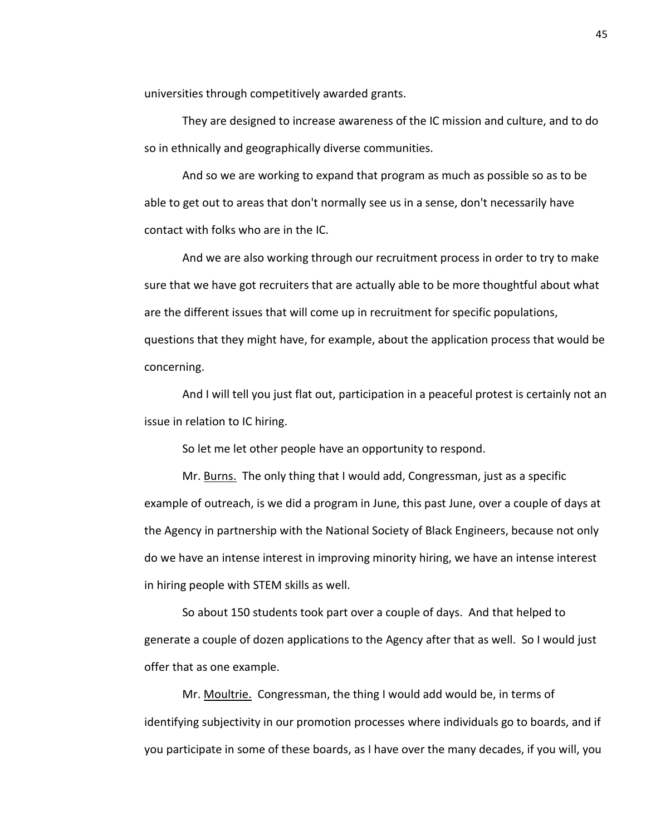universities through competitively awarded grants.

They are designed to increase awareness of the IC mission and culture, and to do so in ethnically and geographically diverse communities.

And so we are working to expand that program as much as possible so as to be able to get out to areas that don't normally see us in a sense, don't necessarily have contact with folks who are in the IC.

And we are also working through our recruitment process in order to try to make sure that we have got recruiters that are actually able to be more thoughtful about what are the different issues that will come up in recruitment for specific populations, questions that they might have, for example, about the application process that would be concerning.

And I will tell you just flat out, participation in a peaceful protest is certainly not an issue in relation to IC hiring.

So let me let other people have an opportunity to respond.

Mr. Burns. The only thing that I would add, Congressman, just as a specific example of outreach, is we did a program in June, this past June, over a couple of days at the Agency in partnership with the National Society of Black Engineers, because not only do we have an intense interest in improving minority hiring, we have an intense interest in hiring people with STEM skills as well.

So about 150 students took part over a couple of days. And that helped to generate a couple of dozen applications to the Agency after that as well. So I would just offer that as one example.

Mr. Moultrie. Congressman, the thing I would add would be, in terms of identifying subjectivity in our promotion processes where individuals go to boards, and if you participate in some of these boards, as I have over the many decades, if you will, you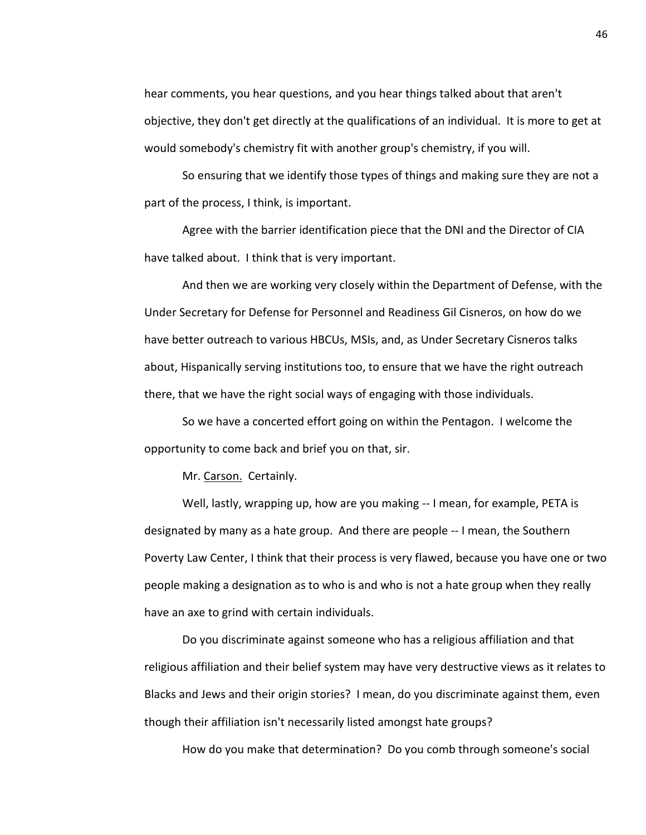hear comments, you hear questions, and you hear things talked about that aren't objective, they don't get directly at the qualifications of an individual. It is more to get at would somebody's chemistry fit with another group's chemistry, if you will.

So ensuring that we identify those types of things and making sure they are not a part of the process, I think, is important.

Agree with the barrier identification piece that the DNI and the Director of CIA have talked about. I think that is very important.

And then we are working very closely within the Department of Defense, with the Under Secretary for Defense for Personnel and Readiness Gil Cisneros, on how do we have better outreach to various HBCUs, MSIs, and, as Under Secretary Cisneros talks about, Hispanically serving institutions too, to ensure that we have the right outreach there, that we have the right social ways of engaging with those individuals.

So we have a concerted effort going on within the Pentagon. I welcome the opportunity to come back and brief you on that, sir.

Mr. Carson. Certainly.

Well, lastly, wrapping up, how are you making -- I mean, for example, PETA is designated by many as a hate group. And there are people -- I mean, the Southern Poverty Law Center, I think that their process is very flawed, because you have one or two people making a designation as to who is and who is not a hate group when they really have an axe to grind with certain individuals.

Do you discriminate against someone who has a religious affiliation and that religious affiliation and their belief system may have very destructive views as it relates to Blacks and Jews and their origin stories? I mean, do you discriminate against them, even though their affiliation isn't necessarily listed amongst hate groups?

How do you make that determination? Do you comb through someone's social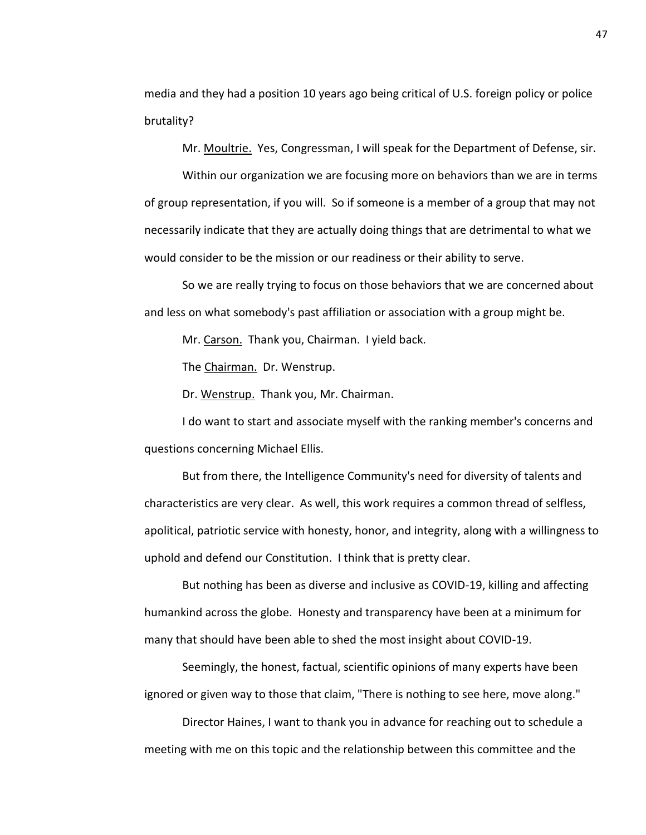media and they had a position 10 years ago being critical of U.S. foreign policy or police brutality?

Mr. Moultrie. Yes, Congressman, I will speak for the Department of Defense, sir.

Within our organization we are focusing more on behaviors than we are in terms of group representation, if you will. So if someone is a member of a group that may not necessarily indicate that they are actually doing things that are detrimental to what we would consider to be the mission or our readiness or their ability to serve.

So we are really trying to focus on those behaviors that we are concerned about and less on what somebody's past affiliation or association with a group might be.

Mr. Carson. Thank you, Chairman. I yield back.

The Chairman. Dr. Wenstrup.

Dr. Wenstrup. Thank you, Mr. Chairman.

I do want to start and associate myself with the ranking member's concerns and questions concerning Michael Ellis.

But from there, the Intelligence Community's need for diversity of talents and characteristics are very clear. As well, this work requires a common thread of selfless, apolitical, patriotic service with honesty, honor, and integrity, along with a willingness to uphold and defend our Constitution. I think that is pretty clear.

But nothing has been as diverse and inclusive as COVID-19, killing and affecting humankind across the globe. Honesty and transparency have been at a minimum for many that should have been able to shed the most insight about COVID-19.

Seemingly, the honest, factual, scientific opinions of many experts have been ignored or given way to those that claim, "There is nothing to see here, move along."

Director Haines, I want to thank you in advance for reaching out to schedule a meeting with me on this topic and the relationship between this committee and the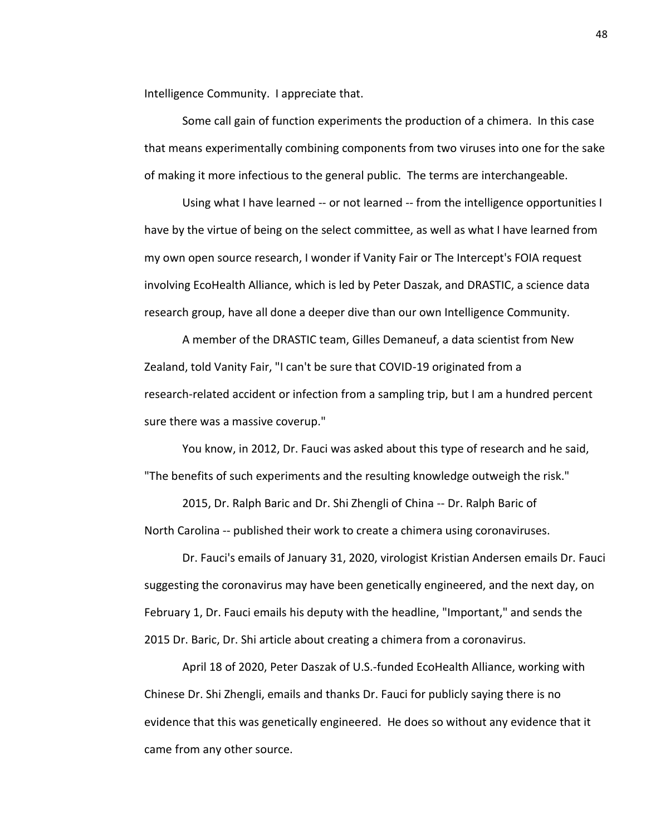Intelligence Community. I appreciate that.

Some call gain of function experiments the production of a chimera. In this case that means experimentally combining components from two viruses into one for the sake of making it more infectious to the general public. The terms are interchangeable.

Using what I have learned -- or not learned -- from the intelligence opportunities I have by the virtue of being on the select committee, as well as what I have learned from my own open source research, I wonder if Vanity Fair or The Intercept's FOIA request involving EcoHealth Alliance, which is led by Peter Daszak, and DRASTIC, a science data research group, have all done a deeper dive than our own Intelligence Community.

A member of the DRASTIC team, Gilles Demaneuf, a data scientist from New Zealand, told Vanity Fair, "I can't be sure that COVID-19 originated from a research-related accident or infection from a sampling trip, but I am a hundred percent sure there was a massive coverup."

You know, in 2012, Dr. Fauci was asked about this type of research and he said, "The benefits of such experiments and the resulting knowledge outweigh the risk."

2015, Dr. Ralph Baric and Dr. Shi Zhengli of China -- Dr. Ralph Baric of North Carolina -- published their work to create a chimera using coronaviruses.

Dr. Fauci's emails of January 31, 2020, virologist Kristian Andersen emails Dr. Fauci suggesting the coronavirus may have been genetically engineered, and the next day, on February 1, Dr. Fauci emails his deputy with the headline, "Important," and sends the 2015 Dr. Baric, Dr. Shi article about creating a chimera from a coronavirus.

April 18 of 2020, Peter Daszak of U.S.-funded EcoHealth Alliance, working with Chinese Dr. Shi Zhengli, emails and thanks Dr. Fauci for publicly saying there is no evidence that this was genetically engineered. He does so without any evidence that it came from any other source.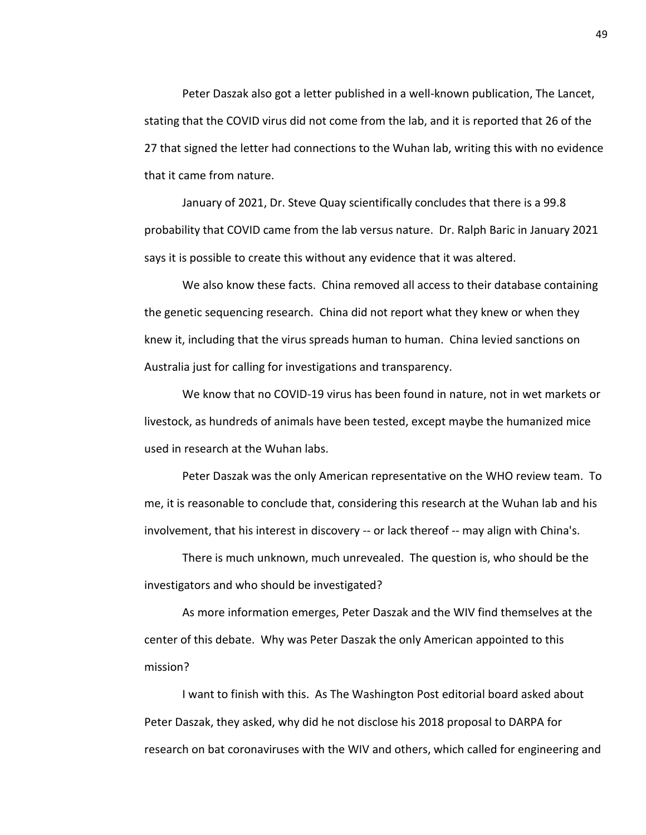Peter Daszak also got a letter published in a well-known publication, The Lancet, stating that the COVID virus did not come from the lab, and it is reported that 26 of the 27 that signed the letter had connections to the Wuhan lab, writing this with no evidence that it came from nature.

January of 2021, Dr. Steve Quay scientifically concludes that there is a 99.8 probability that COVID came from the lab versus nature. Dr. Ralph Baric in January 2021 says it is possible to create this without any evidence that it was altered.

We also know these facts. China removed all access to their database containing the genetic sequencing research. China did not report what they knew or when they knew it, including that the virus spreads human to human. China levied sanctions on Australia just for calling for investigations and transparency.

We know that no COVID-19 virus has been found in nature, not in wet markets or livestock, as hundreds of animals have been tested, except maybe the humanized mice used in research at the Wuhan labs.

Peter Daszak was the only American representative on the WHO review team. To me, it is reasonable to conclude that, considering this research at the Wuhan lab and his involvement, that his interest in discovery -- or lack thereof -- may align with China's.

There is much unknown, much unrevealed. The question is, who should be the investigators and who should be investigated?

As more information emerges, Peter Daszak and the WIV find themselves at the center of this debate. Why was Peter Daszak the only American appointed to this mission?

I want to finish with this. As The Washington Post editorial board asked about Peter Daszak, they asked, why did he not disclose his 2018 proposal to DARPA for research on bat coronaviruses with the WIV and others, which called for engineering and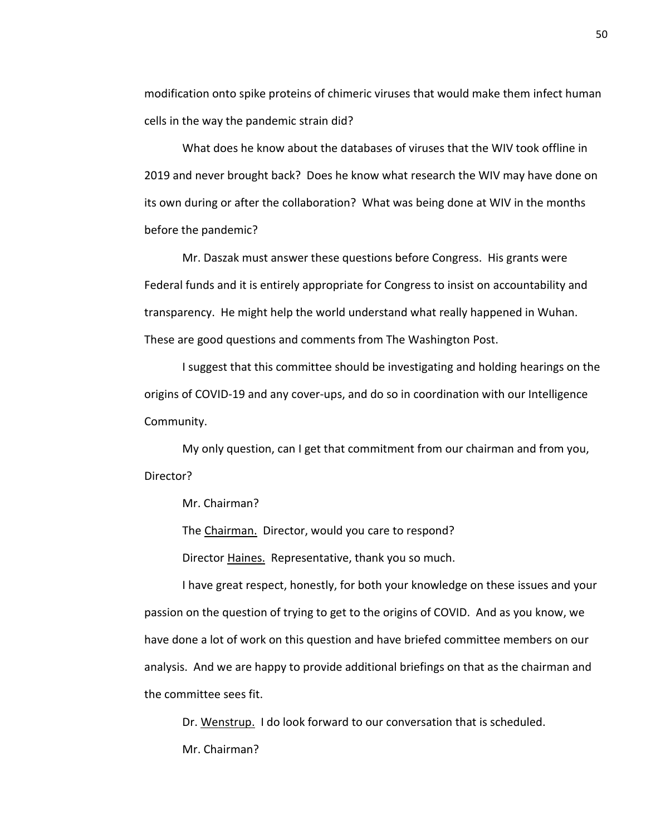modification onto spike proteins of chimeric viruses that would make them infect human cells in the way the pandemic strain did?

What does he know about the databases of viruses that the WIV took offline in 2019 and never brought back? Does he know what research the WIV may have done on its own during or after the collaboration? What was being done at WIV in the months before the pandemic?

Mr. Daszak must answer these questions before Congress. His grants were Federal funds and it is entirely appropriate for Congress to insist on accountability and transparency. He might help the world understand what really happened in Wuhan. These are good questions and comments from The Washington Post.

I suggest that this committee should be investigating and holding hearings on the origins of COVID-19 and any cover-ups, and do so in coordination with our Intelligence Community.

My only question, can I get that commitment from our chairman and from you, Director?

Mr. Chairman?

The Chairman. Director, would you care to respond?

Director Haines. Representative, thank you so much.

I have great respect, honestly, for both your knowledge on these issues and your passion on the question of trying to get to the origins of COVID. And as you know, we have done a lot of work on this question and have briefed committee members on our analysis. And we are happy to provide additional briefings on that as the chairman and the committee sees fit.

Dr. Wenstrup. I do look forward to our conversation that is scheduled. Mr. Chairman?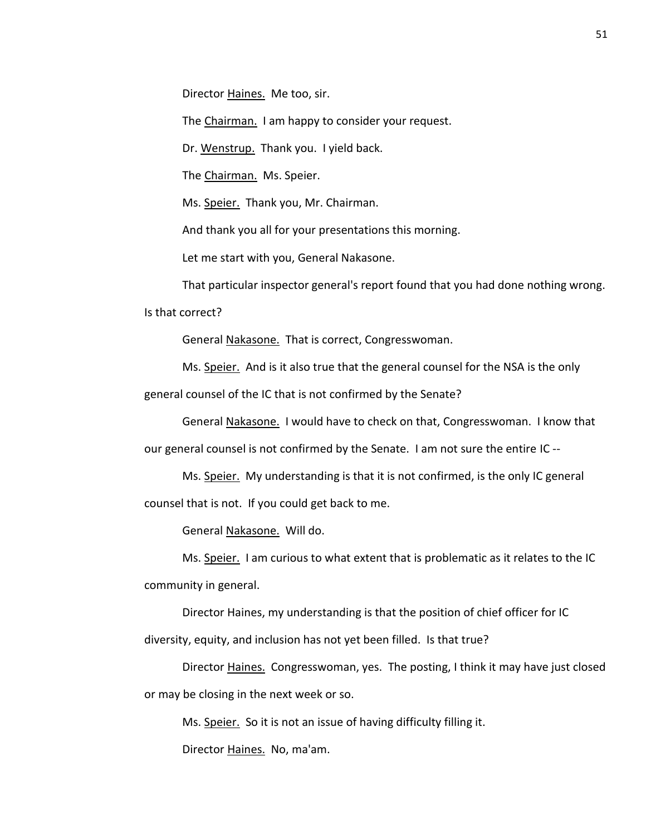Director Haines. Me too, sir.

The Chairman. I am happy to consider your request.

Dr. Wenstrup. Thank you. I yield back.

The Chairman. Ms. Speier.

Ms. Speier. Thank you, Mr. Chairman.

And thank you all for your presentations this morning.

Let me start with you, General Nakasone.

That particular inspector general's report found that you had done nothing wrong.

Is that correct?

General Nakasone. That is correct, Congresswoman.

Ms. Speier. And is it also true that the general counsel for the NSA is the only

general counsel of the IC that is not confirmed by the Senate?

General Nakasone. I would have to check on that, Congresswoman. I know that our general counsel is not confirmed by the Senate. I am not sure the entire IC --

Ms. Speier. My understanding is that it is not confirmed, is the only IC general counsel that is not. If you could get back to me.

General Nakasone. Will do.

Ms. Speier. I am curious to what extent that is problematic as it relates to the IC community in general.

Director Haines, my understanding is that the position of chief officer for IC diversity, equity, and inclusion has not yet been filled. Is that true?

Director Haines. Congresswoman, yes. The posting, I think it may have just closed or may be closing in the next week or so.

Ms. Speier. So it is not an issue of having difficulty filling it.

Director Haines. No, ma'am.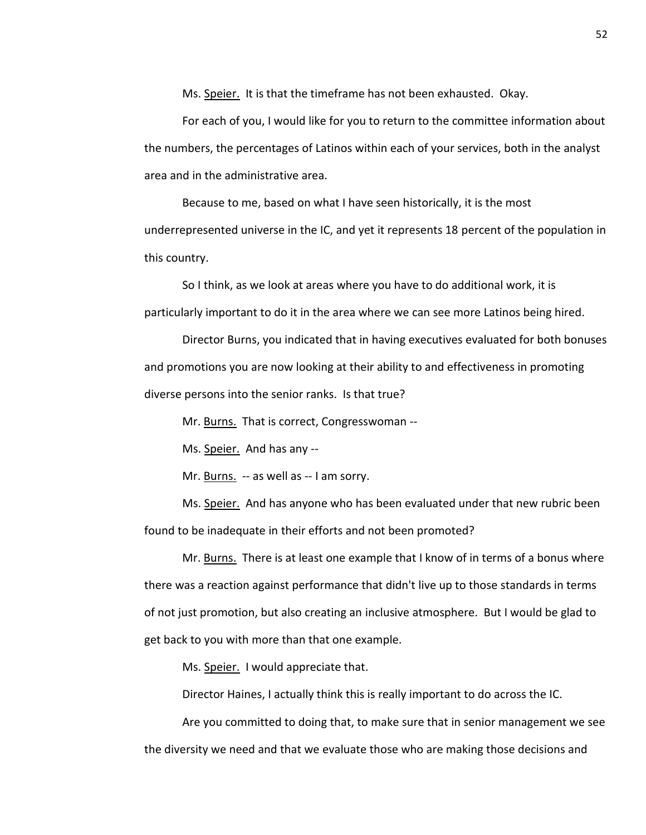Ms. Speier. It is that the timeframe has not been exhausted. Okay.

For each of you, I would like for you to return to the committee information about the numbers, the percentages of Latinos within each of your services, both in the analyst area and in the administrative area.

Because to me, based on what I have seen historically, it is the most underrepresented universe in the IC, and yet it represents 18 percent of the population in this country.

So I think, as we look at areas where you have to do additional work, it is particularly important to do it in the area where we can see more Latinos being hired.

Director Burns, you indicated that in having executives evaluated for both bonuses and promotions you are now looking at their ability to and effectiveness in promoting diverse persons into the senior ranks. Is that true?

Mr. Burns. That is correct, Congresswoman --

Ms. Speier. And has any --

Mr. Burns. -- as well as -- I am sorry.

Ms. Speier. And has anyone who has been evaluated under that new rubric been found to be inadequate in their efforts and not been promoted?

Mr. Burns. There is at least one example that I know of in terms of a bonus where there was a reaction against performance that didn't live up to those standards in terms of not just promotion, but also creating an inclusive atmosphere. But I would be glad to get back to you with more than that one example.

Ms. Speier. I would appreciate that.

Director Haines, I actually think this is really important to do across the IC.

Are you committed to doing that, to make sure that in senior management we see the diversity we need and that we evaluate those who are making those decisions and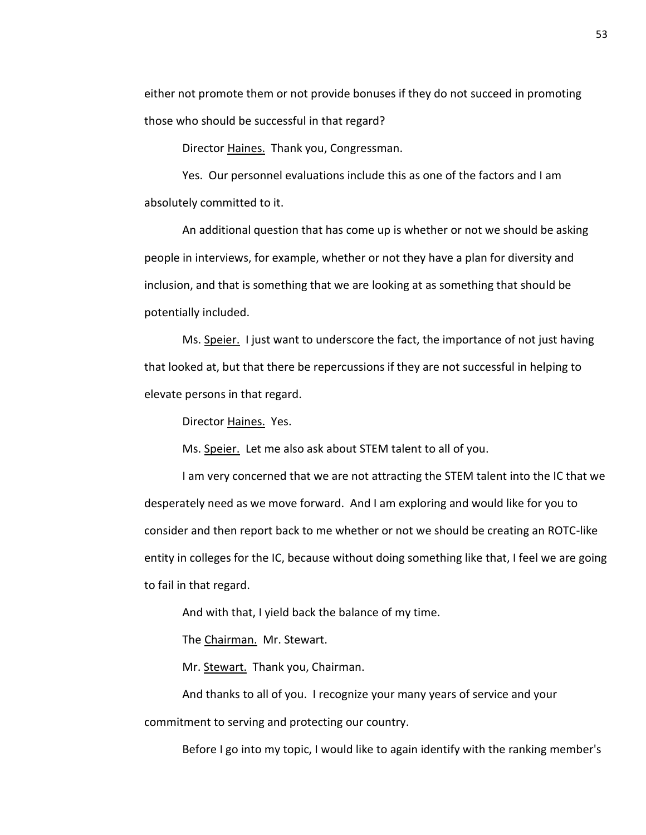either not promote them or not provide bonuses if they do not succeed in promoting those who should be successful in that regard?

Director Haines. Thank you, Congressman.

Yes. Our personnel evaluations include this as one of the factors and I am absolutely committed to it.

An additional question that has come up is whether or not we should be asking people in interviews, for example, whether or not they have a plan for diversity and inclusion, and that is something that we are looking at as something that should be potentially included.

Ms. Speier. I just want to underscore the fact, the importance of not just having that looked at, but that there be repercussions if they are not successful in helping to elevate persons in that regard.

Director Haines. Yes.

Ms. Speier. Let me also ask about STEM talent to all of you.

I am very concerned that we are not attracting the STEM talent into the IC that we desperately need as we move forward. And I am exploring and would like for you to consider and then report back to me whether or not we should be creating an ROTC-like entity in colleges for the IC, because without doing something like that, I feel we are going to fail in that regard.

And with that, I yield back the balance of my time.

The Chairman. Mr. Stewart.

Mr. Stewart. Thank you, Chairman.

And thanks to all of you. I recognize your many years of service and your

commitment to serving and protecting our country.

Before I go into my topic, I would like to again identify with the ranking member's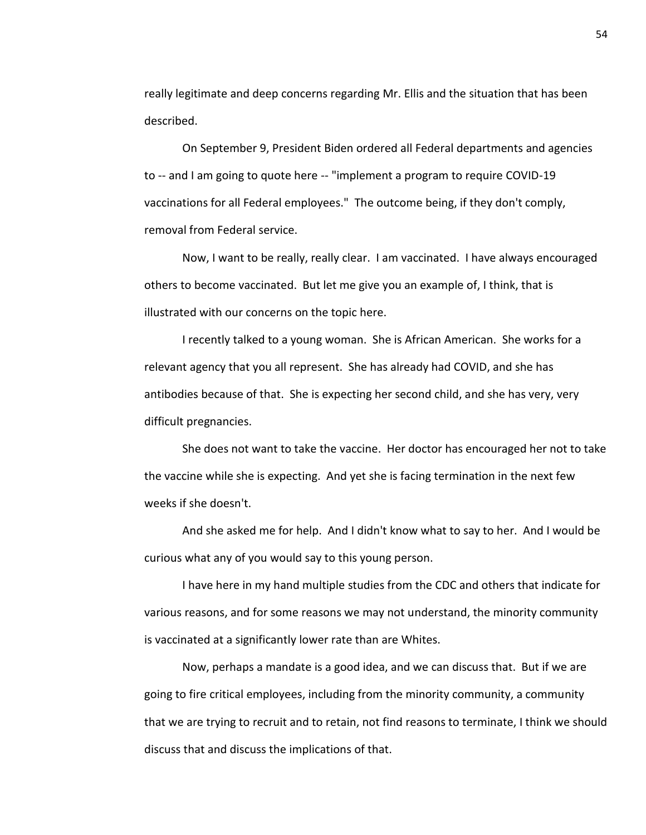really legitimate and deep concerns regarding Mr. Ellis and the situation that has been described.

On September 9, President Biden ordered all Federal departments and agencies to -- and I am going to quote here -- "implement a program to require COVID-19 vaccinations for all Federal employees." The outcome being, if they don't comply, removal from Federal service.

Now, I want to be really, really clear. I am vaccinated. I have always encouraged others to become vaccinated. But let me give you an example of, I think, that is illustrated with our concerns on the topic here.

I recently talked to a young woman. She is African American. She works for a relevant agency that you all represent. She has already had COVID, and she has antibodies because of that. She is expecting her second child, and she has very, very difficult pregnancies.

She does not want to take the vaccine. Her doctor has encouraged her not to take the vaccine while she is expecting. And yet she is facing termination in the next few weeks if she doesn't.

And she asked me for help. And I didn't know what to say to her. And I would be curious what any of you would say to this young person.

I have here in my hand multiple studies from the CDC and others that indicate for various reasons, and for some reasons we may not understand, the minority community is vaccinated at a significantly lower rate than are Whites.

Now, perhaps a mandate is a good idea, and we can discuss that. But if we are going to fire critical employees, including from the minority community, a community that we are trying to recruit and to retain, not find reasons to terminate, I think we should discuss that and discuss the implications of that.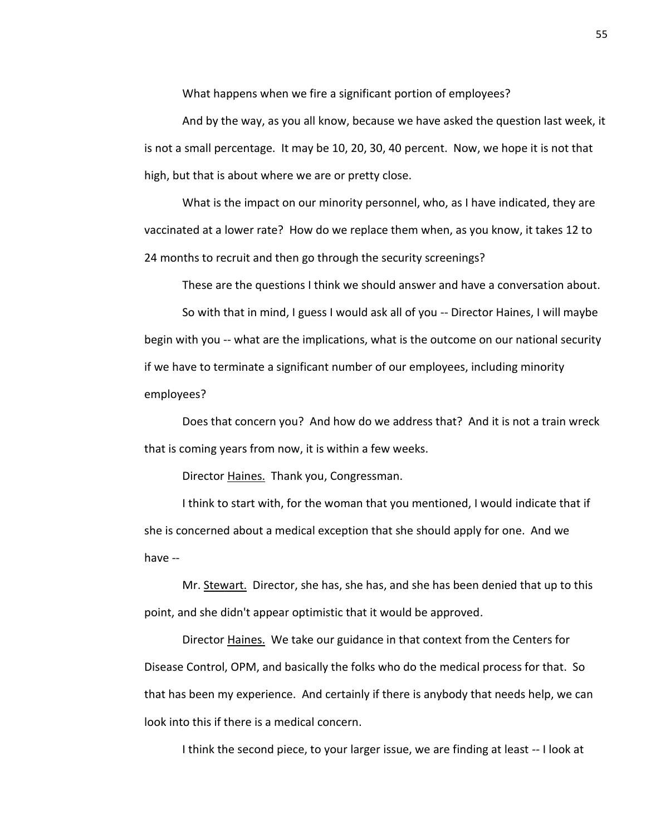What happens when we fire a significant portion of employees?

And by the way, as you all know, because we have asked the question last week, it is not a small percentage. It may be 10, 20, 30, 40 percent. Now, we hope it is not that high, but that is about where we are or pretty close.

What is the impact on our minority personnel, who, as I have indicated, they are vaccinated at a lower rate? How do we replace them when, as you know, it takes 12 to 24 months to recruit and then go through the security screenings?

These are the questions I think we should answer and have a conversation about.

So with that in mind, I guess I would ask all of you -- Director Haines, I will maybe begin with you -- what are the implications, what is the outcome on our national security if we have to terminate a significant number of our employees, including minority employees?

Does that concern you? And how do we address that? And it is not a train wreck that is coming years from now, it is within a few weeks.

Director Haines. Thank you, Congressman.

I think to start with, for the woman that you mentioned, I would indicate that if she is concerned about a medical exception that she should apply for one. And we have --

Mr. Stewart. Director, she has, she has, and she has been denied that up to this point, and she didn't appear optimistic that it would be approved.

Director Haines. We take our guidance in that context from the Centers for Disease Control, OPM, and basically the folks who do the medical process for that. So that has been my experience. And certainly if there is anybody that needs help, we can look into this if there is a medical concern.

I think the second piece, to your larger issue, we are finding at least -- I look at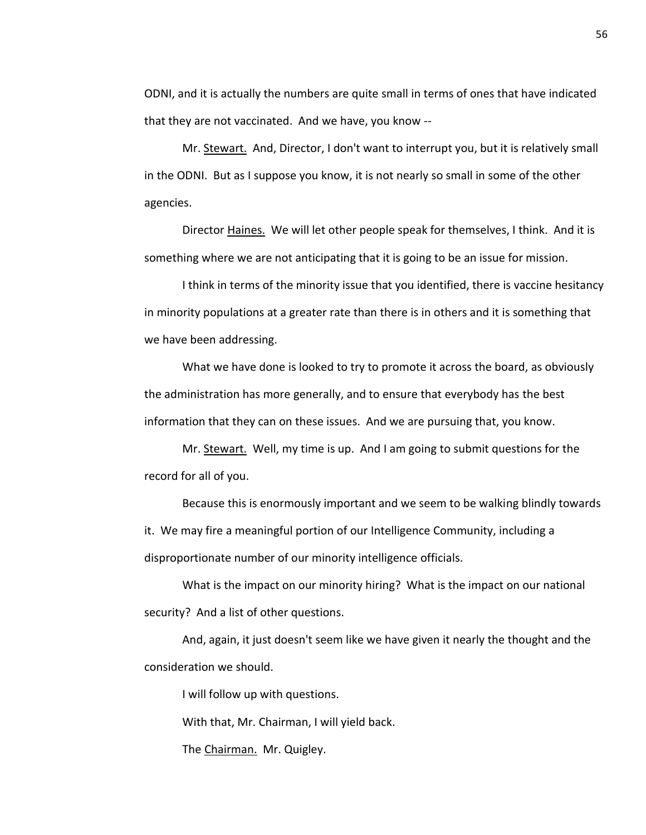ODNI, and it is actually the numbers are quite small in terms of ones that have indicated that they are not vaccinated. And we have, you know --

Mr. Stewart. And, Director, I don't want to interrupt you, but it is relatively small in the ODNI. But as I suppose you know, it is not nearly so small in some of the other agencies.

Director Haines. We will let other people speak for themselves, I think. And it is something where we are not anticipating that it is going to be an issue for mission.

I think in terms of the minority issue that you identified, there is vaccine hesitancy in minority populations at a greater rate than there is in others and it is something that we have been addressing.

What we have done is looked to try to promote it across the board, as obviously the administration has more generally, and to ensure that everybody has the best information that they can on these issues. And we are pursuing that, you know.

Mr. Stewart. Well, my time is up. And I am going to submit questions for the record for all of you.

Because this is enormously important and we seem to be walking blindly towards it. We may fire a meaningful portion of our Intelligence Community, including a disproportionate number of our minority intelligence officials.

What is the impact on our minority hiring? What is the impact on our national security? And a list of other questions.

And, again, it just doesn't seem like we have given it nearly the thought and the consideration we should.

I will follow up with questions.

With that, Mr. Chairman, I will yield back.

The Chairman. Mr. Quigley.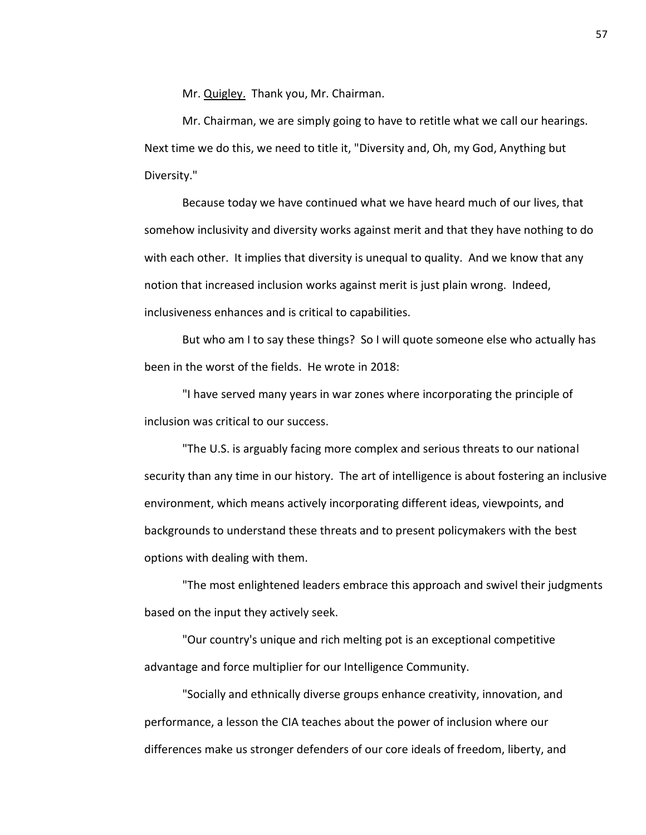Mr. Quigley. Thank you, Mr. Chairman.

Mr. Chairman, we are simply going to have to retitle what we call our hearings. Next time we do this, we need to title it, "Diversity and, Oh, my God, Anything but Diversity."

Because today we have continued what we have heard much of our lives, that somehow inclusivity and diversity works against merit and that they have nothing to do with each other. It implies that diversity is unequal to quality. And we know that any notion that increased inclusion works against merit is just plain wrong. Indeed, inclusiveness enhances and is critical to capabilities.

But who am I to say these things? So I will quote someone else who actually has been in the worst of the fields. He wrote in 2018:

"I have served many years in war zones where incorporating the principle of inclusion was critical to our success.

"The U.S. is arguably facing more complex and serious threats to our national security than any time in our history. The art of intelligence is about fostering an inclusive environment, which means actively incorporating different ideas, viewpoints, and backgrounds to understand these threats and to present policymakers with the best options with dealing with them.

"The most enlightened leaders embrace this approach and swivel their judgments based on the input they actively seek.

"Our country's unique and rich melting pot is an exceptional competitive advantage and force multiplier for our Intelligence Community.

"Socially and ethnically diverse groups enhance creativity, innovation, and performance, a lesson the CIA teaches about the power of inclusion where our differences make us stronger defenders of our core ideals of freedom, liberty, and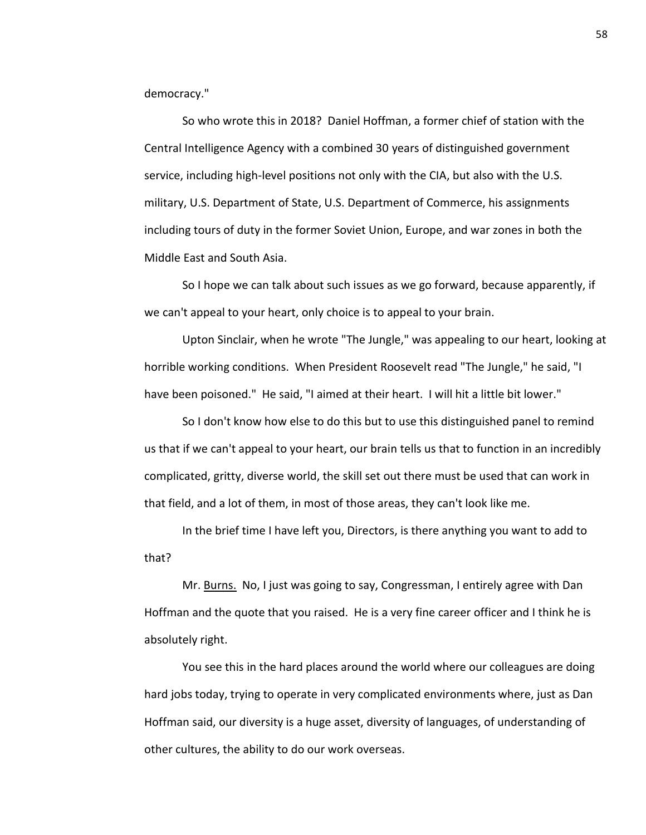democracy."

So who wrote this in 2018? Daniel Hoffman, a former chief of station with the Central Intelligence Agency with a combined 30 years of distinguished government service, including high-level positions not only with the CIA, but also with the U.S. military, U.S. Department of State, U.S. Department of Commerce, his assignments including tours of duty in the former Soviet Union, Europe, and war zones in both the Middle East and South Asia.

So I hope we can talk about such issues as we go forward, because apparently, if we can't appeal to your heart, only choice is to appeal to your brain.

Upton Sinclair, when he wrote "The Jungle," was appealing to our heart, looking at horrible working conditions. When President Roosevelt read "The Jungle," he said, "I have been poisoned." He said, "I aimed at their heart. I will hit a little bit lower."

So I don't know how else to do this but to use this distinguished panel to remind us that if we can't appeal to your heart, our brain tells us that to function in an incredibly complicated, gritty, diverse world, the skill set out there must be used that can work in that field, and a lot of them, in most of those areas, they can't look like me.

In the brief time I have left you, Directors, is there anything you want to add to that?

Mr. Burns. No, I just was going to say, Congressman, I entirely agree with Dan Hoffman and the quote that you raised. He is a very fine career officer and I think he is absolutely right.

You see this in the hard places around the world where our colleagues are doing hard jobs today, trying to operate in very complicated environments where, just as Dan Hoffman said, our diversity is a huge asset, diversity of languages, of understanding of other cultures, the ability to do our work overseas.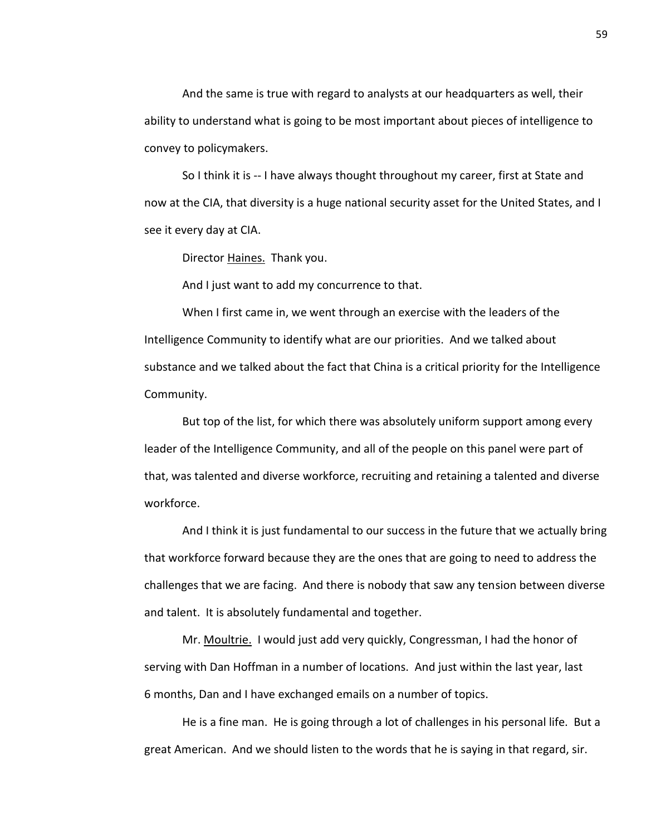And the same is true with regard to analysts at our headquarters as well, their ability to understand what is going to be most important about pieces of intelligence to convey to policymakers.

So I think it is -- I have always thought throughout my career, first at State and now at the CIA, that diversity is a huge national security asset for the United States, and I see it every day at CIA.

Director Haines. Thank you.

And I just want to add my concurrence to that.

When I first came in, we went through an exercise with the leaders of the Intelligence Community to identify what are our priorities. And we talked about substance and we talked about the fact that China is a critical priority for the Intelligence Community.

But top of the list, for which there was absolutely uniform support among every leader of the Intelligence Community, and all of the people on this panel were part of that, was talented and diverse workforce, recruiting and retaining a talented and diverse workforce.

And I think it is just fundamental to our success in the future that we actually bring that workforce forward because they are the ones that are going to need to address the challenges that we are facing. And there is nobody that saw any tension between diverse and talent. It is absolutely fundamental and together.

Mr. Moultrie. I would just add very quickly, Congressman, I had the honor of serving with Dan Hoffman in a number of locations. And just within the last year, last 6 months, Dan and I have exchanged emails on a number of topics.

He is a fine man. He is going through a lot of challenges in his personal life. But a great American. And we should listen to the words that he is saying in that regard, sir.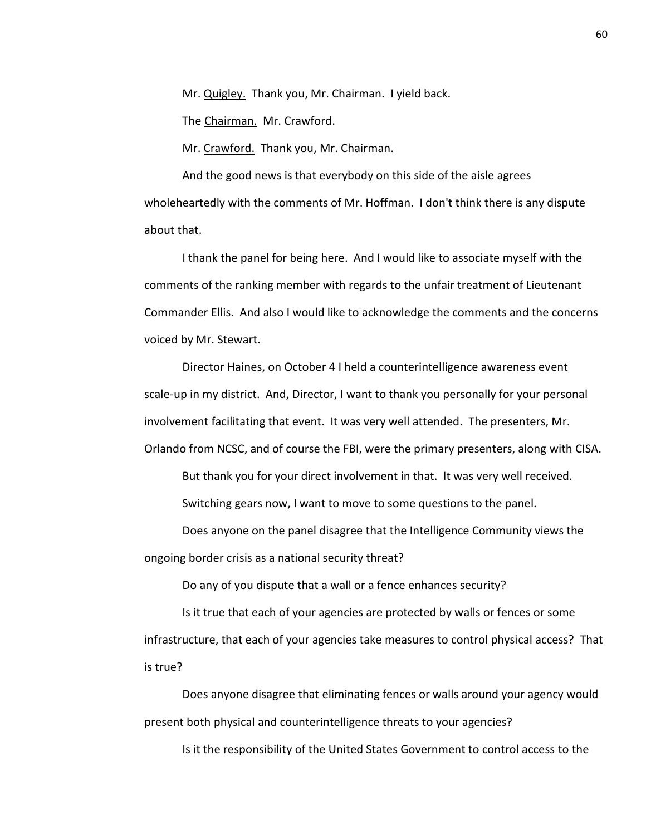Mr. Quigley. Thank you, Mr. Chairman. I yield back.

The Chairman. Mr. Crawford.

Mr. Crawford. Thank you, Mr. Chairman.

And the good news is that everybody on this side of the aisle agrees wholeheartedly with the comments of Mr. Hoffman. I don't think there is any dispute about that.

I thank the panel for being here. And I would like to associate myself with the comments of the ranking member with regards to the unfair treatment of Lieutenant Commander Ellis. And also I would like to acknowledge the comments and the concerns voiced by Mr. Stewart.

Director Haines, on October 4 I held a counterintelligence awareness event scale-up in my district. And, Director, I want to thank you personally for your personal involvement facilitating that event. It was very well attended. The presenters, Mr. Orlando from NCSC, and of course the FBI, were the primary presenters, along with CISA.

But thank you for your direct involvement in that. It was very well received.

Switching gears now, I want to move to some questions to the panel.

Does anyone on the panel disagree that the Intelligence Community views the ongoing border crisis as a national security threat?

Do any of you dispute that a wall or a fence enhances security?

Is it true that each of your agencies are protected by walls or fences or some infrastructure, that each of your agencies take measures to control physical access? That is true?

Does anyone disagree that eliminating fences or walls around your agency would present both physical and counterintelligence threats to your agencies?

Is it the responsibility of the United States Government to control access to the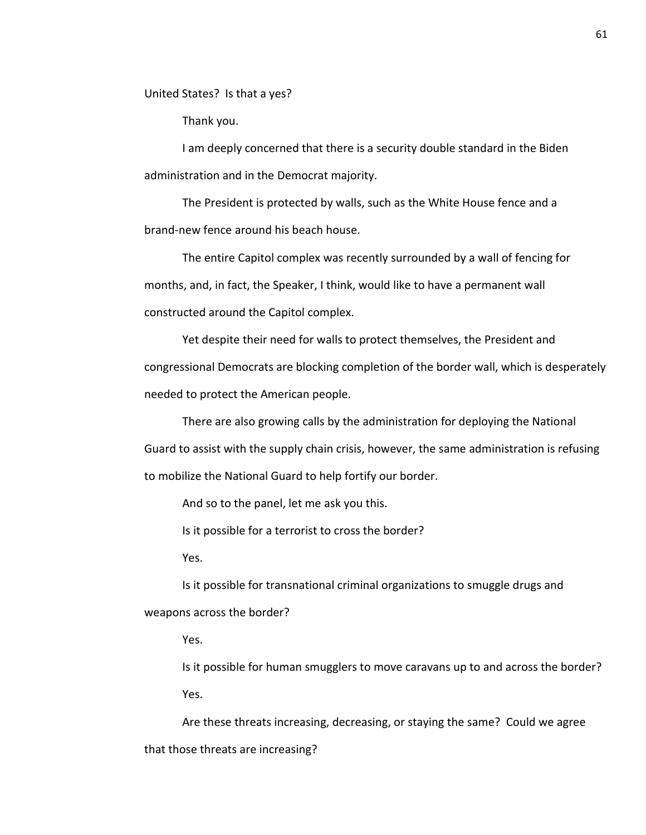United States? Is that a yes?

Thank you.

I am deeply concerned that there is a security double standard in the Biden administration and in the Democrat majority.

The President is protected by walls, such as the White House fence and a brand-new fence around his beach house.

The entire Capitol complex was recently surrounded by a wall of fencing for months, and, in fact, the Speaker, I think, would like to have a permanent wall constructed around the Capitol complex.

Yet despite their need for walls to protect themselves, the President and congressional Democrats are blocking completion of the border wall, which is desperately needed to protect the American people.

There are also growing calls by the administration for deploying the National Guard to assist with the supply chain crisis, however, the same administration is refusing to mobilize the National Guard to help fortify our border.

And so to the panel, let me ask you this.

Is it possible for a terrorist to cross the border?

Yes.

Is it possible for transnational criminal organizations to smuggle drugs and weapons across the border?

Yes.

Is it possible for human smugglers to move caravans up to and across the border? Yes.

Are these threats increasing, decreasing, or staying the same? Could we agree that those threats are increasing?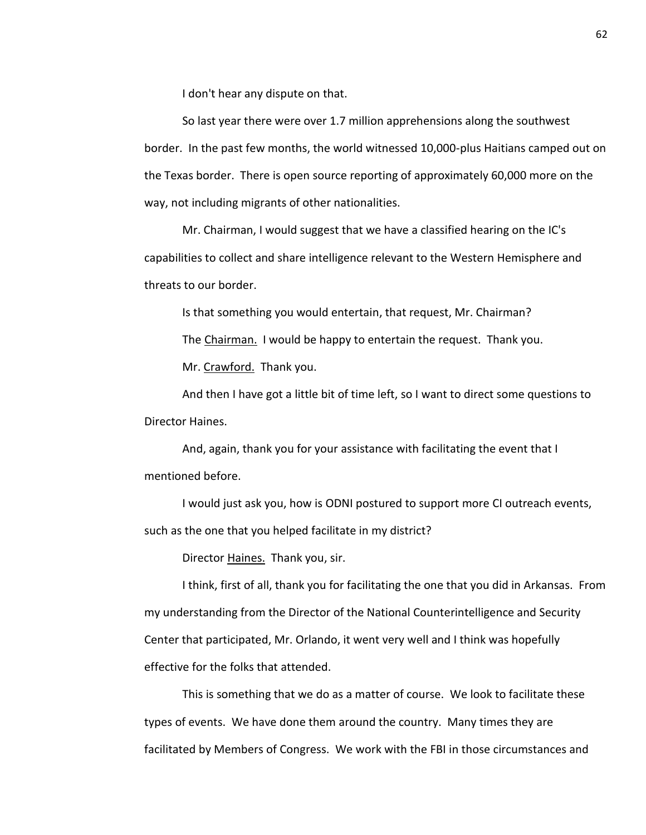I don't hear any dispute on that.

So last year there were over 1.7 million apprehensions along the southwest border. In the past few months, the world witnessed 10,000-plus Haitians camped out on the Texas border. There is open source reporting of approximately 60,000 more on the way, not including migrants of other nationalities.

Mr. Chairman, I would suggest that we have a classified hearing on the IC's capabilities to collect and share intelligence relevant to the Western Hemisphere and threats to our border.

Is that something you would entertain, that request, Mr. Chairman?

The Chairman. I would be happy to entertain the request. Thank you.

Mr. Crawford. Thank you.

And then I have got a little bit of time left, so I want to direct some questions to Director Haines.

And, again, thank you for your assistance with facilitating the event that I mentioned before.

I would just ask you, how is ODNI postured to support more CI outreach events, such as the one that you helped facilitate in my district?

Director Haines. Thank you, sir.

I think, first of all, thank you for facilitating the one that you did in Arkansas. From my understanding from the Director of the National Counterintelligence and Security Center that participated, Mr. Orlando, it went very well and I think was hopefully effective for the folks that attended.

This is something that we do as a matter of course. We look to facilitate these types of events. We have done them around the country. Many times they are facilitated by Members of Congress. We work with the FBI in those circumstances and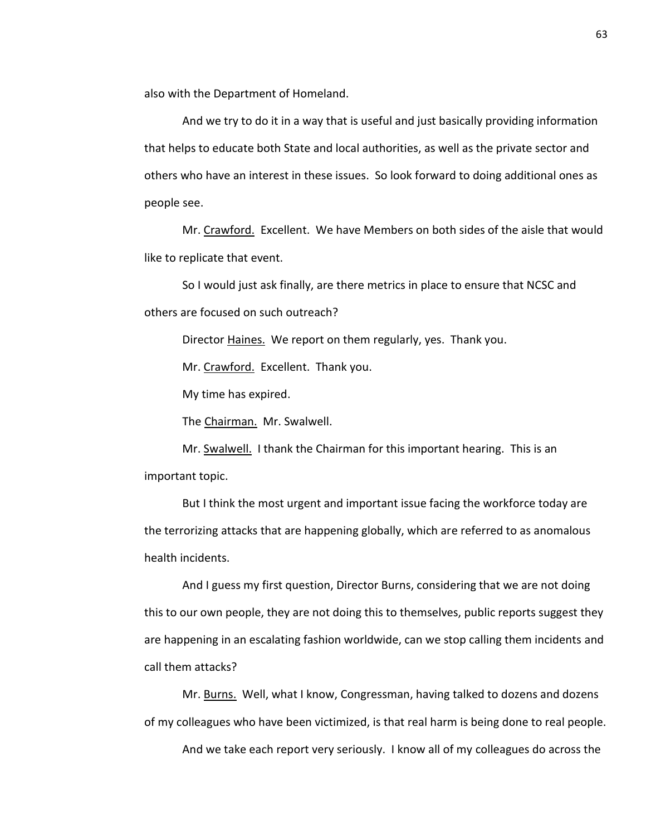also with the Department of Homeland.

And we try to do it in a way that is useful and just basically providing information that helps to educate both State and local authorities, as well as the private sector and others who have an interest in these issues. So look forward to doing additional ones as people see.

Mr. Crawford. Excellent. We have Members on both sides of the aisle that would like to replicate that event.

So I would just ask finally, are there metrics in place to ensure that NCSC and others are focused on such outreach?

Director Haines. We report on them regularly, yes. Thank you.

Mr. Crawford. Excellent. Thank you.

My time has expired.

The Chairman. Mr. Swalwell.

Mr. Swalwell. I thank the Chairman for this important hearing. This is an important topic.

But I think the most urgent and important issue facing the workforce today are the terrorizing attacks that are happening globally, which are referred to as anomalous health incidents.

And I guess my first question, Director Burns, considering that we are not doing this to our own people, they are not doing this to themselves, public reports suggest they are happening in an escalating fashion worldwide, can we stop calling them incidents and call them attacks?

Mr. Burns. Well, what I know, Congressman, having talked to dozens and dozens of my colleagues who have been victimized, is that real harm is being done to real people.

And we take each report very seriously. I know all of my colleagues do across the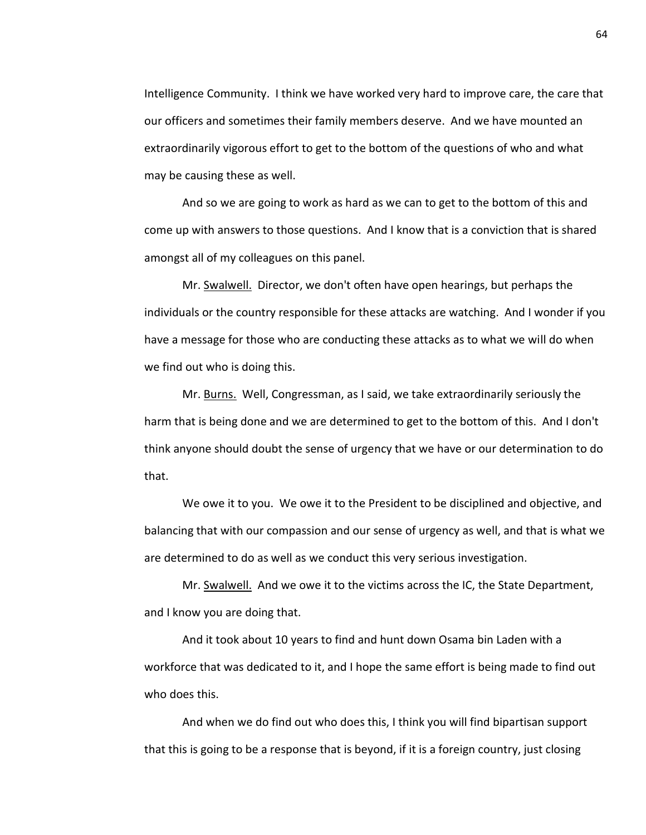Intelligence Community. I think we have worked very hard to improve care, the care that our officers and sometimes their family members deserve. And we have mounted an extraordinarily vigorous effort to get to the bottom of the questions of who and what may be causing these as well.

And so we are going to work as hard as we can to get to the bottom of this and come up with answers to those questions. And I know that is a conviction that is shared amongst all of my colleagues on this panel.

Mr. Swalwell. Director, we don't often have open hearings, but perhaps the individuals or the country responsible for these attacks are watching. And I wonder if you have a message for those who are conducting these attacks as to what we will do when we find out who is doing this.

Mr. Burns. Well, Congressman, as I said, we take extraordinarily seriously the harm that is being done and we are determined to get to the bottom of this. And I don't think anyone should doubt the sense of urgency that we have or our determination to do that.

We owe it to you. We owe it to the President to be disciplined and objective, and balancing that with our compassion and our sense of urgency as well, and that is what we are determined to do as well as we conduct this very serious investigation.

Mr. Swalwell. And we owe it to the victims across the IC, the State Department, and I know you are doing that.

And it took about 10 years to find and hunt down Osama bin Laden with a workforce that was dedicated to it, and I hope the same effort is being made to find out who does this.

And when we do find out who does this, I think you will find bipartisan support that this is going to be a response that is beyond, if it is a foreign country, just closing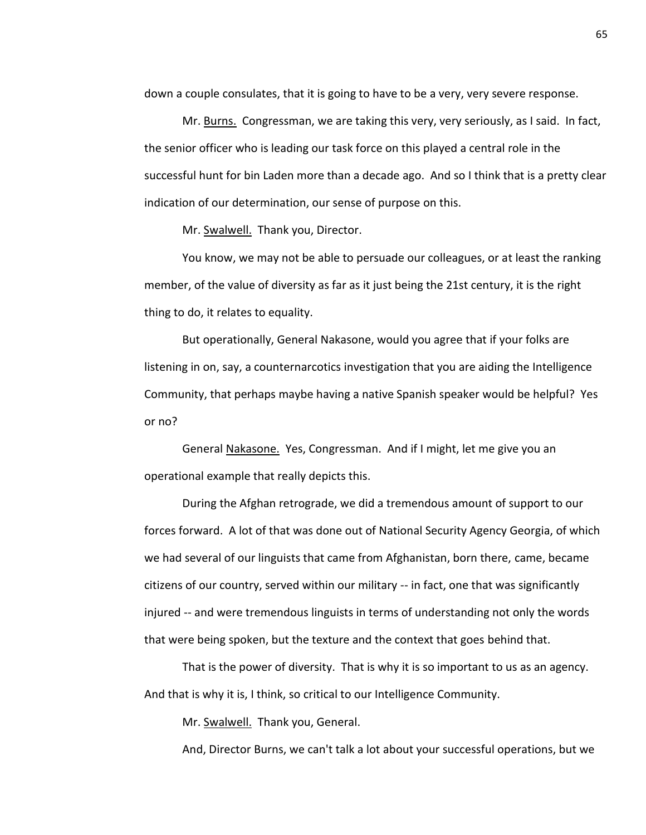down a couple consulates, that it is going to have to be a very, very severe response.

Mr. Burns. Congressman, we are taking this very, very seriously, as I said. In fact, the senior officer who is leading our task force on this played a central role in the successful hunt for bin Laden more than a decade ago. And so I think that is a pretty clear indication of our determination, our sense of purpose on this.

Mr. Swalwell. Thank you, Director.

You know, we may not be able to persuade our colleagues, or at least the ranking member, of the value of diversity as far as it just being the 21st century, it is the right thing to do, it relates to equality.

But operationally, General Nakasone, would you agree that if your folks are listening in on, say, a counternarcotics investigation that you are aiding the Intelligence Community, that perhaps maybe having a native Spanish speaker would be helpful? Yes or no?

General Nakasone. Yes, Congressman. And if I might, let me give you an operational example that really depicts this.

During the Afghan retrograde, we did a tremendous amount of support to our forces forward. A lot of that was done out of National Security Agency Georgia, of which we had several of our linguists that came from Afghanistan, born there, came, became citizens of our country, served within our military -- in fact, one that was significantly injured -- and were tremendous linguists in terms of understanding not only the words that were being spoken, but the texture and the context that goes behind that.

That is the power of diversity. That is why it is so important to us as an agency. And that is why it is, I think, so critical to our Intelligence Community.

Mr. Swalwell. Thank you, General.

And, Director Burns, we can't talk a lot about your successful operations, but we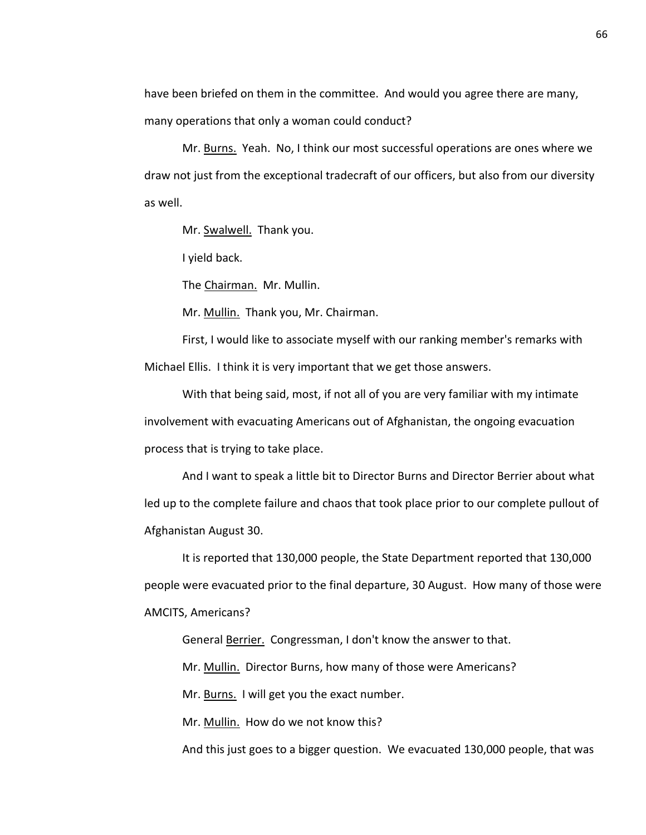have been briefed on them in the committee. And would you agree there are many, many operations that only a woman could conduct?

Mr. Burns. Yeah. No, I think our most successful operations are ones where we draw not just from the exceptional tradecraft of our officers, but also from our diversity as well.

Mr. Swalwell. Thank you.

I yield back.

The Chairman. Mr. Mullin.

Mr. Mullin. Thank you, Mr. Chairman.

First, I would like to associate myself with our ranking member's remarks with Michael Ellis. I think it is very important that we get those answers.

With that being said, most, if not all of you are very familiar with my intimate involvement with evacuating Americans out of Afghanistan, the ongoing evacuation process that is trying to take place.

And I want to speak a little bit to Director Burns and Director Berrier about what led up to the complete failure and chaos that took place prior to our complete pullout of Afghanistan August 30.

It is reported that 130,000 people, the State Department reported that 130,000 people were evacuated prior to the final departure, 30 August. How many of those were AMCITS, Americans?

General Berrier. Congressman, I don't know the answer to that.

Mr. Mullin. Director Burns, how many of those were Americans?

Mr. Burns. I will get you the exact number.

Mr. Mullin. How do we not know this?

And this just goes to a bigger question. We evacuated 130,000 people, that was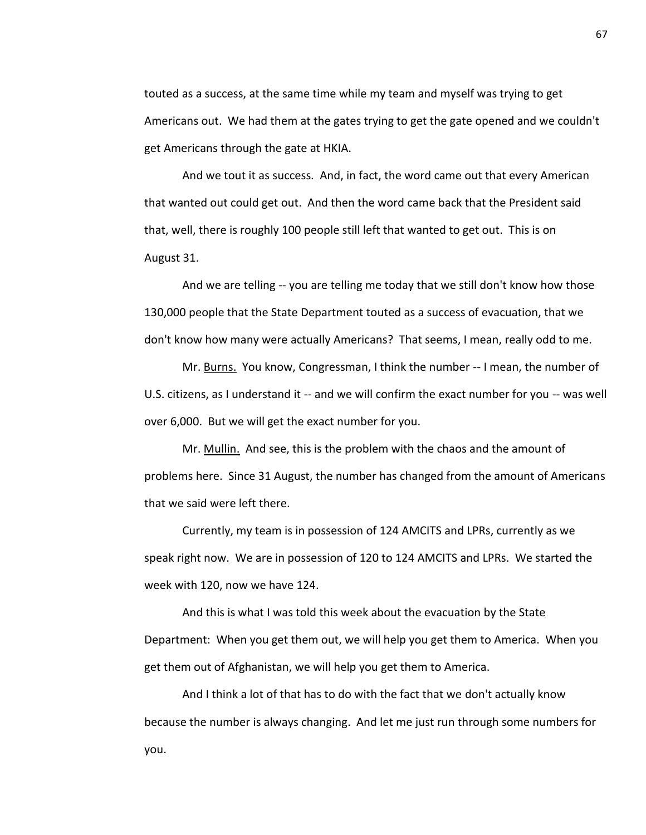touted as a success, at the same time while my team and myself was trying to get Americans out. We had them at the gates trying to get the gate opened and we couldn't get Americans through the gate at HKIA.

And we tout it as success. And, in fact, the word came out that every American that wanted out could get out. And then the word came back that the President said that, well, there is roughly 100 people still left that wanted to get out. This is on August 31.

And we are telling -- you are telling me today that we still don't know how those 130,000 people that the State Department touted as a success of evacuation, that we don't know how many were actually Americans? That seems, I mean, really odd to me.

Mr. Burns. You know, Congressman, I think the number -- I mean, the number of U.S. citizens, as I understand it -- and we will confirm the exact number for you -- was well over 6,000. But we will get the exact number for you.

Mr. Mullin. And see, this is the problem with the chaos and the amount of problems here. Since 31 August, the number has changed from the amount of Americans that we said were left there.

Currently, my team is in possession of 124 AMCITS and LPRs, currently as we speak right now. We are in possession of 120 to 124 AMCITS and LPRs. We started the week with 120, now we have 124.

And this is what I was told this week about the evacuation by the State Department: When you get them out, we will help you get them to America. When you get them out of Afghanistan, we will help you get them to America.

And I think a lot of that has to do with the fact that we don't actually know because the number is always changing. And let me just run through some numbers for you.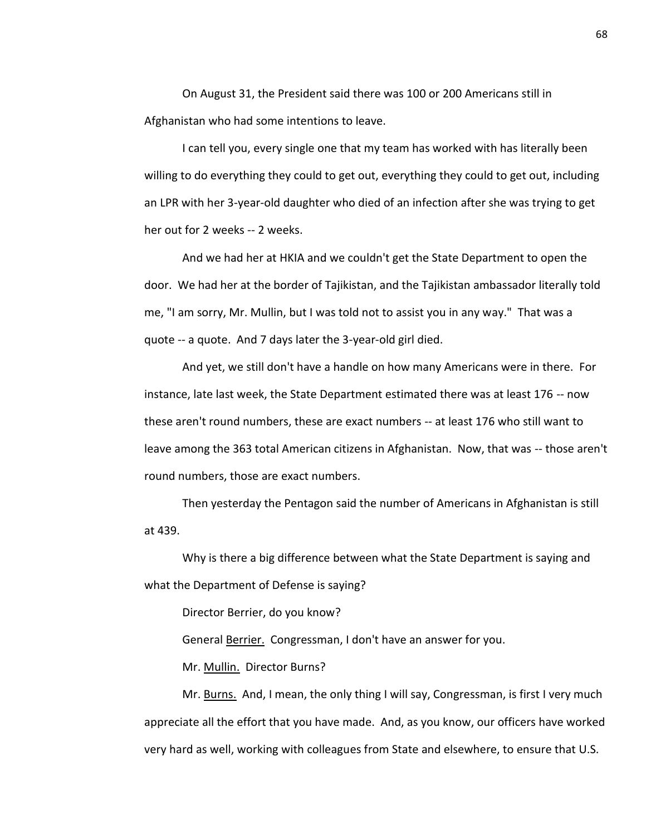On August 31, the President said there was 100 or 200 Americans still in Afghanistan who had some intentions to leave.

I can tell you, every single one that my team has worked with has literally been willing to do everything they could to get out, everything they could to get out, including an LPR with her 3-year-old daughter who died of an infection after she was trying to get her out for 2 weeks -- 2 weeks.

And we had her at HKIA and we couldn't get the State Department to open the door. We had her at the border of Tajikistan, and the Tajikistan ambassador literally told me, "I am sorry, Mr. Mullin, but I was told not to assist you in any way." That was a quote -- a quote. And 7 days later the 3-year-old girl died.

And yet, we still don't have a handle on how many Americans were in there. For instance, late last week, the State Department estimated there was at least 176 -- now these aren't round numbers, these are exact numbers -- at least 176 who still want to leave among the 363 total American citizens in Afghanistan. Now, that was -- those aren't round numbers, those are exact numbers.

Then yesterday the Pentagon said the number of Americans in Afghanistan is still at 439.

Why is there a big difference between what the State Department is saying and what the Department of Defense is saying?

Director Berrier, do you know?

General Berrier. Congressman, I don't have an answer for you.

Mr. Mullin. Director Burns?

Mr. Burns. And, I mean, the only thing I will say, Congressman, is first I very much appreciate all the effort that you have made. And, as you know, our officers have worked very hard as well, working with colleagues from State and elsewhere, to ensure that U.S.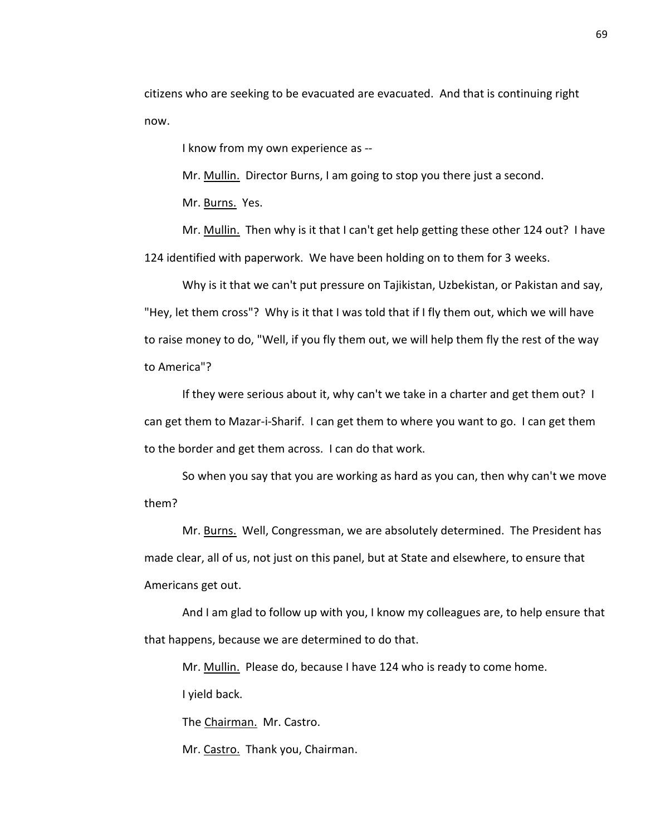citizens who are seeking to be evacuated are evacuated. And that is continuing right now.

I know from my own experience as --

Mr. Mullin. Director Burns, I am going to stop you there just a second.

Mr. Burns. Yes.

Mr. Mullin. Then why is it that I can't get help getting these other 124 out? I have 124 identified with paperwork. We have been holding on to them for 3 weeks.

Why is it that we can't put pressure on Tajikistan, Uzbekistan, or Pakistan and say, "Hey, let them cross"? Why is it that I was told that if I fly them out, which we will have to raise money to do, "Well, if you fly them out, we will help them fly the rest of the way to America"?

If they were serious about it, why can't we take in a charter and get them out? I can get them to Mazar-i-Sharif. I can get them to where you want to go. I can get them to the border and get them across. I can do that work.

So when you say that you are working as hard as you can, then why can't we move them?

Mr. Burns. Well, Congressman, we are absolutely determined. The President has made clear, all of us, not just on this panel, but at State and elsewhere, to ensure that Americans get out.

And I am glad to follow up with you, I know my colleagues are, to help ensure that that happens, because we are determined to do that.

Mr. Mullin. Please do, because I have 124 who is ready to come home.

I yield back.

The Chairman. Mr. Castro.

Mr. Castro. Thank you, Chairman.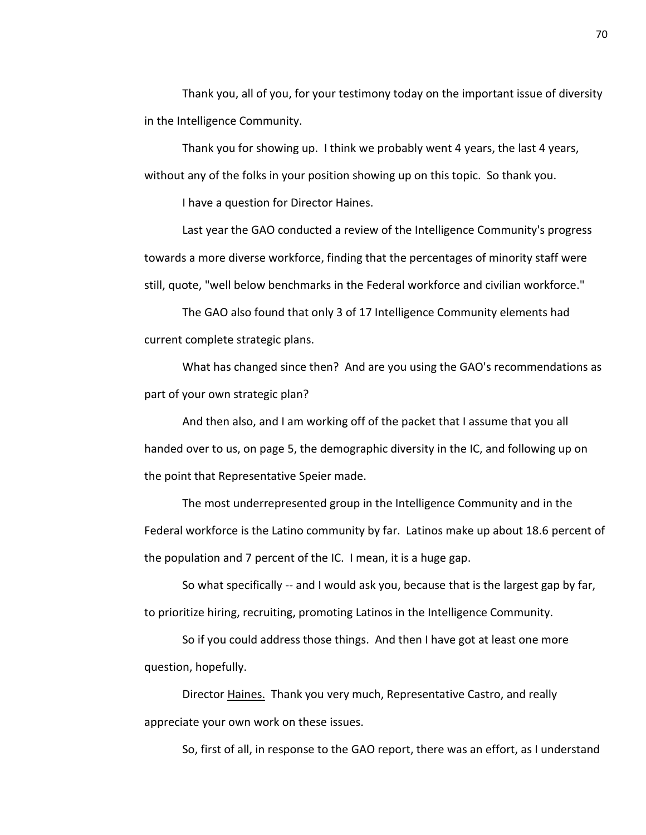Thank you, all of you, for your testimony today on the important issue of diversity in the Intelligence Community.

Thank you for showing up. I think we probably went 4 years, the last 4 years, without any of the folks in your position showing up on this topic. So thank you.

I have a question for Director Haines.

Last year the GAO conducted a review of the Intelligence Community's progress towards a more diverse workforce, finding that the percentages of minority staff were still, quote, "well below benchmarks in the Federal workforce and civilian workforce."

The GAO also found that only 3 of 17 Intelligence Community elements had current complete strategic plans.

What has changed since then? And are you using the GAO's recommendations as part of your own strategic plan?

And then also, and I am working off of the packet that I assume that you all handed over to us, on page 5, the demographic diversity in the IC, and following up on the point that Representative Speier made.

The most underrepresented group in the Intelligence Community and in the Federal workforce is the Latino community by far. Latinos make up about 18.6 percent of the population and 7 percent of the IC. I mean, it is a huge gap.

So what specifically -- and I would ask you, because that is the largest gap by far, to prioritize hiring, recruiting, promoting Latinos in the Intelligence Community.

So if you could address those things. And then I have got at least one more question, hopefully.

Director Haines. Thank you very much, Representative Castro, and really appreciate your own work on these issues.

So, first of all, in response to the GAO report, there was an effort, as I understand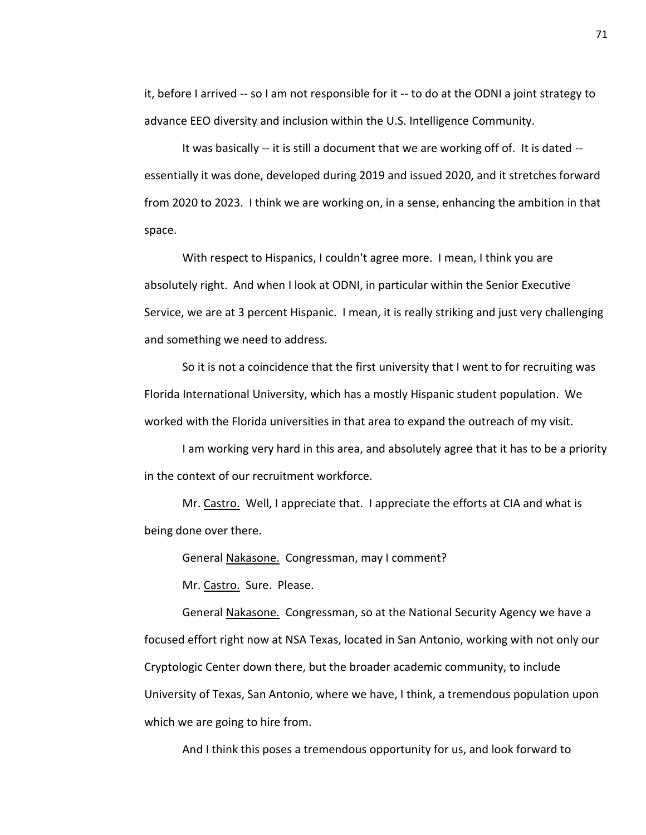it, before I arrived -- so I am not responsible for it -- to do at the ODNI a joint strategy to advance EEO diversity and inclusion within the U.S. Intelligence Community.

It was basically -- it is still a document that we are working off of. It is dated - essentially it was done, developed during 2019 and issued 2020, and it stretches forward from 2020 to 2023. I think we are working on, in a sense, enhancing the ambition in that space.

With respect to Hispanics, I couldn't agree more. I mean, I think you are absolutely right. And when I look at ODNI, in particular within the Senior Executive Service, we are at 3 percent Hispanic. I mean, it is really striking and just very challenging and something we need to address.

So it is not a coincidence that the first university that I went to for recruiting was Florida International University, which has a mostly Hispanic student population. We worked with the Florida universities in that area to expand the outreach of my visit.

I am working very hard in this area, and absolutely agree that it has to be a priority in the context of our recruitment workforce.

Mr. Castro. Well, I appreciate that. I appreciate the efforts at CIA and what is being done over there.

General Nakasone. Congressman, may I comment?

Mr. Castro. Sure. Please.

General Nakasone. Congressman, so at the National Security Agency we have a focused effort right now at NSA Texas, located in San Antonio, working with not only our Cryptologic Center down there, but the broader academic community, to include University of Texas, San Antonio, where we have, I think, a tremendous population upon which we are going to hire from.

And I think this poses a tremendous opportunity for us, and look forward to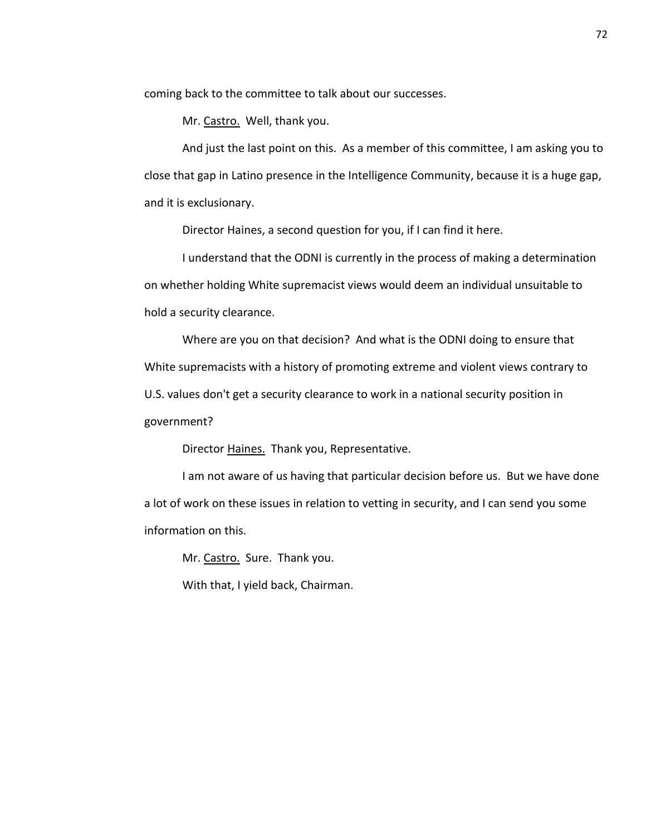coming back to the committee to talk about our successes.

Mr. Castro. Well, thank you.

And just the last point on this. As a member of this committee, I am asking you to close that gap in Latino presence in the Intelligence Community, because it is a huge gap, and it is exclusionary.

Director Haines, a second question for you, if I can find it here.

I understand that the ODNI is currently in the process of making a determination on whether holding White supremacist views would deem an individual unsuitable to hold a security clearance.

Where are you on that decision? And what is the ODNI doing to ensure that White supremacists with a history of promoting extreme and violent views contrary to U.S. values don't get a security clearance to work in a national security position in government?

Director Haines. Thank you, Representative.

I am not aware of us having that particular decision before us. But we have done a lot of work on these issues in relation to vetting in security, and I can send you some information on this.

Mr. Castro. Sure. Thank you.

With that, I yield back, Chairman.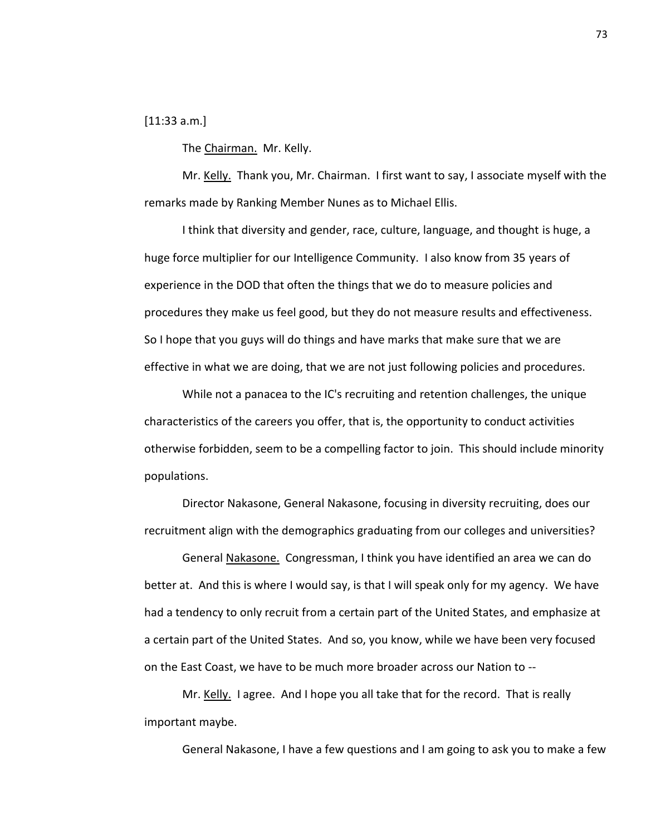[11:33 a.m.]

The Chairman. Mr. Kelly.

Mr. Kelly. Thank you, Mr. Chairman. I first want to say, I associate myself with the remarks made by Ranking Member Nunes as to Michael Ellis.

I think that diversity and gender, race, culture, language, and thought is huge, a huge force multiplier for our Intelligence Community. I also know from 35 years of experience in the DOD that often the things that we do to measure policies and procedures they make us feel good, but they do not measure results and effectiveness. So I hope that you guys will do things and have marks that make sure that we are effective in what we are doing, that we are not just following policies and procedures.

While not a panacea to the IC's recruiting and retention challenges, the unique characteristics of the careers you offer, that is, the opportunity to conduct activities otherwise forbidden, seem to be a compelling factor to join. This should include minority populations.

Director Nakasone, General Nakasone, focusing in diversity recruiting, does our recruitment align with the demographics graduating from our colleges and universities?

General Nakasone. Congressman, I think you have identified an area we can do better at. And this is where I would say, is that I will speak only for my agency. We have had a tendency to only recruit from a certain part of the United States, and emphasize at a certain part of the United States. And so, you know, while we have been very focused on the East Coast, we have to be much more broader across our Nation to --

Mr. Kelly. I agree. And I hope you all take that for the record. That is really important maybe.

General Nakasone, I have a few questions and I am going to ask you to make a few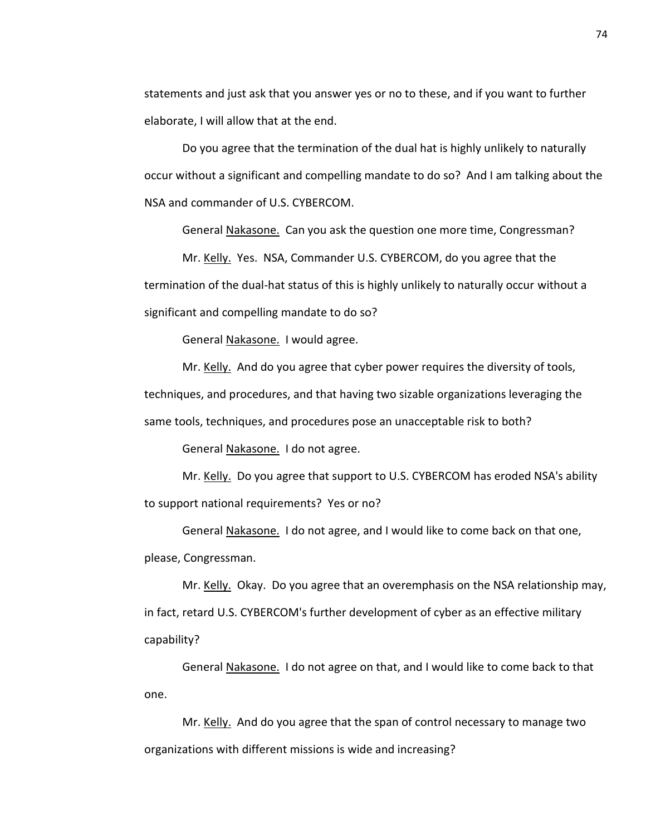statements and just ask that you answer yes or no to these, and if you want to further elaborate, I will allow that at the end.

Do you agree that the termination of the dual hat is highly unlikely to naturally occur without a significant and compelling mandate to do so? And I am talking about the NSA and commander of U.S. CYBERCOM.

General Nakasone. Can you ask the question one more time, Congressman?

Mr. Kelly. Yes. NSA, Commander U.S. CYBERCOM, do you agree that the termination of the dual-hat status of this is highly unlikely to naturally occur without a significant and compelling mandate to do so?

General Nakasone. I would agree.

Mr. Kelly. And do you agree that cyber power requires the diversity of tools, techniques, and procedures, and that having two sizable organizations leveraging the same tools, techniques, and procedures pose an unacceptable risk to both?

General Nakasone. I do not agree.

Mr. Kelly. Do you agree that support to U.S. CYBERCOM has eroded NSA's ability to support national requirements? Yes or no?

General Nakasone. I do not agree, and I would like to come back on that one, please, Congressman.

Mr. Kelly. Okay. Do you agree that an overemphasis on the NSA relationship may, in fact, retard U.S. CYBERCOM's further development of cyber as an effective military capability?

General Nakasone. I do not agree on that, and I would like to come back to that one.

Mr. Kelly. And do you agree that the span of control necessary to manage two organizations with different missions is wide and increasing?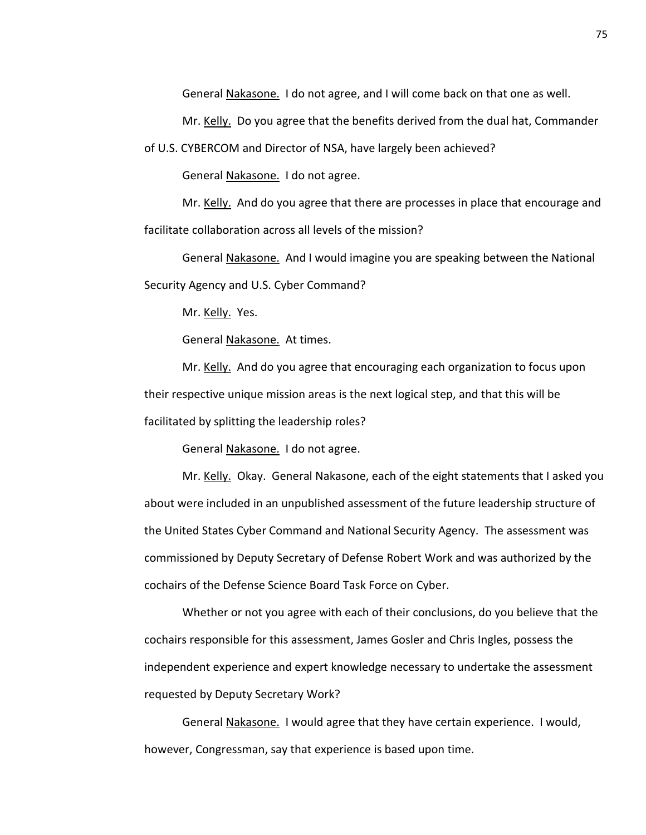General Nakasone. I do not agree, and I will come back on that one as well.

Mr. Kelly. Do you agree that the benefits derived from the dual hat, Commander

of U.S. CYBERCOM and Director of NSA, have largely been achieved?

General Nakasone. I do not agree.

Mr. Kelly. And do you agree that there are processes in place that encourage and facilitate collaboration across all levels of the mission?

General Nakasone. And I would imagine you are speaking between the National Security Agency and U.S. Cyber Command?

Mr. Kelly. Yes.

General Nakasone. At times.

Mr. Kelly. And do you agree that encouraging each organization to focus upon their respective unique mission areas is the next logical step, and that this will be facilitated by splitting the leadership roles?

General Nakasone. I do not agree.

Mr. Kelly. Okay. General Nakasone, each of the eight statements that I asked you about were included in an unpublished assessment of the future leadership structure of the United States Cyber Command and National Security Agency. The assessment was commissioned by Deputy Secretary of Defense Robert Work and was authorized by the cochairs of the Defense Science Board Task Force on Cyber.

Whether or not you agree with each of their conclusions, do you believe that the cochairs responsible for this assessment, James Gosler and Chris Ingles, possess the independent experience and expert knowledge necessary to undertake the assessment requested by Deputy Secretary Work?

General Nakasone. I would agree that they have certain experience. I would, however, Congressman, say that experience is based upon time.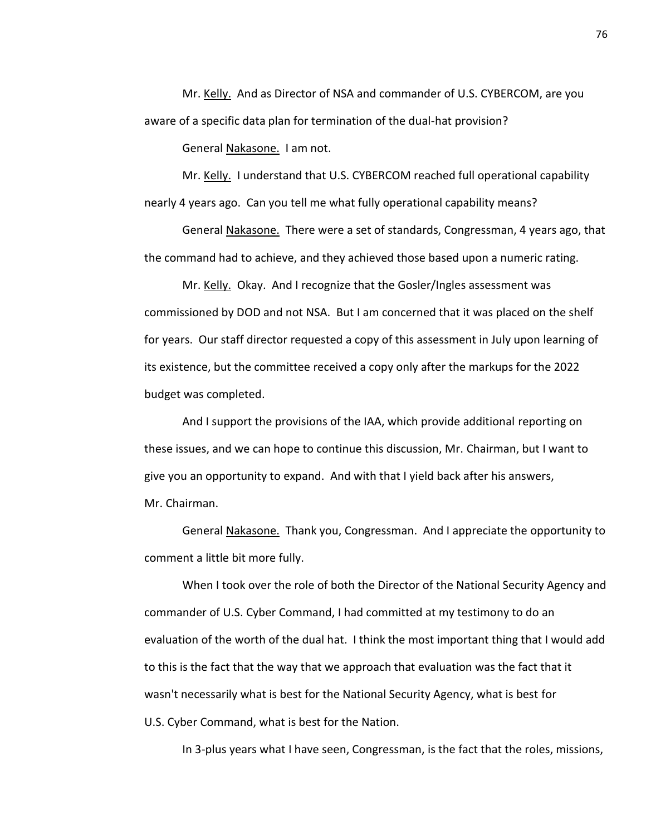Mr. Kelly. And as Director of NSA and commander of U.S. CYBERCOM, are you aware of a specific data plan for termination of the dual-hat provision?

General Nakasone. I am not.

Mr. Kelly. I understand that U.S. CYBERCOM reached full operational capability nearly 4 years ago. Can you tell me what fully operational capability means?

General Nakasone. There were a set of standards, Congressman, 4 years ago, that the command had to achieve, and they achieved those based upon a numeric rating.

Mr. Kelly. Okay. And I recognize that the Gosler/Ingles assessment was commissioned by DOD and not NSA. But I am concerned that it was placed on the shelf for years. Our staff director requested a copy of this assessment in July upon learning of its existence, but the committee received a copy only after the markups for the 2022 budget was completed.

And I support the provisions of the IAA, which provide additional reporting on these issues, and we can hope to continue this discussion, Mr. Chairman, but I want to give you an opportunity to expand. And with that I yield back after his answers, Mr. Chairman.

General Nakasone. Thank you, Congressman. And I appreciate the opportunity to comment a little bit more fully.

When I took over the role of both the Director of the National Security Agency and commander of U.S. Cyber Command, I had committed at my testimony to do an evaluation of the worth of the dual hat. I think the most important thing that I would add to this is the fact that the way that we approach that evaluation was the fact that it wasn't necessarily what is best for the National Security Agency, what is best for U.S. Cyber Command, what is best for the Nation.

In 3-plus years what I have seen, Congressman, is the fact that the roles, missions,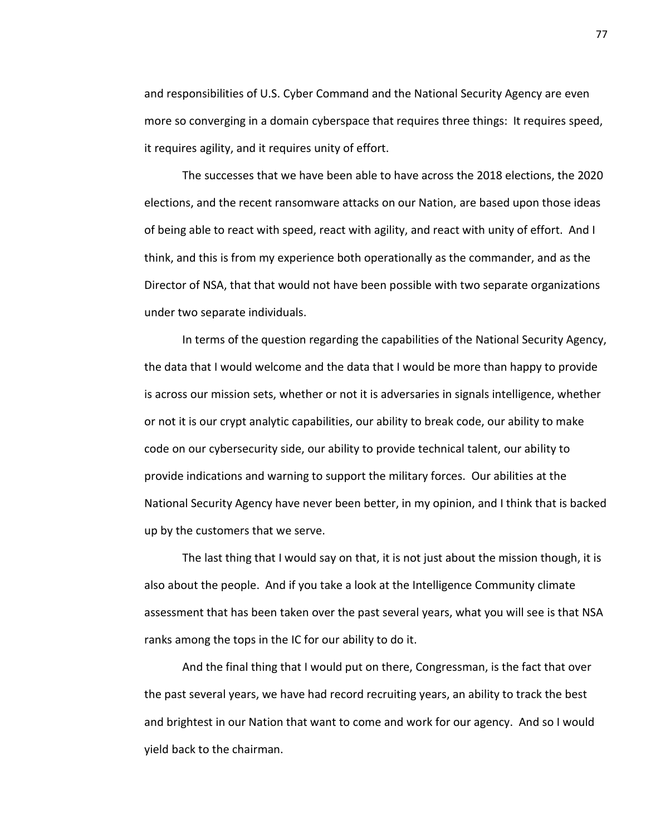and responsibilities of U.S. Cyber Command and the National Security Agency are even more so converging in a domain cyberspace that requires three things: It requires speed, it requires agility, and it requires unity of effort.

The successes that we have been able to have across the 2018 elections, the 2020 elections, and the recent ransomware attacks on our Nation, are based upon those ideas of being able to react with speed, react with agility, and react with unity of effort. And I think, and this is from my experience both operationally as the commander, and as the Director of NSA, that that would not have been possible with two separate organizations under two separate individuals.

In terms of the question regarding the capabilities of the National Security Agency, the data that I would welcome and the data that I would be more than happy to provide is across our mission sets, whether or not it is adversaries in signals intelligence, whether or not it is our crypt analytic capabilities, our ability to break code, our ability to make code on our cybersecurity side, our ability to provide technical talent, our ability to provide indications and warning to support the military forces. Our abilities at the National Security Agency have never been better, in my opinion, and I think that is backed up by the customers that we serve.

The last thing that I would say on that, it is not just about the mission though, it is also about the people. And if you take a look at the Intelligence Community climate assessment that has been taken over the past several years, what you will see is that NSA ranks among the tops in the IC for our ability to do it.

And the final thing that I would put on there, Congressman, is the fact that over the past several years, we have had record recruiting years, an ability to track the best and brightest in our Nation that want to come and work for our agency. And so I would yield back to the chairman.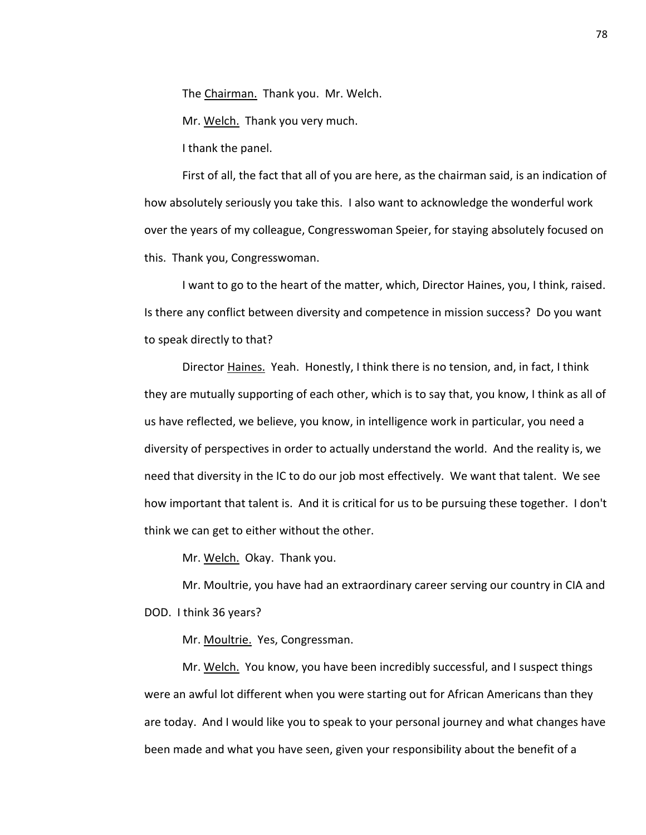The Chairman. Thank you. Mr. Welch.

Mr. Welch. Thank you very much.

I thank the panel.

First of all, the fact that all of you are here, as the chairman said, is an indication of how absolutely seriously you take this. I also want to acknowledge the wonderful work over the years of my colleague, Congresswoman Speier, for staying absolutely focused on this. Thank you, Congresswoman.

I want to go to the heart of the matter, which, Director Haines, you, I think, raised. Is there any conflict between diversity and competence in mission success? Do you want to speak directly to that?

Director Haines. Yeah. Honestly, I think there is no tension, and, in fact, I think they are mutually supporting of each other, which is to say that, you know, I think as all of us have reflected, we believe, you know, in intelligence work in particular, you need a diversity of perspectives in order to actually understand the world. And the reality is, we need that diversity in the IC to do our job most effectively. We want that talent. We see how important that talent is. And it is critical for us to be pursuing these together. I don't think we can get to either without the other.

Mr. Welch. Okay. Thank you.

Mr. Moultrie, you have had an extraordinary career serving our country in CIA and DOD. I think 36 years?

Mr. Moultrie. Yes, Congressman.

Mr. Welch. You know, you have been incredibly successful, and I suspect things were an awful lot different when you were starting out for African Americans than they are today. And I would like you to speak to your personal journey and what changes have been made and what you have seen, given your responsibility about the benefit of a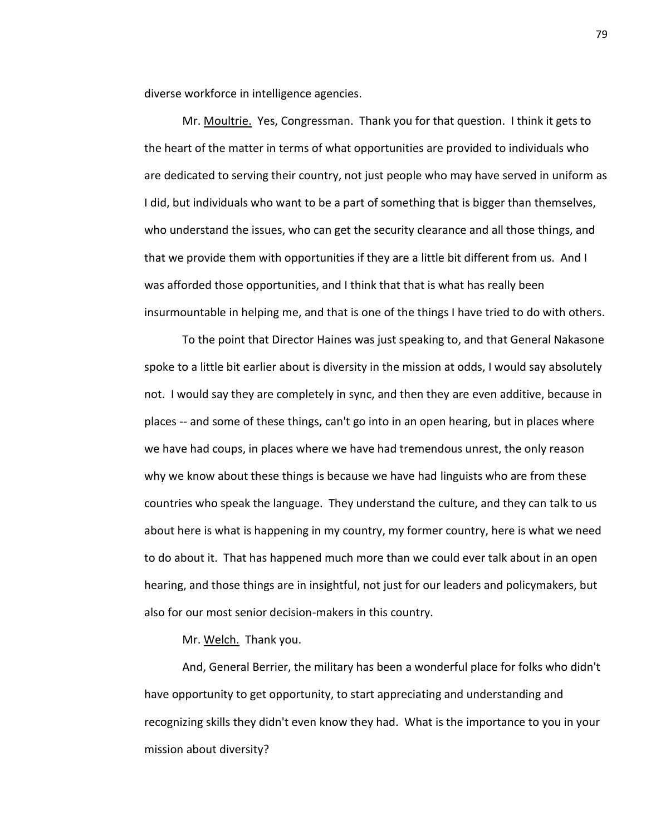diverse workforce in intelligence agencies.

Mr. Moultrie. Yes, Congressman. Thank you for that question. I think it gets to the heart of the matter in terms of what opportunities are provided to individuals who are dedicated to serving their country, not just people who may have served in uniform as I did, but individuals who want to be a part of something that is bigger than themselves, who understand the issues, who can get the security clearance and all those things, and that we provide them with opportunities if they are a little bit different from us. And I was afforded those opportunities, and I think that that is what has really been insurmountable in helping me, and that is one of the things I have tried to do with others.

To the point that Director Haines was just speaking to, and that General Nakasone spoke to a little bit earlier about is diversity in the mission at odds, I would say absolutely not. I would say they are completely in sync, and then they are even additive, because in places -- and some of these things, can't go into in an open hearing, but in places where we have had coups, in places where we have had tremendous unrest, the only reason why we know about these things is because we have had linguists who are from these countries who speak the language. They understand the culture, and they can talk to us about here is what is happening in my country, my former country, here is what we need to do about it. That has happened much more than we could ever talk about in an open hearing, and those things are in insightful, not just for our leaders and policymakers, but also for our most senior decision-makers in this country.

Mr. Welch. Thank you.

And, General Berrier, the military has been a wonderful place for folks who didn't have opportunity to get opportunity, to start appreciating and understanding and recognizing skills they didn't even know they had. What is the importance to you in your mission about diversity?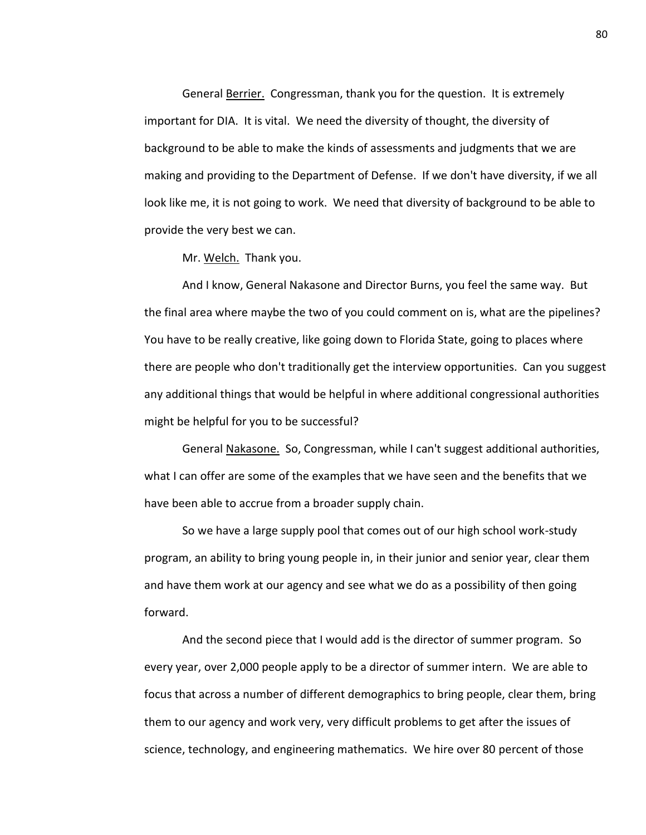General Berrier. Congressman, thank you for the question. It is extremely important for DIA. It is vital. We need the diversity of thought, the diversity of background to be able to make the kinds of assessments and judgments that we are making and providing to the Department of Defense. If we don't have diversity, if we all look like me, it is not going to work. We need that diversity of background to be able to provide the very best we can.

Mr. Welch. Thank you.

And I know, General Nakasone and Director Burns, you feel the same way. But the final area where maybe the two of you could comment on is, what are the pipelines? You have to be really creative, like going down to Florida State, going to places where there are people who don't traditionally get the interview opportunities. Can you suggest any additional things that would be helpful in where additional congressional authorities might be helpful for you to be successful?

General Nakasone. So, Congressman, while I can't suggest additional authorities, what I can offer are some of the examples that we have seen and the benefits that we have been able to accrue from a broader supply chain.

So we have a large supply pool that comes out of our high school work-study program, an ability to bring young people in, in their junior and senior year, clear them and have them work at our agency and see what we do as a possibility of then going forward.

And the second piece that I would add is the director of summer program. So every year, over 2,000 people apply to be a director of summer intern. We are able to focus that across a number of different demographics to bring people, clear them, bring them to our agency and work very, very difficult problems to get after the issues of science, technology, and engineering mathematics. We hire over 80 percent of those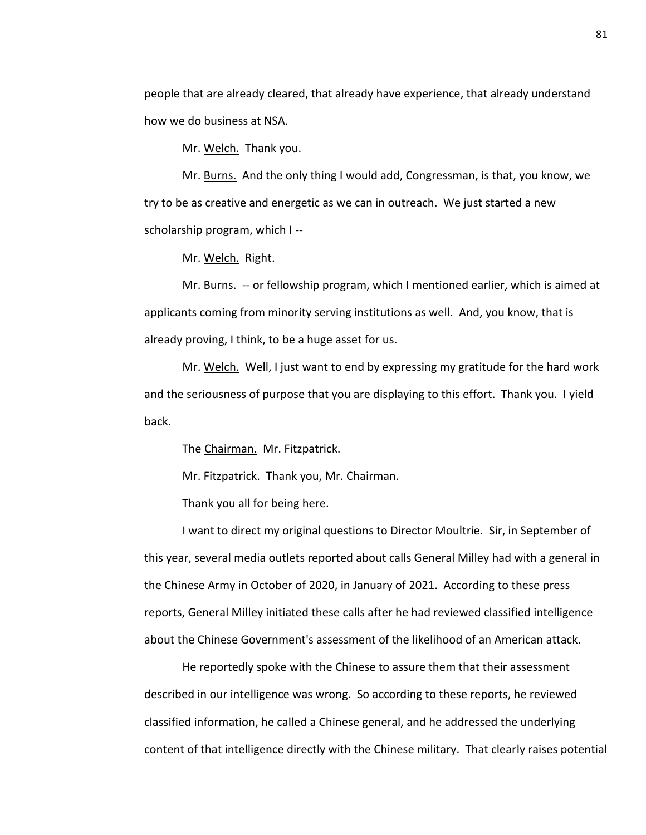people that are already cleared, that already have experience, that already understand how we do business at NSA.

Mr. Welch. Thank you.

Mr. Burns. And the only thing I would add, Congressman, is that, you know, we try to be as creative and energetic as we can in outreach. We just started a new scholarship program, which I --

Mr. Welch. Right.

Mr. Burns. -- or fellowship program, which I mentioned earlier, which is aimed at applicants coming from minority serving institutions as well. And, you know, that is already proving, I think, to be a huge asset for us.

Mr. Welch. Well, I just want to end by expressing my gratitude for the hard work and the seriousness of purpose that you are displaying to this effort. Thank you. I yield back.

The Chairman. Mr. Fitzpatrick.

Mr. Fitzpatrick. Thank you, Mr. Chairman.

Thank you all for being here.

I want to direct my original questions to Director Moultrie. Sir, in September of this year, several media outlets reported about calls General Milley had with a general in the Chinese Army in October of 2020, in January of 2021. According to these press reports, General Milley initiated these calls after he had reviewed classified intelligence about the Chinese Government's assessment of the likelihood of an American attack.

He reportedly spoke with the Chinese to assure them that their assessment described in our intelligence was wrong. So according to these reports, he reviewed classified information, he called a Chinese general, and he addressed the underlying content of that intelligence directly with the Chinese military. That clearly raises potential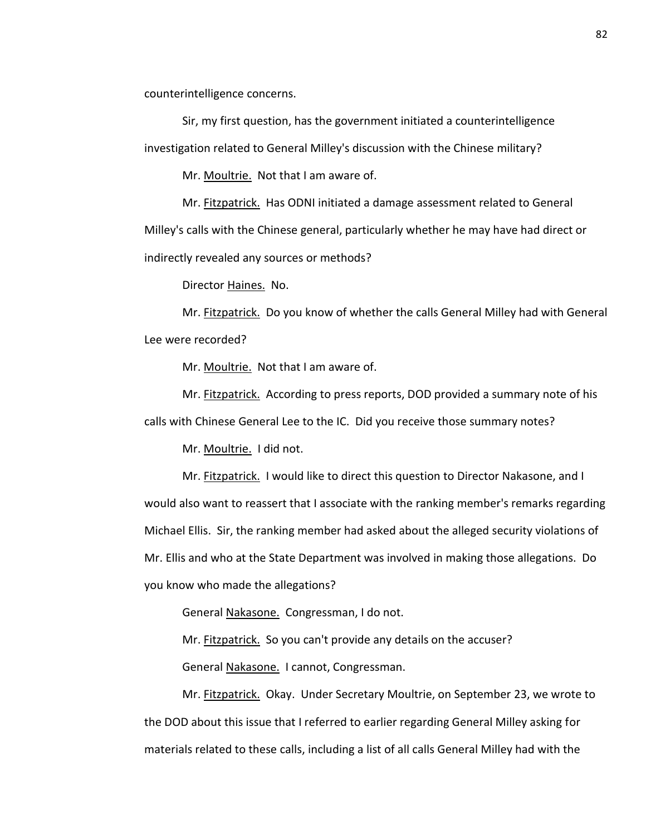counterintelligence concerns.

Sir, my first question, has the government initiated a counterintelligence investigation related to General Milley's discussion with the Chinese military?

Mr. Moultrie. Not that I am aware of.

Mr. Fitzpatrick. Has ODNI initiated a damage assessment related to General Milley's calls with the Chinese general, particularly whether he may have had direct or indirectly revealed any sources or methods?

Director Haines. No.

Mr. Fitzpatrick. Do you know of whether the calls General Milley had with General Lee were recorded?

Mr. Moultrie. Not that I am aware of.

Mr. **Fitzpatrick.** According to press reports, DOD provided a summary note of his calls with Chinese General Lee to the IC. Did you receive those summary notes?

Mr. Moultrie. I did not.

Mr. Fitzpatrick. I would like to direct this question to Director Nakasone, and I would also want to reassert that I associate with the ranking member's remarks regarding Michael Ellis. Sir, the ranking member had asked about the alleged security violations of Mr. Ellis and who at the State Department was involved in making those allegations. Do you know who made the allegations?

General Nakasone. Congressman, I do not.

Mr. Fitzpatrick. So you can't provide any details on the accuser?

General Nakasone. I cannot, Congressman.

Mr. Fitzpatrick. Okay. Under Secretary Moultrie, on September 23, we wrote to the DOD about this issue that I referred to earlier regarding General Milley asking for materials related to these calls, including a list of all calls General Milley had with the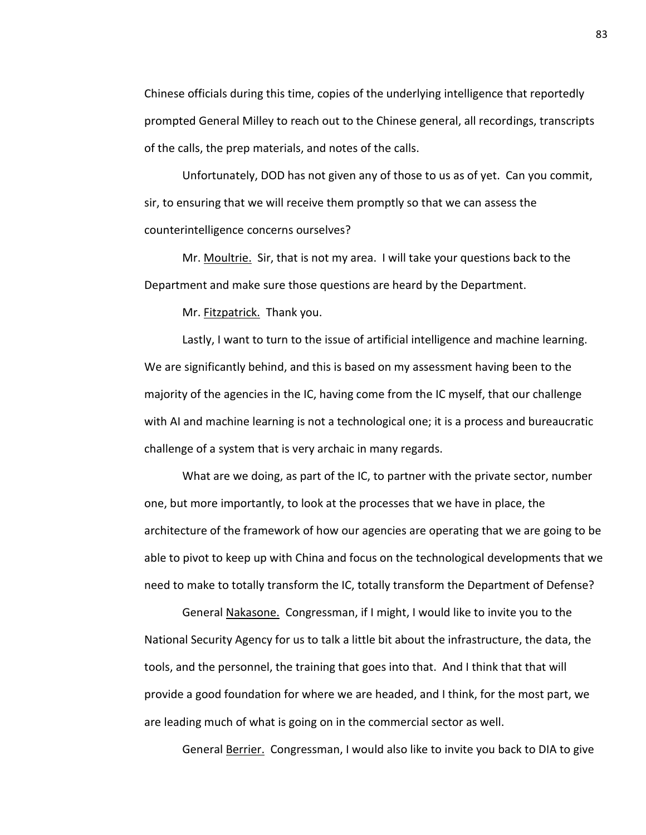Chinese officials during this time, copies of the underlying intelligence that reportedly prompted General Milley to reach out to the Chinese general, all recordings, transcripts of the calls, the prep materials, and notes of the calls.

Unfortunately, DOD has not given any of those to us as of yet. Can you commit, sir, to ensuring that we will receive them promptly so that we can assess the counterintelligence concerns ourselves?

Mr. Moultrie. Sir, that is not my area. I will take your questions back to the Department and make sure those questions are heard by the Department.

Mr. Fitzpatrick. Thank you.

Lastly, I want to turn to the issue of artificial intelligence and machine learning. We are significantly behind, and this is based on my assessment having been to the majority of the agencies in the IC, having come from the IC myself, that our challenge with AI and machine learning is not a technological one; it is a process and bureaucratic challenge of a system that is very archaic in many regards.

What are we doing, as part of the IC, to partner with the private sector, number one, but more importantly, to look at the processes that we have in place, the architecture of the framework of how our agencies are operating that we are going to be able to pivot to keep up with China and focus on the technological developments that we need to make to totally transform the IC, totally transform the Department of Defense?

General Nakasone. Congressman, if I might, I would like to invite you to the National Security Agency for us to talk a little bit about the infrastructure, the data, the tools, and the personnel, the training that goes into that. And I think that that will provide a good foundation for where we are headed, and I think, for the most part, we are leading much of what is going on in the commercial sector as well.

General Berrier. Congressman, I would also like to invite you back to DIA to give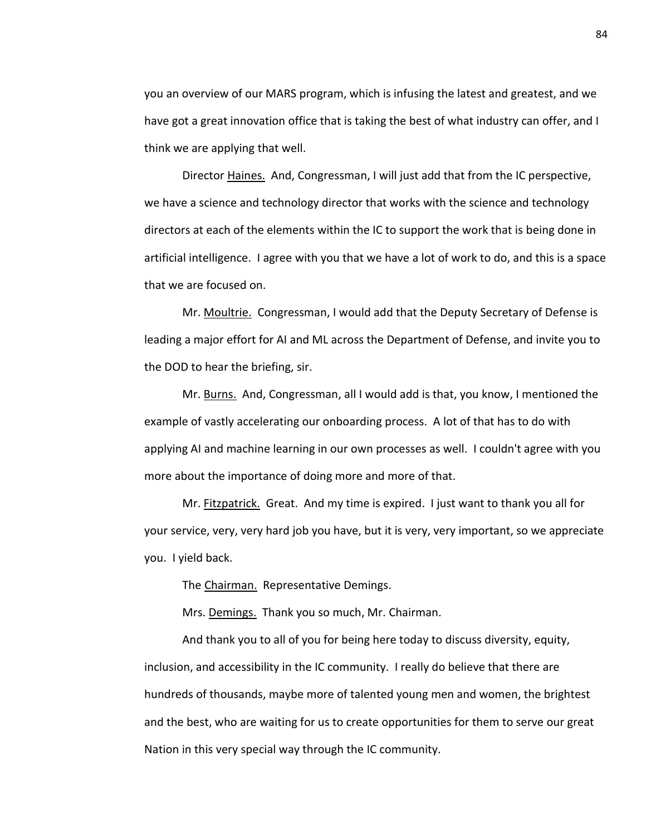you an overview of our MARS program, which is infusing the latest and greatest, and we have got a great innovation office that is taking the best of what industry can offer, and I think we are applying that well.

Director Haines. And, Congressman, I will just add that from the IC perspective, we have a science and technology director that works with the science and technology directors at each of the elements within the IC to support the work that is being done in artificial intelligence. I agree with you that we have a lot of work to do, and this is a space that we are focused on.

Mr. Moultrie. Congressman, I would add that the Deputy Secretary of Defense is leading a major effort for AI and ML across the Department of Defense, and invite you to the DOD to hear the briefing, sir.

Mr. Burns. And, Congressman, all I would add is that, you know, I mentioned the example of vastly accelerating our onboarding process. A lot of that has to do with applying AI and machine learning in our own processes as well. I couldn't agree with you more about the importance of doing more and more of that.

Mr. Fitzpatrick. Great. And my time is expired. I just want to thank you all for your service, very, very hard job you have, but it is very, very important, so we appreciate you. I yield back.

The Chairman. Representative Demings.

Mrs. Demings. Thank you so much, Mr. Chairman.

And thank you to all of you for being here today to discuss diversity, equity, inclusion, and accessibility in the IC community. I really do believe that there are hundreds of thousands, maybe more of talented young men and women, the brightest and the best, who are waiting for us to create opportunities for them to serve our great Nation in this very special way through the IC community.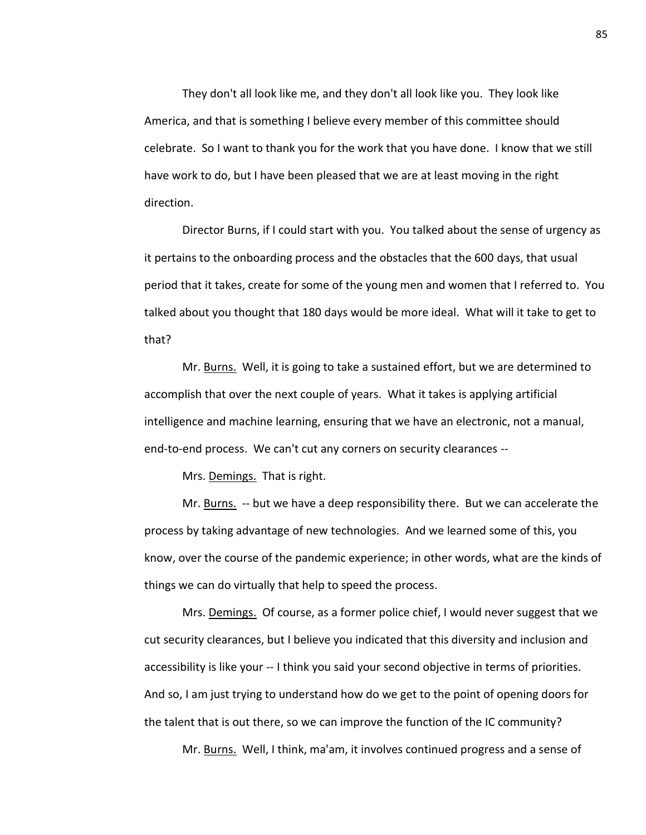They don't all look like me, and they don't all look like you. They look like America, and that is something I believe every member of this committee should celebrate. So I want to thank you for the work that you have done. I know that we still have work to do, but I have been pleased that we are at least moving in the right direction.

Director Burns, if I could start with you. You talked about the sense of urgency as it pertains to the onboarding process and the obstacles that the 600 days, that usual period that it takes, create for some of the young men and women that I referred to. You talked about you thought that 180 days would be more ideal. What will it take to get to that?

Mr. Burns. Well, it is going to take a sustained effort, but we are determined to accomplish that over the next couple of years. What it takes is applying artificial intelligence and machine learning, ensuring that we have an electronic, not a manual, end-to-end process. We can't cut any corners on security clearances --

Mrs. Demings. That is right.

Mr. Burns. -- but we have a deep responsibility there. But we can accelerate the process by taking advantage of new technologies. And we learned some of this, you know, over the course of the pandemic experience; in other words, what are the kinds of things we can do virtually that help to speed the process.

Mrs. Demings. Of course, as a former police chief, I would never suggest that we cut security clearances, but I believe you indicated that this diversity and inclusion and accessibility is like your -- I think you said your second objective in terms of priorities. And so, I am just trying to understand how do we get to the point of opening doors for the talent that is out there, so we can improve the function of the IC community?

Mr. Burns. Well, I think, ma'am, it involves continued progress and a sense of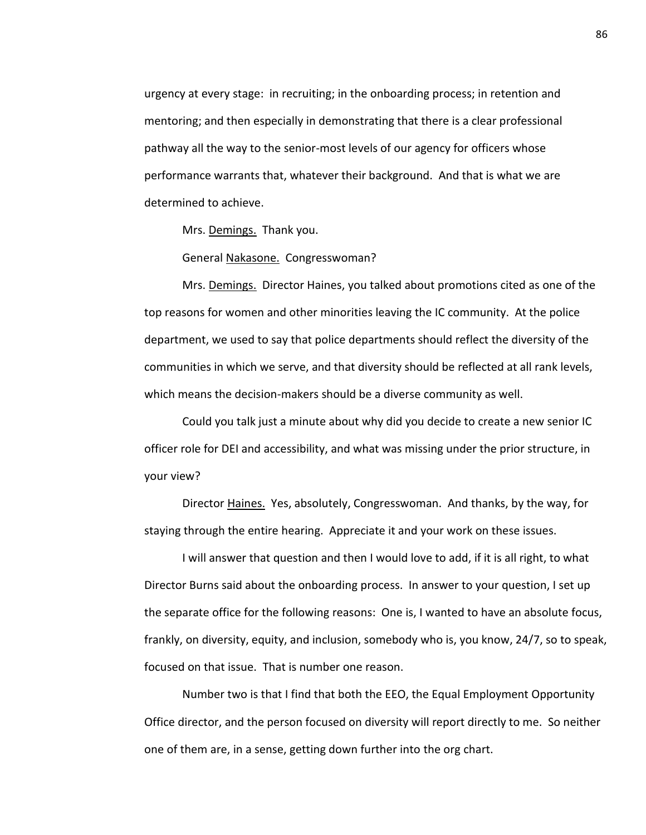urgency at every stage: in recruiting; in the onboarding process; in retention and mentoring; and then especially in demonstrating that there is a clear professional pathway all the way to the senior-most levels of our agency for officers whose performance warrants that, whatever their background. And that is what we are determined to achieve.

Mrs. Demings. Thank you.

General Nakasone. Congresswoman?

Mrs. Demings. Director Haines, you talked about promotions cited as one of the top reasons for women and other minorities leaving the IC community. At the police department, we used to say that police departments should reflect the diversity of the communities in which we serve, and that diversity should be reflected at all rank levels, which means the decision-makers should be a diverse community as well.

Could you talk just a minute about why did you decide to create a new senior IC officer role for DEI and accessibility, and what was missing under the prior structure, in your view?

Director Haines. Yes, absolutely, Congresswoman. And thanks, by the way, for staying through the entire hearing. Appreciate it and your work on these issues.

I will answer that question and then I would love to add, if it is all right, to what Director Burns said about the onboarding process. In answer to your question, I set up the separate office for the following reasons: One is, I wanted to have an absolute focus, frankly, on diversity, equity, and inclusion, somebody who is, you know, 24/7, so to speak, focused on that issue. That is number one reason.

Number two is that I find that both the EEO, the Equal Employment Opportunity Office director, and the person focused on diversity will report directly to me. So neither one of them are, in a sense, getting down further into the org chart.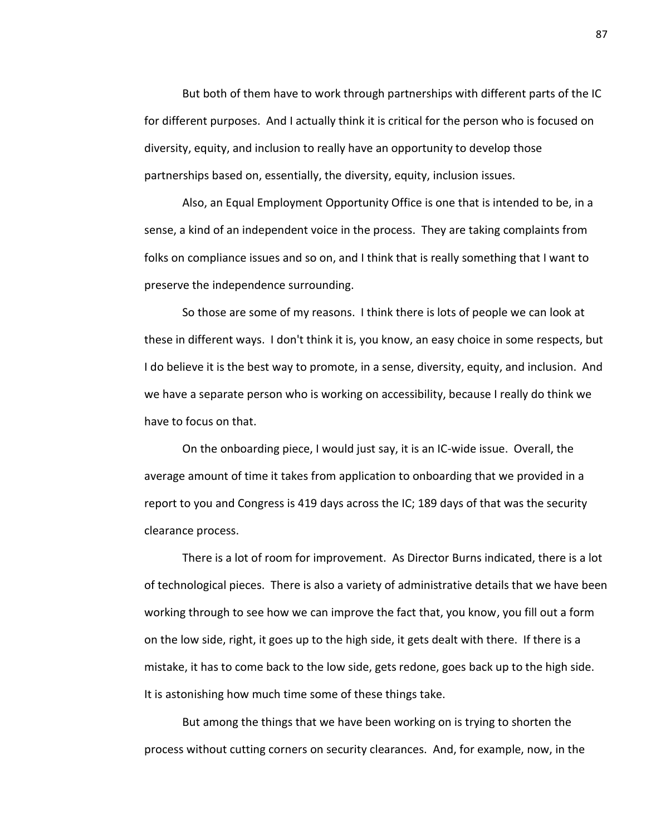But both of them have to work through partnerships with different parts of the IC for different purposes. And I actually think it is critical for the person who is focused on diversity, equity, and inclusion to really have an opportunity to develop those partnerships based on, essentially, the diversity, equity, inclusion issues.

Also, an Equal Employment Opportunity Office is one that is intended to be, in a sense, a kind of an independent voice in the process. They are taking complaints from folks on compliance issues and so on, and I think that is really something that I want to preserve the independence surrounding.

So those are some of my reasons. I think there is lots of people we can look at these in different ways. I don't think it is, you know, an easy choice in some respects, but I do believe it is the best way to promote, in a sense, diversity, equity, and inclusion. And we have a separate person who is working on accessibility, because I really do think we have to focus on that.

On the onboarding piece, I would just say, it is an IC-wide issue. Overall, the average amount of time it takes from application to onboarding that we provided in a report to you and Congress is 419 days across the IC; 189 days of that was the security clearance process.

There is a lot of room for improvement. As Director Burns indicated, there is a lot of technological pieces. There is also a variety of administrative details that we have been working through to see how we can improve the fact that, you know, you fill out a form on the low side, right, it goes up to the high side, it gets dealt with there. If there is a mistake, it has to come back to the low side, gets redone, goes back up to the high side. It is astonishing how much time some of these things take.

But among the things that we have been working on is trying to shorten the process without cutting corners on security clearances. And, for example, now, in the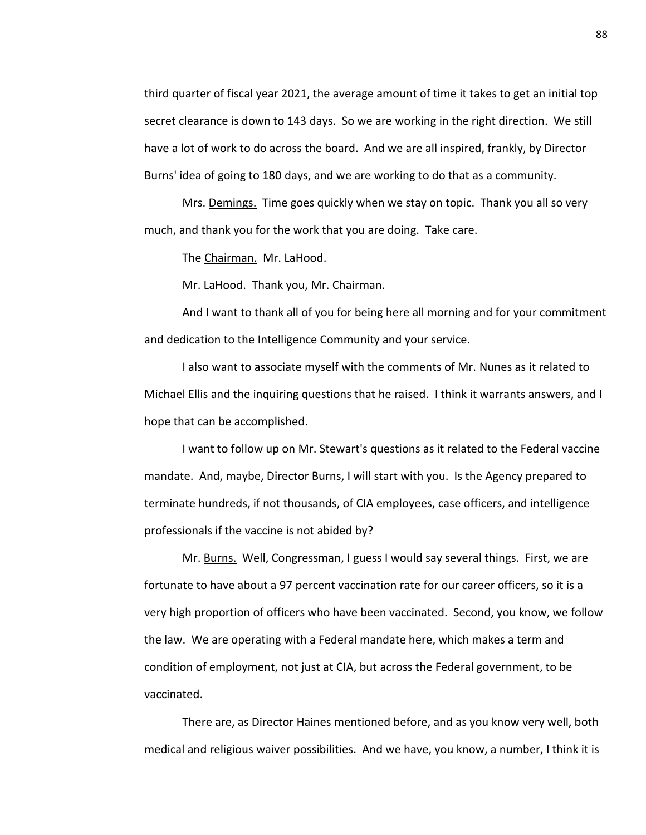third quarter of fiscal year 2021, the average amount of time it takes to get an initial top secret clearance is down to 143 days. So we are working in the right direction. We still have a lot of work to do across the board. And we are all inspired, frankly, by Director Burns' idea of going to 180 days, and we are working to do that as a community.

Mrs. Demings. Time goes quickly when we stay on topic. Thank you all so very much, and thank you for the work that you are doing. Take care.

The Chairman. Mr. LaHood.

Mr. LaHood. Thank you, Mr. Chairman.

And I want to thank all of you for being here all morning and for your commitment and dedication to the Intelligence Community and your service.

I also want to associate myself with the comments of Mr. Nunes as it related to Michael Ellis and the inquiring questions that he raised. I think it warrants answers, and I hope that can be accomplished.

I want to follow up on Mr. Stewart's questions as it related to the Federal vaccine mandate. And, maybe, Director Burns, I will start with you. Is the Agency prepared to terminate hundreds, if not thousands, of CIA employees, case officers, and intelligence professionals if the vaccine is not abided by?

Mr. Burns. Well, Congressman, I guess I would say several things. First, we are fortunate to have about a 97 percent vaccination rate for our career officers, so it is a very high proportion of officers who have been vaccinated. Second, you know, we follow the law. We are operating with a Federal mandate here, which makes a term and condition of employment, not just at CIA, but across the Federal government, to be vaccinated.

There are, as Director Haines mentioned before, and as you know very well, both medical and religious waiver possibilities. And we have, you know, a number, I think it is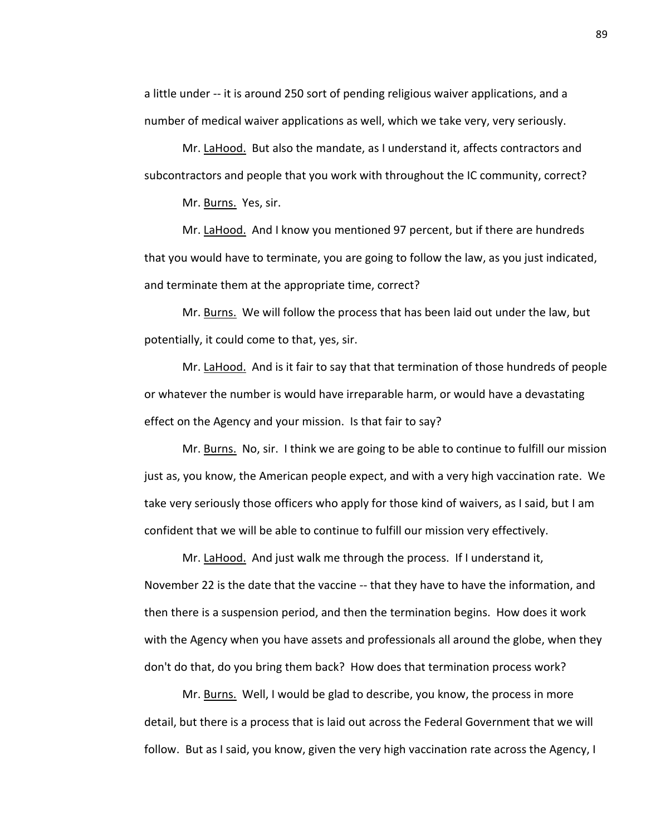a little under -- it is around 250 sort of pending religious waiver applications, and a number of medical waiver applications as well, which we take very, very seriously.

Mr. LaHood. But also the mandate, as I understand it, affects contractors and subcontractors and people that you work with throughout the IC community, correct?

Mr. Burns. Yes, sir.

Mr. LaHood. And I know you mentioned 97 percent, but if there are hundreds that you would have to terminate, you are going to follow the law, as you just indicated, and terminate them at the appropriate time, correct?

Mr. Burns. We will follow the process that has been laid out under the law, but potentially, it could come to that, yes, sir.

Mr. LaHood. And is it fair to say that that termination of those hundreds of people or whatever the number is would have irreparable harm, or would have a devastating effect on the Agency and your mission. Is that fair to say?

Mr. Burns. No, sir. I think we are going to be able to continue to fulfill our mission just as, you know, the American people expect, and with a very high vaccination rate. We take very seriously those officers who apply for those kind of waivers, as I said, but I am confident that we will be able to continue to fulfill our mission very effectively.

Mr. LaHood. And just walk me through the process. If I understand it, November 22 is the date that the vaccine -- that they have to have the information, and then there is a suspension period, and then the termination begins. How does it work with the Agency when you have assets and professionals all around the globe, when they don't do that, do you bring them back? How does that termination process work?

Mr. Burns. Well, I would be glad to describe, you know, the process in more detail, but there is a process that is laid out across the Federal Government that we will follow. But as I said, you know, given the very high vaccination rate across the Agency, I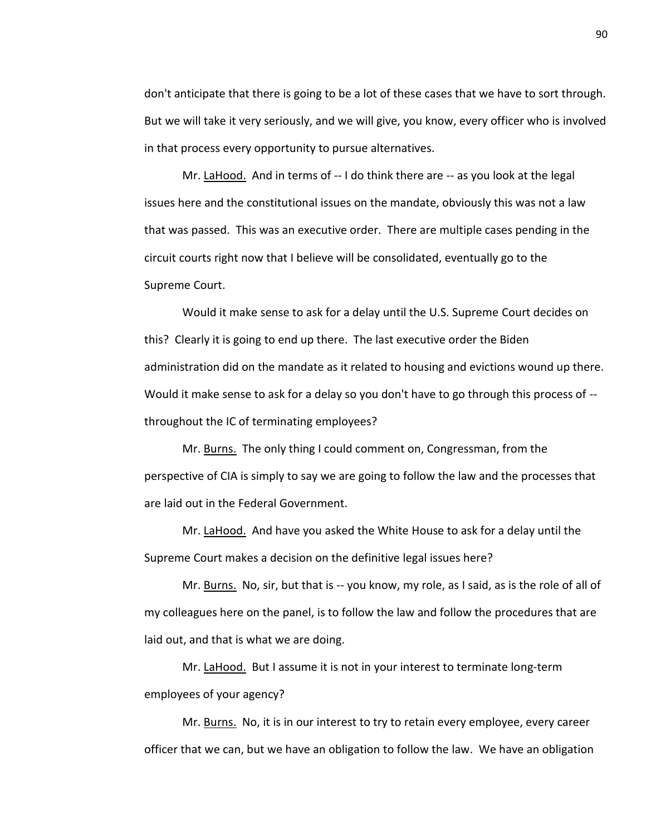don't anticipate that there is going to be a lot of these cases that we have to sort through. But we will take it very seriously, and we will give, you know, every officer who is involved in that process every opportunity to pursue alternatives.

Mr. LaHood. And in terms of -- I do think there are -- as you look at the legal issues here and the constitutional issues on the mandate, obviously this was not a law that was passed. This was an executive order. There are multiple cases pending in the circuit courts right now that I believe will be consolidated, eventually go to the Supreme Court.

Would it make sense to ask for a delay until the U.S. Supreme Court decides on this? Clearly it is going to end up there. The last executive order the Biden administration did on the mandate as it related to housing and evictions wound up there. Would it make sense to ask for a delay so you don't have to go through this process of - throughout the IC of terminating employees?

Mr. Burns. The only thing I could comment on, Congressman, from the perspective of CIA is simply to say we are going to follow the law and the processes that are laid out in the Federal Government.

Mr. LaHood. And have you asked the White House to ask for a delay until the Supreme Court makes a decision on the definitive legal issues here?

Mr. Burns. No, sir, but that is -- you know, my role, as I said, as is the role of all of my colleagues here on the panel, is to follow the law and follow the procedures that are laid out, and that is what we are doing.

Mr. LaHood. But I assume it is not in your interest to terminate long-term employees of your agency?

Mr. Burns. No, it is in our interest to try to retain every employee, every career officer that we can, but we have an obligation to follow the law. We have an obligation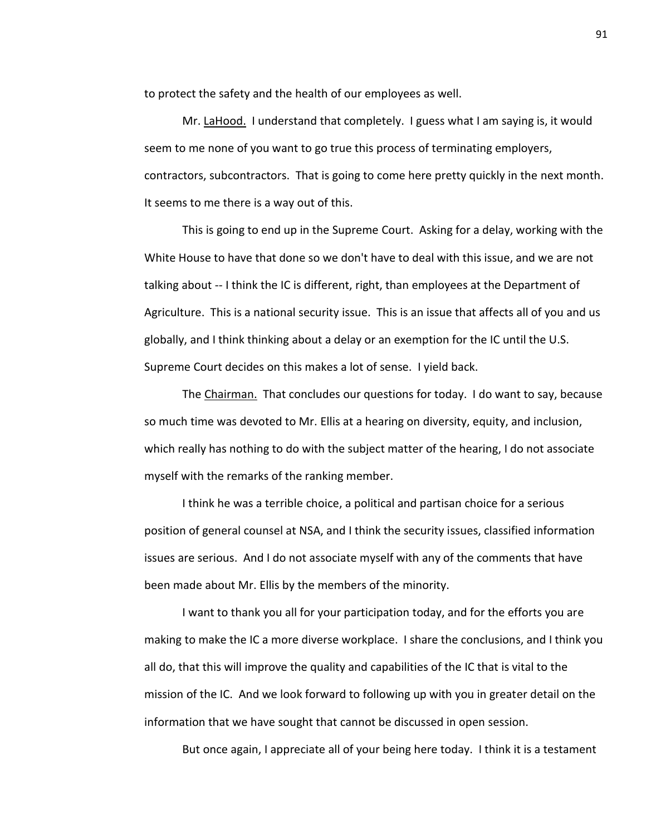to protect the safety and the health of our employees as well.

Mr. LaHood. I understand that completely. I guess what I am saying is, it would seem to me none of you want to go true this process of terminating employers, contractors, subcontractors. That is going to come here pretty quickly in the next month. It seems to me there is a way out of this.

This is going to end up in the Supreme Court. Asking for a delay, working with the White House to have that done so we don't have to deal with this issue, and we are not talking about -- I think the IC is different, right, than employees at the Department of Agriculture. This is a national security issue. This is an issue that affects all of you and us globally, and I think thinking about a delay or an exemption for the IC until the U.S. Supreme Court decides on this makes a lot of sense. I yield back.

The Chairman. That concludes our questions for today. I do want to say, because so much time was devoted to Mr. Ellis at a hearing on diversity, equity, and inclusion, which really has nothing to do with the subject matter of the hearing, I do not associate myself with the remarks of the ranking member.

I think he was a terrible choice, a political and partisan choice for a serious position of general counsel at NSA, and I think the security issues, classified information issues are serious. And I do not associate myself with any of the comments that have been made about Mr. Ellis by the members of the minority.

I want to thank you all for your participation today, and for the efforts you are making to make the IC a more diverse workplace. I share the conclusions, and I think you all do, that this will improve the quality and capabilities of the IC that is vital to the mission of the IC. And we look forward to following up with you in greater detail on the information that we have sought that cannot be discussed in open session.

But once again, I appreciate all of your being here today. I think it is a testament